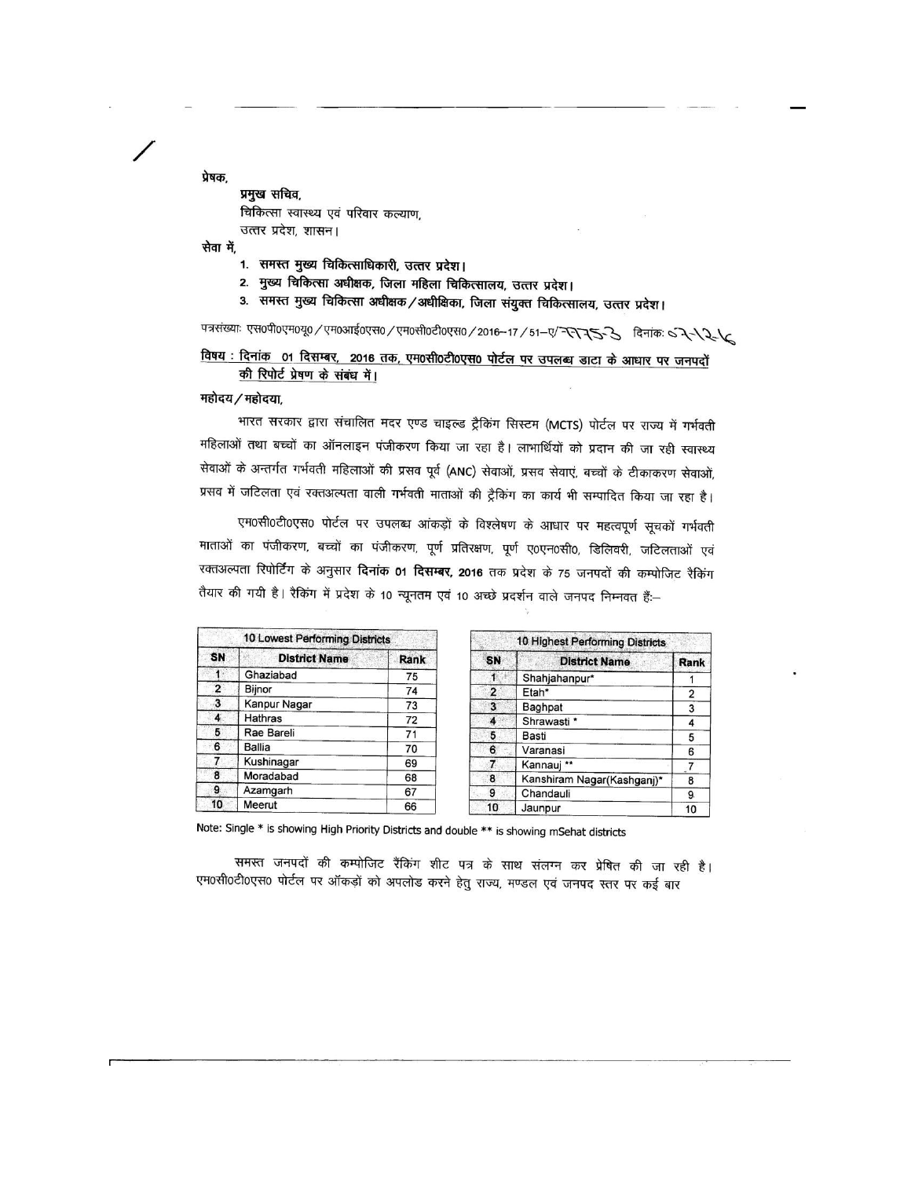प्रेषक. प्रमुख सचिव, चिकित्सा स्वास्थ्य एवं परिवार कल्याण, उत्तर प्रदेश, शासन।

सेवा में,

- 1. समस्त मुख्य चिकित्साधिकारी, उत्तर प्रदेश।
- 2. मुख्य चिकित्सा अधीक्षक, जिला महिला चिकित्सालय, उत्तर प्रदेश।
- 3. समस्त मुख्य चिकित्सा अधीक्षक/अधीक्षिका, जिला संयुक्त चिकित्सालय, उत्तर प्रदेश।

पत्रसंख्याः एस०पी०एम०यू० / एम०आई०एस० / एम०सी०टी०एस० / 2016-17 / 51-ए/ रिरिस्टर् रे दिनांकः ५ रेरीरेरी

### विषय : दिनांक 01 दिसम्बर, 2016 तक, एम0सी0टी0एस0 पोर्टल पर उपलब्ध डाटा के आधार पर जनपदों की रिपोर्ट प्रेषण के संबंध में।

महोदय / महोदया,

भारत सरकार द्वारा संचालित मदर एण्ड चाइल्ड ट्रैकिंग सिस्टम (MCTS) पोर्टल पर राज्य में गर्भवती महिलाओं तथा बच्चों का ऑनलाइन पंजीकरण किया जा रहा है। लाभार्थियों को प्रदान की जा रही स्वास्थ्य सेवाओं के अन्तर्गत गर्भवती महिलाओं की प्रसव पूर्व (ANC) सेवाओं, प्रसव सेवाएं, बच्चों के टीकाकरण सेवाओं, प्रसव में जटिलता एवं रक्तअल्पता वाली गर्भवती माताओं की ट्रैकिंग का कार्य भी सम्पादित किया जा रहा है।

एम0सी0टी0एस0 पोर्टल पर उपलब्ध आंकड़ों के विश्लेषण के आधार पर महत्वपूर्ण सूचकों गर्भवती माताओं का पंजीकरण, बच्चों का पंजीकरण, पूर्ण प्रतिरक्षण, पूर्ण ए०एन०सी०, डिलिवरी, जटिलताओं एवं रक्तअल्पता रिपोर्टिंग के अनुसार **दिनांक 01 दिसम्बर, 2016** तक प्रदेश के 75 जनपदों की कम्पोजिट रैकिंग तैयार की गयी है। रैकिंग में प्रदेश के 10 न्यूनतम एवं 10 अच्छे प्रदर्शन वाले जनपद निम्नवत हैं:--

| 10 Lowest Performing Districts |                      |      |  |  |  |  |  |  |  |
|--------------------------------|----------------------|------|--|--|--|--|--|--|--|
| SN                             | <b>District Name</b> | Rank |  |  |  |  |  |  |  |
|                                | Ghaziabad            | 75   |  |  |  |  |  |  |  |
| 2                              | Bijnor               | 74   |  |  |  |  |  |  |  |
| 3                              | Kanpur Nagar         | 73   |  |  |  |  |  |  |  |
| 4                              | <b>Hathras</b>       | 72   |  |  |  |  |  |  |  |
| 5                              | Rae Bareli           | 71   |  |  |  |  |  |  |  |
| 6                              | <b>Ballia</b>        | 70   |  |  |  |  |  |  |  |
| $\overline{7}$                 | Kushinagar           | 69   |  |  |  |  |  |  |  |
| 8                              | Moradabad            | 68   |  |  |  |  |  |  |  |
| 9                              | Azamgarh             | 67   |  |  |  |  |  |  |  |
| 10                             | Meerut               | 66   |  |  |  |  |  |  |  |

|                         | 10 Highest Performing Districts |      |  |  |  |  |  |  |  |  |  |
|-------------------------|---------------------------------|------|--|--|--|--|--|--|--|--|--|
| SN                      | <b>District Name</b>            | Rank |  |  |  |  |  |  |  |  |  |
|                         | Shahjahanpur*                   |      |  |  |  |  |  |  |  |  |  |
| 2                       | Etah*                           | 2    |  |  |  |  |  |  |  |  |  |
| $\overline{\mathbf{3}}$ | Baghpat                         | 3    |  |  |  |  |  |  |  |  |  |
| 4                       | Shrawasti *                     | 4    |  |  |  |  |  |  |  |  |  |
| 5                       | Basti                           | 5    |  |  |  |  |  |  |  |  |  |
| 6                       | Varanasi                        | 6    |  |  |  |  |  |  |  |  |  |
| 7                       | Kannauj **                      |      |  |  |  |  |  |  |  |  |  |
| 8                       | Kanshiram Nagar(Kashganj)*      | 8    |  |  |  |  |  |  |  |  |  |
| 9                       | Chandauli                       | 9.   |  |  |  |  |  |  |  |  |  |
| 10                      | Jaunpur                         | 10   |  |  |  |  |  |  |  |  |  |

Note: Single \* is showing High Priority Districts and double \*\* is showing mSehat districts

समस्त जनपदों की कम्पोजिट रैंकिंग शीट पत्र के साथ संलग्न कर प्रेषित की जा रही है। एम0सी0टी0एस0 पोर्टल पर ऑकड़ों को अपलोड करने हेतु राज्य, मण्डल एवं जनपद स्तर पर कई बार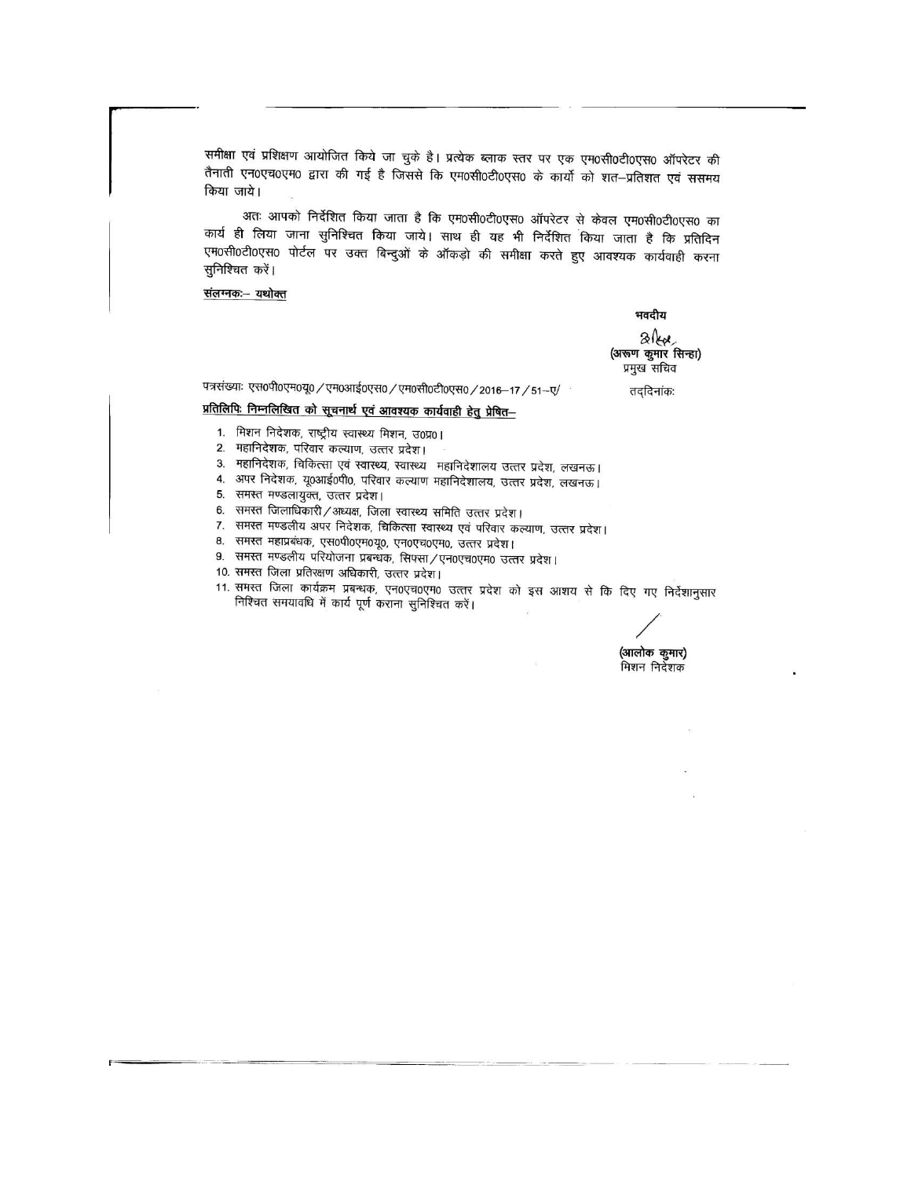समीक्षा एवं प्रशिक्षण आयोजित किये जा चुके है। प्रत्येक ब्लाक स्तर पर एक एम0सी0टी0एस0 ऑपरेटर की तैनाती एन0एच0एम0 द्वारा की गई है जिससे कि एम0सी0टी0एस0 के कार्यो को शत–प्रतिशत एवं ससमय किया जाये।

अतः आपको निर्देशित किया जाता है कि एम0सी0टी0एस0 ऑपरेटर से केवल एम0सी0टी0एस0 का कार्य ही लिया जाना सुनिश्चित किया जाये। साथ ही यह भी निर्देशित किया जाता है कि प्रतिदिन एम0सी0टी0एस0 पोर्टल पर उक्त बिन्दुओं के ऑकड़ो की समीक्षा करते हुए आवश्यक कार्यवाही करना सुनिश्चित करें।

### <u>संलग्नकः - यथोक्त</u>

भवदीय

 $3k$ (अरूण कुमार सिन्हा) प्रमुख सचिव

पत्रसंख्याः एस०पी०एम०यू० / एम०आई०एस० / एम०सी०टी०एस० / 2016-17 / 51-ए/

तददिनांकः

### प्रतिलिपिः निम्नलिखित को सूचनार्थ एवं आवश्यक कार्यवाही हेतु प्रेषित–

- 1. मिशन निदेशक, राष्ट्रीय स्वास्थ्य मिशन, उ0प्र0।
- 2. महानिदेशक, परिवार कल्याण, उत्तर प्रदेश।
- 3. महानिदेशक, चिकित्सा एवं स्वास्थ्य, स्वास्थ्य महानिदेशालय उत्तर प्रदेश, लखनऊ।
- 4. अपर निदेशक, यू0आई0पी0, परिवार कल्याण महानिदेशालय, उत्तर प्रदेश, लखनऊ।
- 5. समस्त मण्डलायुक्त, उत्तर प्रदेश।
- 6. समस्त जिलाधिकारी / अध्यक्ष, जिला स्वास्थ्य समिति उत्तर प्रदेश।
- 7. समस्त मण्डलीय अपर निदेशक, चिकित्सा स्वास्थ्य एवं परिवार कल्याण, उत्तर प्रदेश।
- 8. समस्त महाप्रबंधक, एस0पी0एम0यू0, एन0एच0एम0, उत्तर प्रदेश।
- 9. समस्त मण्डलीय परियोजना प्रबन्धक, सिफ्सा/एन0एच0एम0 उत्तर प्रदेश।
- 10. समस्त जिला प्रतिरक्षण अधिकारी, उत्तर प्रदेश।
- 11. समस्त जिला कार्यक्रम प्रबन्धक, एन0एच0एम0 उत्तर प्रदेश को इस आशय से कि दिए गए निर्देशानुसार निश्चित समयावधि में कार्य पूर्ण कराना सुनिश्चित करें।

(आलोक कुमार) मिशन निर्देशक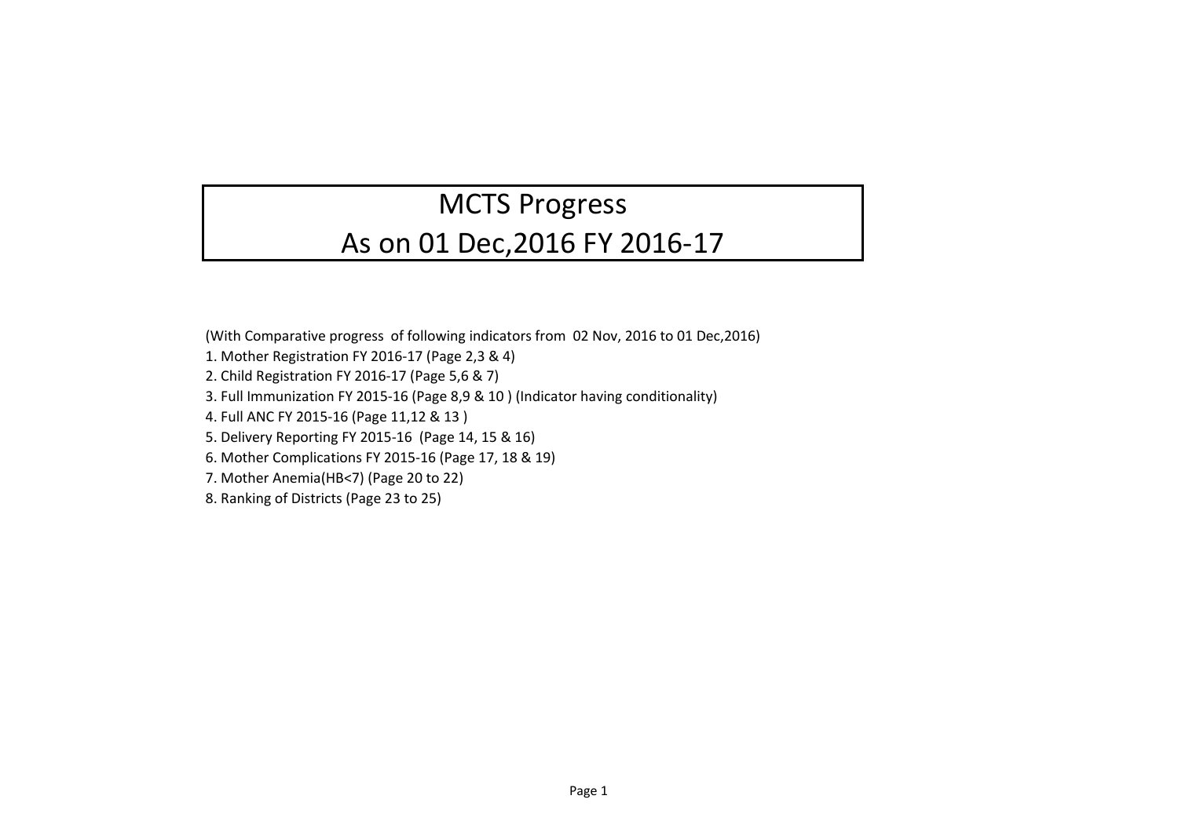# MCTS Progress As on 01 Dec,2016 FY 2016-17

(With Comparative progress of following indicators from 02 Nov, 2016 to 01 Dec,2016)

- 1. Mother Registration FY 2016-17 (Page 2,3 & 4)
- 2. Child Registration FY 2016-17 (Page 5,6 & 7)
- 3. Full Immunization FY 2015-16 (Page 8,9 & 10 ) (Indicator having conditionality)
- 4. Full ANC FY 2015-16 (Page 11,12 & 13 )
- 5. Delivery Reporting FY 2015-16 (Page 14, 15 & 16)
- 6. Mother Complications FY 2015-16 (Page 17, 18 & 19)
- 7. Mother Anemia(HB<7) (Page 20 to 22)
- 8. Ranking of Districts (Page 23 to 25)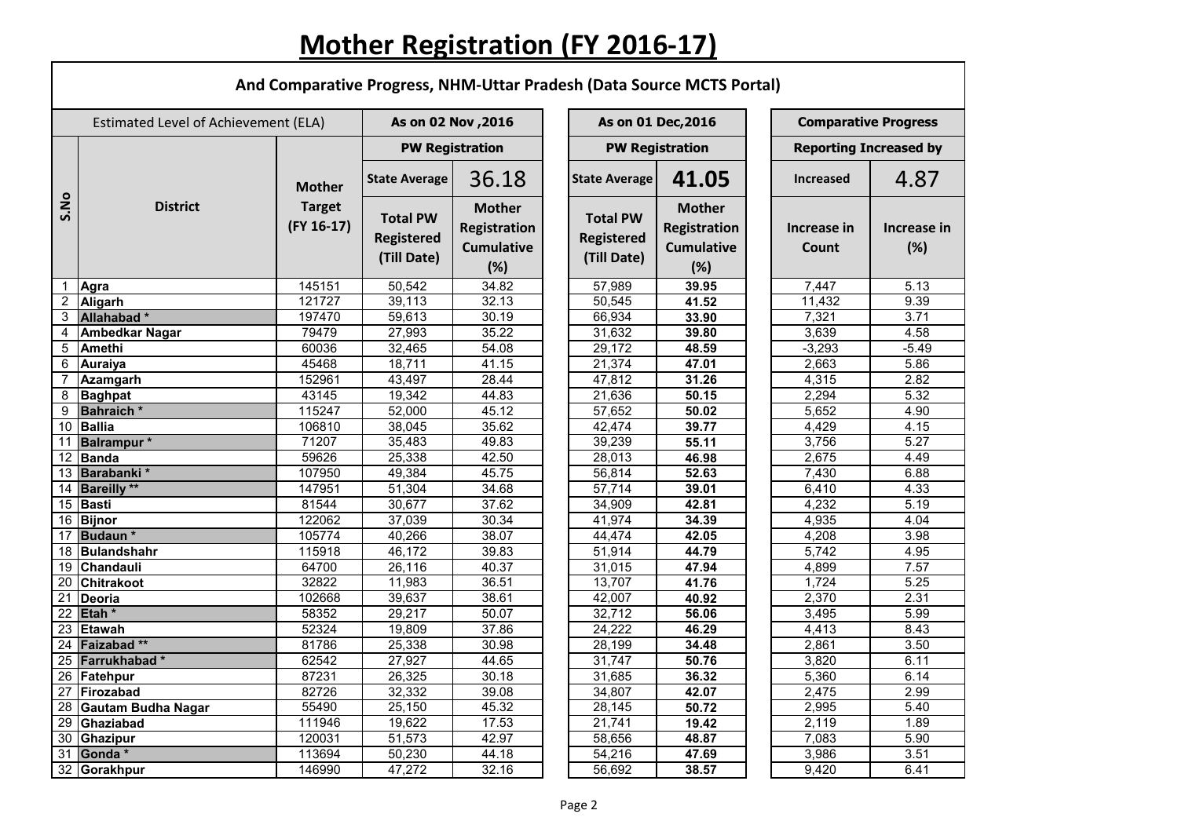# **Mother Registration (FY 2016-17)**

г

|                                      | And Comparative Progress, NHM-Uttar Pradesh (Data Source MCTS Portal) |                                                |                                                     |                                                                  |                                                     |                                                                  |                               |                    |  |  |  |  |
|--------------------------------------|-----------------------------------------------------------------------|------------------------------------------------|-----------------------------------------------------|------------------------------------------------------------------|-----------------------------------------------------|------------------------------------------------------------------|-------------------------------|--------------------|--|--|--|--|
| Estimated Level of Achievement (ELA) |                                                                       |                                                | As on 02 Nov , 2016                                 |                                                                  |                                                     | As on 01 Dec, 2016                                               | <b>Comparative Progress</b>   |                    |  |  |  |  |
|                                      | <b>District</b>                                                       | <b>Mother</b><br><b>Target</b><br>$(FY 16-17)$ | <b>PW Registration</b>                              |                                                                  |                                                     | <b>PW Registration</b>                                           | <b>Reporting Increased by</b> |                    |  |  |  |  |
|                                      |                                                                       |                                                | <b>State Average</b>                                | 36.18                                                            | <b>State Average</b>                                | 41.05                                                            | <b>Increased</b>              | 4.87               |  |  |  |  |
| S.No                                 |                                                                       |                                                | <b>Total PW</b><br><b>Registered</b><br>(Till Date) | <b>Mother</b><br><b>Registration</b><br><b>Cumulative</b><br>(%) | <b>Total PW</b><br><b>Registered</b><br>(Till Date) | <b>Mother</b><br><b>Registration</b><br><b>Cumulative</b><br>(%) | Increase in<br>Count          | Increase in<br>(%) |  |  |  |  |
| 1                                    | Agra                                                                  | 145151                                         | 50,542                                              | 34.82                                                            | 57,989                                              | 39.95                                                            | 7,447                         | 5.13               |  |  |  |  |
| $\overline{2}$                       | Aligarh                                                               | 121727                                         | 39,113                                              | 32.13                                                            | 50,545                                              | 41.52                                                            | 11,432                        | 9.39               |  |  |  |  |
|                                      | 3 Allahabad *                                                         | 197470                                         | 59,613                                              | 30.19                                                            | 66,934                                              | 33.90                                                            | 7,321                         | 3.71               |  |  |  |  |
|                                      | 4   Ambedkar Nagar                                                    | 79479                                          | 27,993                                              | 35.22                                                            | 31,632                                              | 39.80                                                            | 3,639                         | 4.58               |  |  |  |  |
| 5                                    | Amethi                                                                | 60036                                          | 32,465                                              | 54.08                                                            | 29,172                                              | 48.59                                                            | $-3,293$                      | $-5.49$            |  |  |  |  |
| 6                                    | Auraiya                                                               | 45468                                          | 18,711                                              | 41.15                                                            | 21,374                                              | 47.01                                                            | 2,663                         | 5.86               |  |  |  |  |
|                                      | Azamgarh                                                              | 152961                                         | 43,497                                              | 28.44                                                            | 47,812                                              | 31.26                                                            | 4,315                         | 2.82               |  |  |  |  |
| 8                                    | <b>Baghpat</b>                                                        | 43145                                          | 19,342                                              | 44.83                                                            | 21,636                                              | 50.15                                                            | 2,294                         | 5.32               |  |  |  |  |
| 9                                    | <b>Bahraich</b> *                                                     | 115247                                         | 52,000                                              | 45.12                                                            | 57,652                                              | 50.02                                                            | 5,652                         | 4.90               |  |  |  |  |
|                                      | 10 Ballia                                                             | 106810                                         | 38,045                                              | 35.62                                                            | 42,474                                              | 39.77                                                            | 4,429                         | 4.15               |  |  |  |  |
|                                      | 11 Balrampur *                                                        | 71207                                          | 35,483                                              | 49.83                                                            | 39,239                                              | 55.11                                                            | 3,756                         | 5.27               |  |  |  |  |
| 12 <sub>2</sub>                      | Banda                                                                 | 59626                                          | 25,338                                              | 42.50                                                            | 28,013                                              | 46.98                                                            | 2,675                         | 4.49               |  |  |  |  |
| 13                                   | Barabanki*                                                            | 107950                                         | 49,384                                              | 45.75                                                            | 56,814                                              | 52.63                                                            | 7,430                         | 6.88               |  |  |  |  |
|                                      | 14 Bareilly **                                                        | 147951                                         | 51,304                                              | 34.68                                                            | 57,714                                              | 39.01                                                            | 6,410                         | 4.33               |  |  |  |  |
|                                      | 15 Basti                                                              | 81544                                          | 30,677                                              | 37.62                                                            | 34,909                                              | 42.81                                                            | 4,232                         | 5.19               |  |  |  |  |
| 16                                   | Bijnor                                                                | 122062                                         | 37,039                                              | 30.34                                                            | 41,974                                              | 34.39                                                            | 4,935                         | 4.04               |  |  |  |  |
|                                      | 17 Budaun*                                                            | 105774                                         | 40,266                                              | 38.07                                                            | 44,474                                              | 42.05                                                            | 4,208                         | 3.98               |  |  |  |  |
|                                      | 18 Bulandshahr                                                        | 115918                                         | 46,172                                              | 39.83                                                            | 51,914                                              | 44.79                                                            | 5,742                         | 4.95               |  |  |  |  |
|                                      | 19 Chandauli                                                          | 64700                                          | 26,116                                              | 40.37                                                            | 31,015                                              | 47.94                                                            | 4,899                         | 7.57               |  |  |  |  |
| 20                                   | <b>Chitrakoot</b>                                                     | 32822                                          | 11,983                                              | 36.51                                                            | 13,707                                              | 41.76                                                            | 1,724                         | 5.25               |  |  |  |  |
|                                      | $\overline{21}$ Deoria                                                | 102668                                         | 39,637                                              | 38.61                                                            | 42,007                                              | 40.92                                                            | 2,370                         | 2.31               |  |  |  |  |
|                                      | $\overline{22}$ Etah *                                                | 58352                                          | 29,217                                              | 50.07                                                            | 32,712                                              | 56.06                                                            | 3,495                         | 5.99               |  |  |  |  |
|                                      | 23 Etawah                                                             | 52324                                          | 19,809                                              | 37.86                                                            | 24,222                                              | 46.29                                                            | 4,413                         | 8.43               |  |  |  |  |
|                                      | 24 Faizabad**                                                         | 81786                                          | 25,338                                              | 30.98                                                            | 28,199                                              | 34.48                                                            | 2,861                         | 3.50               |  |  |  |  |
|                                      | 25 Farrukhabad*                                                       | 62542                                          | 27,927                                              | 44.65                                                            | 31,747                                              | 50.76                                                            | 3,820                         | 6.11               |  |  |  |  |
|                                      | 26 Fatehpur                                                           | 87231                                          | 26,325                                              | 30.18                                                            | 31,685                                              | 36.32                                                            | 5,360                         | 6.14               |  |  |  |  |
|                                      | 27 Firozabad                                                          | 82726                                          | 32,332                                              | 39.08                                                            | 34,807                                              | 42.07                                                            | 2,475                         | 2.99               |  |  |  |  |
|                                      | 28 Gautam Budha Nagar                                                 | 55490                                          | 25,150                                              | 45.32                                                            | 28,145                                              | 50.72                                                            | 2,995                         | 5.40               |  |  |  |  |
|                                      | 29 Ghaziabad                                                          | 111946                                         | 19,622                                              | 17.53                                                            | 21,741                                              | 19.42                                                            | 2,119                         | 1.89               |  |  |  |  |
|                                      | 30 Ghazipur                                                           | 120031                                         | 51,573                                              | 42.97                                                            | 58,656                                              | 48.87                                                            | 7,083                         | 5.90               |  |  |  |  |
|                                      | 31 Gonda *                                                            | 113694                                         | 50,230                                              | 44.18                                                            | 54,216                                              | 47.69                                                            | 3,986                         | 3.51               |  |  |  |  |
|                                      | 32 Gorakhpur                                                          | 146990                                         | 47,272                                              | 32.16                                                            | 56,692                                              | 38.57                                                            | 9,420                         | 6.41               |  |  |  |  |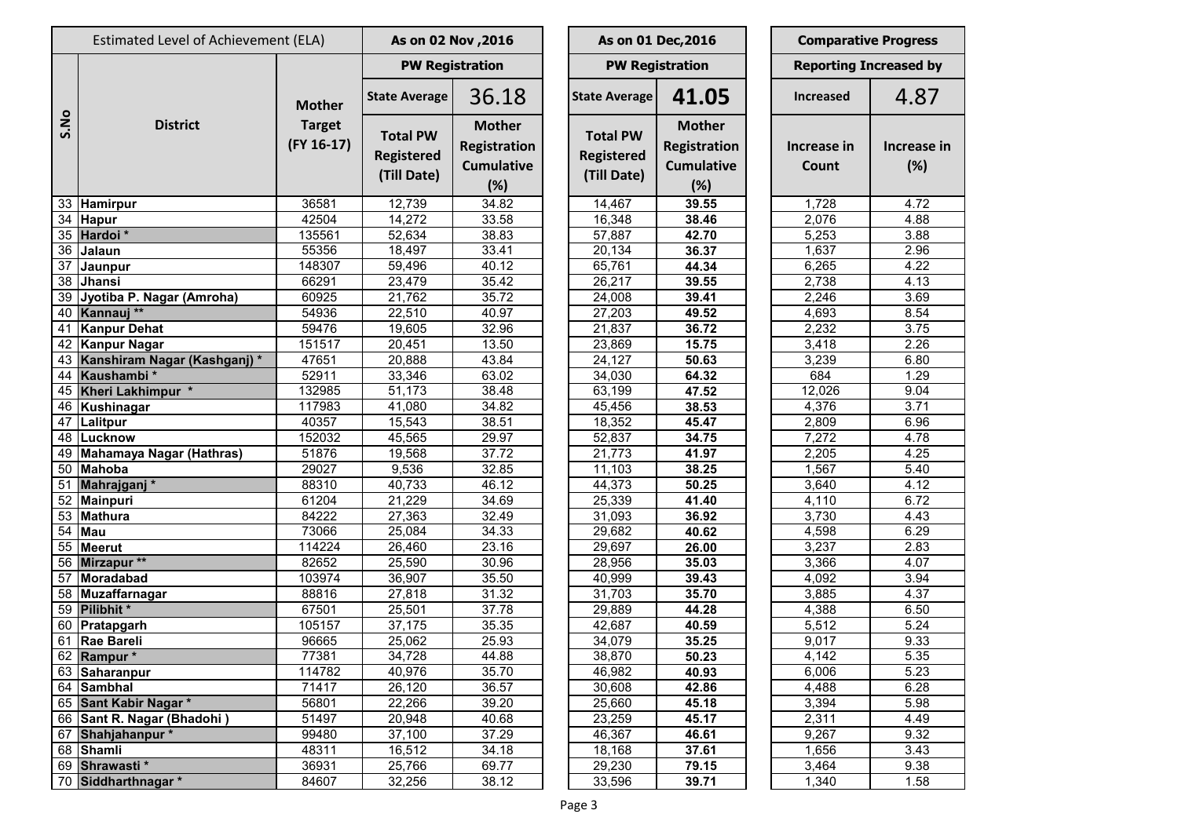|      | Estimated Level of Achievement (ELA) | As on 02 Nov , 2016           |                                                     |                                                                  | As on 01 Dec, 2016                                  | <b>Comparative Progress</b>                                      |                      |                               |
|------|--------------------------------------|-------------------------------|-----------------------------------------------------|------------------------------------------------------------------|-----------------------------------------------------|------------------------------------------------------------------|----------------------|-------------------------------|
|      |                                      |                               |                                                     | <b>PW Registration</b>                                           |                                                     | <b>PW Registration</b>                                           |                      | <b>Reporting Increased by</b> |
|      | <b>District</b>                      | <b>Mother</b>                 | <b>State Average</b>                                | 36.18                                                            | <b>State Average</b>                                | 41.05                                                            | <b>Increased</b>     | 4.87                          |
| S.No |                                      | <b>Target</b><br>$(FY 16-17)$ | <b>Total PW</b><br><b>Registered</b><br>(Till Date) | <b>Mother</b><br><b>Registration</b><br><b>Cumulative</b><br>(%) | <b>Total PW</b><br><b>Registered</b><br>(Till Date) | <b>Mother</b><br><b>Registration</b><br><b>Cumulative</b><br>(%) | Increase in<br>Count | Increase i<br>(%)             |
| 33   | Hamirpur                             | 36581                         | 12,739                                              | 34.82                                                            | 14,467                                              | 39.55                                                            | 1,728                | 4.72                          |
| 34   | <b>Hapur</b>                         | 42504                         | 14,272                                              | 33.58                                                            | 16,348                                              | 38.46                                                            | 2,076                | 4.88                          |
| 35   | Hardoi <sup>*</sup>                  | 135561                        | 52,634                                              | 38.83                                                            | 57,887                                              | 42.70                                                            | 5,253                | 3.88                          |
| 36   | Jalaun                               | 55356                         | 18,497                                              | 33.41                                                            | 20,134                                              | 36.37                                                            | 1,637                | 2.96                          |
| 37   | Jaunpur                              | 148307                        | 59,496                                              | 40.12                                                            | 65,761                                              | 44.34                                                            | 6,265                | 4.22                          |
| 38   | Jhansi                               | 66291                         | 23,479                                              | 35.42                                                            | 26,217                                              | 39.55                                                            | 2,738                | 4.13                          |
| 39   | Jyotiba P. Nagar (Amroha)            | 60925                         | 21,762                                              | 35.72                                                            | 24,008                                              | 39.41                                                            | 2,246                | 3.69                          |
| 40   | Kannauj **                           | 54936                         | 22,510                                              | 40.97                                                            | 27,203                                              | 49.52                                                            | 4,693                | 8.54                          |
| 41   | <b>Kanpur Dehat</b>                  | 59476                         | 19,605                                              | 32.96                                                            | 21,837                                              | 36.72                                                            | 2,232                | 3.75                          |
| 42   | <b>Kanpur Nagar</b>                  | 151517                        | 20,451                                              | 13.50                                                            | 23,869                                              | 15.75                                                            | 3,418                | 2.26                          |
| 43   | Kanshiram Nagar (Kashganj)*          | 47651                         | 20,888                                              | 43.84                                                            | 24,127                                              | 50.63                                                            | 3,239                | 6.80                          |
| 44   | Kaushambi*                           | 52911                         | 33,346                                              | 63.02                                                            | 34,030                                              | 64.32                                                            | 684                  | 1.29                          |
| 45   | Kheri Lakhimpur *                    | 132985                        | 51,173                                              | 38.48                                                            | 63,199                                              | 47.52                                                            | 12,026               | 9.04                          |
| 46   | Kushinagar                           | 117983                        | 41,080                                              | 34.82                                                            | 45,456                                              | 38.53                                                            | 4,376                | 3.71                          |
| 47   | Lalitpur                             | 40357                         | 15,543                                              | 38.51                                                            | 18,352                                              | 45.47                                                            | 2,809                | 6.96                          |
| 48   | Lucknow                              | 152032                        | 45,565                                              | 29.97                                                            | 52,837                                              | 34.75                                                            | 7,272                | 4.78                          |
| 49   | Mahamaya Nagar (Hathras)             | 51876                         | 19,568                                              | 37.72                                                            | 21,773                                              | 41.97                                                            | 2,205                | 4.25                          |
| 50   | Mahoba                               | 29027                         | 9,536                                               | 32.85                                                            | 11,103                                              | 38.25                                                            | 1,567                | 5.40                          |
| 51   | Mahrajganj <sup>*</sup>              | 88310                         | 40,733                                              | 46.12                                                            | 44,373                                              | 50.25                                                            | 3,640                | 4.12                          |
| 52   | <b>Mainpuri</b>                      | 61204                         | 21,229                                              | 34.69                                                            | 25,339                                              | 41.40                                                            | 4,110                | 6.72                          |
| 53   | <b>Mathura</b>                       | 84222                         | 27,363                                              | 32.49                                                            | 31,093                                              | 36.92                                                            | 3,730                | 4.43                          |
| 54   | <b>Mau</b>                           | 73066                         | 25,084                                              | 34.33                                                            | 29,682                                              | 40.62                                                            | 4,598                | 6.29                          |
| 55   | <b>Meerut</b>                        | 114224                        | 26,460                                              | 23.16                                                            | 29,697                                              | 26.00                                                            | 3,237                | 2.83                          |
| 56   | Mirzapur **                          | 82652                         | 25,590                                              | 30.96                                                            | 28,956                                              | 35.03                                                            | 3,366                | 4.07                          |
| 57   | Moradabad                            | 103974                        | 36,907                                              | 35.50                                                            | 40,999                                              | 39.43                                                            | 4,092                | 3.94                          |
|      | 58 Muzaffarnagar                     | 88816                         | 27,818                                              | 31.32                                                            | 31,703                                              | 35.70                                                            | 3,885                | 4.37                          |
| 59   | Pilibhit*                            | 67501                         | 25,501                                              | 37.78                                                            | 29,889                                              | 44.28                                                            | 4,388                | 6.50                          |
|      | 60 Pratapgarh                        | 105157                        | 37,175                                              | 35.35                                                            | 42,687                                              | 40.59                                                            | 5,512                | 5.24                          |
|      | 61 Rae Bareli                        | 96665                         | 25,062                                              | 25.93                                                            | 34,079                                              | 35.25                                                            | 9,017                | 9.33                          |
|      | 62 Rampur*                           | 77381                         | 34,728                                              | 44.88                                                            | 38,870                                              | 50.23                                                            | 4,142                | 5.35                          |
|      | 63 Saharanpur                        | 114782                        | 40,976                                              | $\overline{3}5.70$                                               | 46,982                                              | 40.93                                                            | 6,006                | 5.23                          |
|      | 64 Sambhal                           | 71417                         | 26,120                                              | 36.57                                                            | 30,608                                              | 42.86                                                            | 4,488                | 6.28                          |
|      | 65 Sant Kabir Nagar *                | 56801                         | 22,266                                              | 39.20                                                            | 25,660                                              | 45.18                                                            | 3,394                | 5.98                          |
|      | 66 Sant R. Nagar (Bhadohi)           | 51497                         | 20,948                                              | 40.68                                                            | 23,259                                              | 45.17                                                            | 2,311                | 4.49                          |
| 67   | Shahjahanpur*                        | 99480                         | 37,100                                              | 37.29                                                            | 46,367                                              | 46.61                                                            | 9,267                | 9.32                          |
|      | 68 Shamli                            | 48311                         | 16,512                                              | 34.18                                                            | 18,168                                              | 37.61                                                            | 1,656                | 3.43                          |
|      | 69 Shrawasti *                       | 36931                         | 25,766                                              | 69.77                                                            | 29,230                                              | 79.15                                                            | 3,464                | 9.38                          |
| 70   | Siddharthnagar*                      | 84607                         | 32,256                                              | 38.12                                                            | 33,596                                              | 39.71                                                            | 1,340                | 1.58                          |
|      |                                      |                               |                                                     |                                                                  |                                                     |                                                                  |                      |                               |

**Increase in (%)**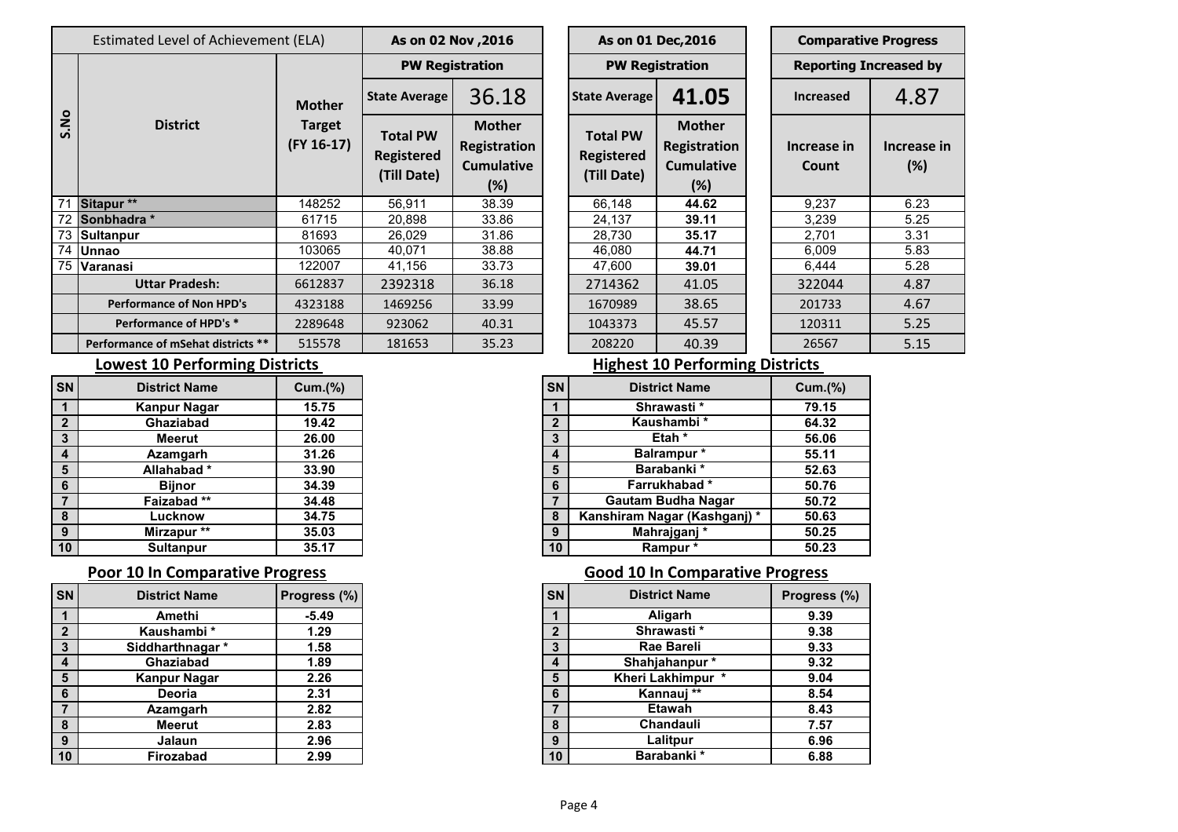|      | Estimated Level of Achievement (ELA) | As on 02 Nov , 2016               |                                                     | As on 01 Dec, 2016                                           |  |                                                     | <b>Comparative Progres</b>                                |  |                              |                |  |
|------|--------------------------------------|-----------------------------------|-----------------------------------------------------|--------------------------------------------------------------|--|-----------------------------------------------------|-----------------------------------------------------------|--|------------------------------|----------------|--|
|      |                                      | <b>Mother</b>                     | <b>PW Registration</b>                              |                                                              |  |                                                     | <b>PW Registration</b>                                    |  | <b>Reporting Increased I</b> |                |  |
| S.No |                                      |                                   | <b>State Average</b>                                | 36.18                                                        |  | <b>State Average</b>                                | 41.05                                                     |  | <b>Increased</b>             | $4.8^\circ$    |  |
|      | <b>District</b>                      | <b>Target</b><br>$($ FY 16-17 $)$ | <b>Total PW</b><br><b>Registered</b><br>(Till Date) | <b>Mother</b><br>Registration<br><b>Cumulative</b><br>$(\%)$ |  | <b>Total PW</b><br><b>Registered</b><br>(Till Date) | <b>Mother</b><br>Registration<br><b>Cumulative</b><br>(%) |  | Increase in<br>Count         | Increas<br>(%) |  |
| 71   | Sitapur **                           | 148252                            | 56,911                                              | 38.39                                                        |  | 66,148                                              | 44.62                                                     |  | 9,237                        | 6.23           |  |
|      | 72 Sonbhadra *                       | 61715                             | 20,898                                              | 33.86                                                        |  | 24,137                                              | 39.11                                                     |  | 3,239                        | 5.25           |  |
|      | 73 Sultanpur                         | 81693                             | 26,029                                              | 31.86                                                        |  | 28,730                                              | 35.17                                                     |  | 2,701                        | 3.31           |  |
|      | 74 Unnao                             | 103065                            | 40,071                                              | 38.88                                                        |  | 46,080                                              | 44.71                                                     |  | 6,009                        | 5.83           |  |
|      | 75 Varanasi                          | 122007                            | 41,156                                              | 33.73                                                        |  | 47,600                                              | 39.01                                                     |  | 6,444                        | 5.28           |  |
|      | <b>Uttar Pradesh:</b>                | 6612837                           | 2392318                                             | 36.18                                                        |  | 2714362                                             | 41.05                                                     |  | 322044                       | 4.87           |  |
|      | <b>Performance of Non HPD's</b>      | 4323188                           | 1469256                                             | 33.99                                                        |  | 1670989                                             | 38.65                                                     |  | 201733                       | 4.67           |  |
|      | Performance of HPD's *               | 2289648                           | 923062                                              | 40.31                                                        |  | 1043373                                             | 45.57                                                     |  | 120311                       | 5.25           |  |
|      | Performance of mSehat districts **   | 515578                            | 181653                                              | 35.23                                                        |  | 208220                                              | 40.39                                                     |  | 26567                        | 5.15           |  |

| As on 02 Nov , 2016                                 |                                                                  |  | As on 01 Dec, 2016                                  |                                                                  |  | <b>Comparative Progress</b>   |                   |  |
|-----------------------------------------------------|------------------------------------------------------------------|--|-----------------------------------------------------|------------------------------------------------------------------|--|-------------------------------|-------------------|--|
| <b>PW Registration</b>                              |                                                                  |  | <b>PW Registration</b>                              |                                                                  |  | <b>Reporting Increased by</b> |                   |  |
| 36.18<br><b>State Average</b>                       |                                                                  |  | <b>State Average</b>                                | 41.05                                                            |  | <b>Increased</b>              | 4.87              |  |
| <b>Total PW</b><br><b>Registered</b><br>(Till Date) | <b>Mother</b><br><b>Registration</b><br><b>Cumulative</b><br>(%) |  | <b>Total PW</b><br><b>Registered</b><br>(Till Date) | <b>Mother</b><br><b>Registration</b><br><b>Cumulative</b><br>(%) |  | Increase in<br>Count          | Increase i<br>(%) |  |
| 56,911                                              | 38.39                                                            |  | 66,148                                              | 44.62                                                            |  | 9,237                         | 6.23              |  |
| 20,898                                              | 33.86                                                            |  | 24,137                                              | 39.11                                                            |  | 3,239                         | 5.25              |  |
| 26,029                                              | 31.86                                                            |  | 28,730                                              | 35.17                                                            |  | 2,701                         | 3.31              |  |
| 40,071                                              | 38.88                                                            |  | 46,080                                              | 44.71                                                            |  | 6,009                         | 5.83              |  |
| 41,156                                              | 33.73                                                            |  | 47,600                                              | 39.01                                                            |  | 6,444                         | 5.28              |  |
| 2392318                                             | 36.18                                                            |  | 2714362                                             | 41.05                                                            |  | 322044                        | 4.87              |  |
| 1469256                                             | 33.99                                                            |  | 1670989                                             | 38.65                                                            |  | 201733                        | 4.67              |  |
| 923062                                              | 40.31                                                            |  | 1043373                                             | 45.57                                                            |  | 120311                        | 5.25              |  |
| 181653                                              | 35.23                                                            |  | 208220                                              | 40.39                                                            |  | 26567                         | 5.15              |  |

**Increase in (%)**

## **Lowest 10 Performing Districts**

|    | <b>District Name</b> | Cum.(%) | <b>SN</b>    | <b>District Name</b>         | Cum.(%) |
|----|----------------------|---------|--------------|------------------------------|---------|
|    | <b>Kanpur Nagar</b>  | 15.75   |              | Shrawasti*                   |         |
|    | Ghaziabad            | 19.42   | $\mathbf{2}$ | Kaushambi *                  |         |
|    | Meerut               | 26.00   | 3            | Etah <sup>*</sup>            |         |
|    | Azamgarh             | 31.26   | 4            | <b>Balrampur</b> *           |         |
|    | Allahabad*           | 33.90   | 5            | Barabanki*                   |         |
|    | Bijnor               | 34.39   | 6            | Farrukhabad*                 |         |
|    | Faizabad**           | 34.48   |              | <b>Gautam Budha Nagar</b>    |         |
|    | Lucknow              | 34.75   | 8            | Kanshiram Nagar (Kashganj) * |         |
|    | Mirzapur **          | 35.03   | 9            | Mahrajganj *                 |         |
| 10 | <b>Sultanpur</b>     | 35.17   | 10           | Rampur*                      |         |

| lsn             | <b>District Name</b> | Progress (%) | <b>SN</b>   | <b>District Name</b> | <b>Progress</b> |
|-----------------|----------------------|--------------|-------------|----------------------|-----------------|
| $\overline{1}$  | Amethi               | $-5.49$      |             | Aligarh              | 9.39            |
| $\overline{2}$  | Kaushambi *          | 1.29         | $\mathbf 2$ | Shrawasti*           | 9.38            |
| $\mathbf{3}$    | Siddharthnagar *     | 1.58         | 3           | <b>Rae Bareli</b>    | 9.33            |
| $\overline{4}$  | Ghaziabad            | 1.89         | 4           | Shahjahanpur*        | 9.32            |
| $5\phantom{1}$  | <b>Kanpur Nagar</b>  | 2.26         | 5           | Kheri Lakhimpur *    | 9.04            |
| $6\phantom{1}6$ | Deoria               | 2.31         | 6           | Kannauj **           | 8.54            |
| $\overline{7}$  | Azamgarh             | 2.82         | 7           | <b>Etawah</b>        | 8.43            |
| 8               | Meerut               | 2.83         | 8           | Chandauli            | 7.57            |
| 9               | Jalaun               | 2.96         | 9           | Lalitpur             | 6.96            |
| 10              | Firozabad            | 2.99         | 10          | Barabanki *          | 6.88            |

### **Highest 10 Performing Districts**

| <b>SN</b>      | <b>District Name</b>        | Cum.(%) |
|----------------|-----------------------------|---------|
| 1              | Shrawasti*                  | 79.15   |
| $\overline{2}$ | Kaushambi *                 | 64.32   |
| $\mathbf{3}$   | Etah *                      | 56.06   |
| 4              | Balrampur*                  | 55.11   |
| $5\phantom{1}$ | Barabanki *                 | 52.63   |
| 6              | Farrukhabad*                | 50.76   |
|                | <b>Gautam Budha Nagar</b>   | 50.72   |
| 8              | Kanshiram Nagar (Kashganj)* | 50.63   |
| 9              | Mahrajganj*                 | 50.25   |
| 10             | Rampur*                     | 50.23   |

### **Poor 10 In Comparative Progress Good 10 In Comparative Progress**

|                 | <b>District Name</b> | Progress (%) | <b>SN</b> | <b>District Name</b> | Progress (%) |
|-----------------|----------------------|--------------|-----------|----------------------|--------------|
|                 | Amethi               | $-5.49$      |           | Aligarh              |              |
|                 | Kaushambi *          | 1.29         | ŋ         | Shrawasti*           |              |
|                 | Siddharthnagar *     | 1.58         |           | Rae Bareli           |              |
|                 | Ghaziabad            | 1.89         | 4         | Shahjahanpur*        |              |
|                 | <b>Kanpur Nagar</b>  | 2.26         | 5         | Kheri Lakhimpur *    |              |
|                 | Deoria               | 2.31         | 6         | Kannauj **           |              |
|                 | Azamgarh             | 2.82         |           | <b>Etawah</b>        |              |
|                 | <b>Meerut</b>        | 2.83         | 8         | Chandauli            |              |
|                 | <b>Jalaun</b>        | 2.96         | 9         | Lalitpur             |              |
| 10 <sup>°</sup> | Firozabad            | 2.99         | 10        | Barabanki *          |              |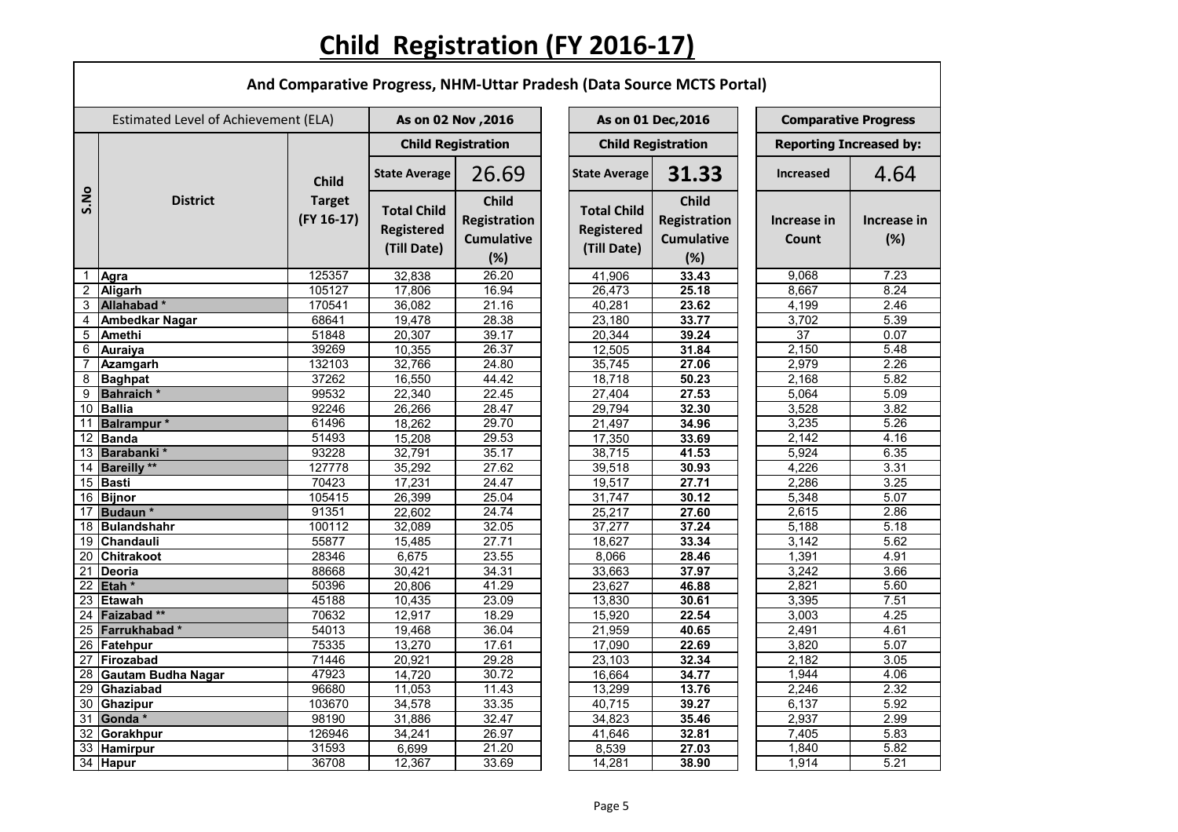# **Child Registration (FY 2016-17)**

Г

|                | And Comparative Progress, NHM-Uttar Pradesh (Data Source MCTS Portal) |                                             |                                                        |                                                          |  |                                                        |                                                          |                                |                    |  |  |  |  |
|----------------|-----------------------------------------------------------------------|---------------------------------------------|--------------------------------------------------------|----------------------------------------------------------|--|--------------------------------------------------------|----------------------------------------------------------|--------------------------------|--------------------|--|--|--|--|
|                | Estimated Level of Achievement (ELA)                                  |                                             | As on 02 Nov , 2016                                    |                                                          |  | As on 01 Dec, 2016                                     |                                                          | <b>Comparative Progress</b>    |                    |  |  |  |  |
|                | <b>District</b>                                                       | <b>Child</b><br><b>Target</b><br>(FY 16-17) | <b>Child Registration</b>                              |                                                          |  |                                                        | <b>Child Registration</b>                                | <b>Reporting Increased by:</b> |                    |  |  |  |  |
|                |                                                                       |                                             | <b>State Average</b>                                   | 26.69                                                    |  | <b>State Average</b>                                   | 31.33                                                    | <b>Increased</b>               | 4.64               |  |  |  |  |
| S.No           |                                                                       |                                             | <b>Total Child</b><br><b>Registered</b><br>(Till Date) | <b>Child</b><br>Registration<br><b>Cumulative</b><br>(%) |  | <b>Total Child</b><br><b>Registered</b><br>(Till Date) | <b>Child</b><br>Registration<br><b>Cumulative</b><br>(%) | Increase in<br>Count           | Increase in<br>(%) |  |  |  |  |
|                | Agra                                                                  | 125357                                      | 32,838                                                 | 26.20                                                    |  | 41,906                                                 | 33.43                                                    | 9,068                          | 7.23               |  |  |  |  |
| $\overline{2}$ | <b>Aligarh</b>                                                        | 105127                                      | 17,806                                                 | 16.94                                                    |  | 26,473                                                 | 25.18                                                    | 8,667                          | 8.24               |  |  |  |  |
| $\overline{3}$ | Allahabad*                                                            | 170541                                      | 36,082                                                 | 21.16                                                    |  | 40,281                                                 | 23.62                                                    | 4,199                          | 2.46               |  |  |  |  |
| 4              | <b>Ambedkar Nagar</b>                                                 | 68641                                       | 19,478                                                 | 28.38                                                    |  | 23,180                                                 | 33.77                                                    | 3,702                          | 5.39               |  |  |  |  |
| 5 <sup>5</sup> | <b>Amethi</b>                                                         | 51848                                       | 20,307                                                 | 39.17                                                    |  | 20,344                                                 | 39.24                                                    | $\overline{37}$                | 0.07               |  |  |  |  |
| 6              | <b>Auraiya</b>                                                        | 39269                                       | 10,355                                                 | 26.37                                                    |  | 12,505                                                 | 31.84                                                    | 2,150                          | 5.48               |  |  |  |  |
|                | Azamgarh                                                              | 132103                                      | 32,766                                                 | 24.80                                                    |  | 35,745                                                 | 27.06                                                    | 2,979                          | 2.26               |  |  |  |  |
| 8              | <b>Baghpat</b>                                                        | 37262                                       | 16,550                                                 | 44.42                                                    |  | 18,718                                                 | 50.23                                                    | 2,168                          | 5.82               |  |  |  |  |
| 9              | <b>Bahraich</b> *                                                     | 99532                                       | 22,340                                                 | 22.45                                                    |  | 27,404                                                 | 27.53                                                    | 5,064                          | 5.09               |  |  |  |  |
|                | 10 Ballia                                                             | 92246                                       | 26,266                                                 | 28.47                                                    |  | 29,794                                                 | 32.30                                                    | 3,528                          | 3.82               |  |  |  |  |
|                | 11 Balrampur *                                                        | 61496                                       | 18,262                                                 | 29.70                                                    |  | 21,497                                                 | 34.96                                                    | 3,235                          | 5.26               |  |  |  |  |
|                | 12 Banda                                                              | 51493                                       | 15,208                                                 | 29.53<br>35.17                                           |  | 17,350                                                 | 33.69                                                    | 2,142                          | 4.16               |  |  |  |  |
|                | 13 Barabanki*<br>14 Bareilly **                                       | 93228<br>127778                             | 32,791                                                 | 27.62                                                    |  | 38,715                                                 | 41.53<br>30.93                                           | 5,924                          | 6.35<br>3.31       |  |  |  |  |
|                | 15 Basti                                                              | 70423                                       | 35,292                                                 | 24.47                                                    |  | 39,518                                                 | 27.71                                                    | 4,226<br>2,286                 | 3.25               |  |  |  |  |
|                | 16 Bijnor                                                             | 105415                                      | 17,231<br>26,399                                       | 25.04                                                    |  | 19,517<br>31,747                                       | 30.12                                                    | 5,348                          | 5.07               |  |  |  |  |
| 17             | Budaun*                                                               | 91351                                       | 22,602                                                 | 24.74                                                    |  | 25,217                                                 | 27.60                                                    | 2,615                          | 2.86               |  |  |  |  |
|                | 18 Bulandshahr                                                        | 100112                                      | 32,089                                                 | 32.05                                                    |  | 37,277                                                 | 37.24                                                    | 5,188                          | 5.18               |  |  |  |  |
|                | 19 Chandauli                                                          | 55877                                       | 15,485                                                 | 27.71                                                    |  | 18,627                                                 | 33.34                                                    | 3,142                          | 5.62               |  |  |  |  |
|                | 20 Chitrakoot                                                         | 28346                                       | 6,675                                                  | 23.55                                                    |  | 8,066                                                  | 28.46                                                    | 1,391                          | 4.91               |  |  |  |  |
|                | $\overline{21}$ Deoria                                                | 88668                                       | 30,421                                                 | 34.31                                                    |  | 33,663                                                 | 37.97                                                    | 3,242                          | 3.66               |  |  |  |  |
|                | 22 Etah *                                                             | 50396                                       | 20,806                                                 | 41.29                                                    |  | 23,627                                                 | 46.88                                                    | 2,821                          | 5.60               |  |  |  |  |
|                | 23 Etawah                                                             | 45188                                       | 10,435                                                 | 23.09                                                    |  | 13,830                                                 | 30.61                                                    | 3,395                          | 7.51               |  |  |  |  |
|                | 24 Faizabad **                                                        | 70632                                       | 12,917                                                 | 18.29                                                    |  | 15,920                                                 | 22.54                                                    | 3,003                          | 4.25               |  |  |  |  |
|                | 25 Farrukhabad *                                                      | 54013                                       | 19,468                                                 | 36.04                                                    |  | 21,959                                                 | 40.65                                                    | 2,491                          | 4.61               |  |  |  |  |
|                | 26 Fatehpur                                                           | 75335                                       | 13,270                                                 | 17.61                                                    |  | 17,090                                                 | 22.69                                                    | 3,820                          | 5.07               |  |  |  |  |
|                | 27 Firozabad                                                          | 71446                                       | 20,921                                                 | 29.28                                                    |  | 23,103                                                 | 32.34                                                    | 2,182                          | 3.05               |  |  |  |  |
|                | 28 Gautam Budha Nagar                                                 | 47923                                       | 14,720                                                 | 30.72                                                    |  | 16,664                                                 | 34.77                                                    | 1,944                          | 4.06               |  |  |  |  |
|                | 29 Ghaziabad                                                          | 96680                                       | 11,053                                                 | 11.43                                                    |  | 13,299                                                 | 13.76                                                    | 2,246                          | 2.32               |  |  |  |  |
|                | 30 Ghazipur                                                           | 103670                                      | 34,578                                                 | 33.35                                                    |  | 40,715                                                 | 39.27                                                    | 6,137                          | 5.92               |  |  |  |  |
|                | 31 Gonda $*$                                                          | 98190                                       | 31,886                                                 | 32.47                                                    |  | 34,823                                                 | 35.46                                                    | 2,937                          | 2.99               |  |  |  |  |
|                | 32 Gorakhpur                                                          | 126946                                      | 34,241                                                 | 26.97                                                    |  | 41,646                                                 | 32.81                                                    | 7,405                          | 5.83               |  |  |  |  |
|                | 33 Hamirpur                                                           | 31593                                       | 6,699                                                  | 21.20                                                    |  | 8,539                                                  | 27.03                                                    | 1,840                          | 5.82               |  |  |  |  |
|                | 34 Hapur                                                              | 36708                                       | 12,367                                                 | 33.69                                                    |  | 14,281                                                 | 38.90                                                    | 1,914                          | 5.21               |  |  |  |  |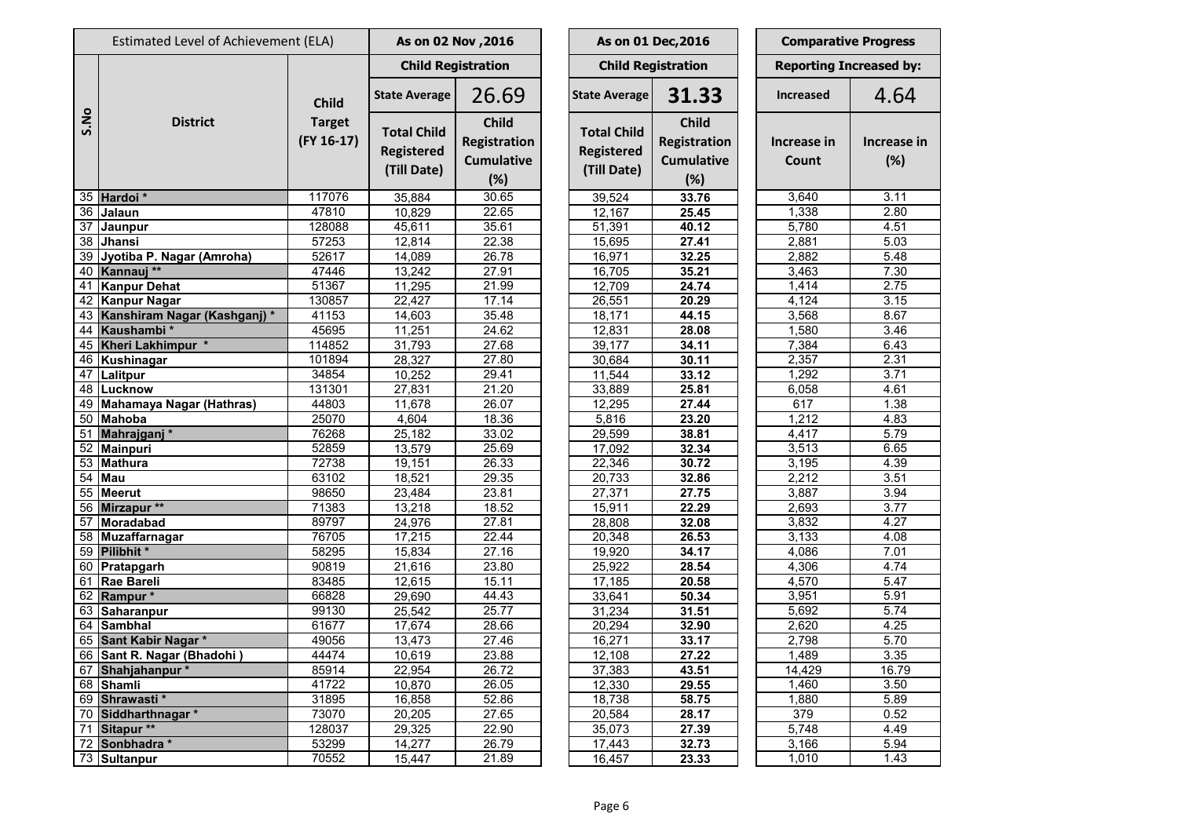| Estimated Level of Achievement (ELA) |                              |                                               | As on 02 Nov , 2016                                    |                                                                 |                                                        | As on 01 Dec, 2016                                       | <b>Comparative Progress</b> |                                |  |
|--------------------------------------|------------------------------|-----------------------------------------------|--------------------------------------------------------|-----------------------------------------------------------------|--------------------------------------------------------|----------------------------------------------------------|-----------------------------|--------------------------------|--|
|                                      |                              | <b>Child</b><br><b>Target</b><br>$(FY 16-17)$ | <b>Child Registration</b>                              |                                                                 |                                                        | <b>Child Registration</b>                                |                             | <b>Reporting Increased by:</b> |  |
|                                      |                              |                                               | <b>State Average</b>                                   | 26.69                                                           | <b>State Average</b>                                   | 31.33                                                    | <b>Increased</b>            | 4.64                           |  |
| S.No                                 | <b>District</b>              |                                               | <b>Total Child</b><br><b>Registered</b><br>(Till Date) | <b>Child</b><br><b>Registration</b><br><b>Cumulative</b><br>(%) | <b>Total Child</b><br><b>Registered</b><br>(Till Date) | <b>Child</b><br>Registration<br><b>Cumulative</b><br>(%) | Increase in<br>Count        | Increase ir<br>(%)             |  |
|                                      | 35 Hardoi *                  | 117076                                        | 35,884                                                 | 30.65                                                           | 39,524                                                 | 33.76                                                    | 3,640                       | 3.11                           |  |
| 36                                   | Jalaun                       | 47810                                         | 10,829                                                 | 22.65                                                           | 12,167                                                 | 25.45                                                    | 1,338                       | 2.80                           |  |
| 37                                   | Jaunpur                      | 128088                                        | 45,611                                                 | 35.61                                                           | 51,391                                                 | 40.12                                                    | 5,780                       | 4.51                           |  |
| 38                                   | <b>Jhansi</b>                | 57253                                         | 12,814                                                 | 22.38                                                           | 15,695                                                 | 27.41                                                    | 2,881                       | 5.03                           |  |
| 39                                   | Jyotiba P. Nagar (Amroha)    | 52617                                         | 14,089                                                 | 26.78                                                           | 16,971                                                 | 32.25                                                    | 2,882                       | 5.48                           |  |
|                                      | 40 Kannauj **                | 47446                                         | 13,242                                                 | 27.91                                                           | 16,705                                                 | 35.21                                                    | 3,463                       | 7.30                           |  |
| 41                                   | <b>Kanpur Dehat</b>          | 51367                                         | 11,295                                                 | 21.99                                                           | 12,709                                                 | 24.74                                                    | 1,414                       | 2.75                           |  |
| 42                                   | <b>Kanpur Nagar</b>          | 130857                                        | 22,427                                                 | 17.14                                                           | 26,551                                                 | 20.29                                                    | 4,124                       | 3.15                           |  |
| 43                                   | Kanshiram Nagar (Kashganj) * | 41153                                         | 14,603                                                 | 35.48                                                           | 18,171                                                 | 44.15                                                    | 3,568                       | 8.67                           |  |
| 44                                   | Kaushambi*                   | 45695                                         | 11,251                                                 | 24.62                                                           | 12,831                                                 | 28.08                                                    | 1,580                       | 3.46                           |  |
| 45                                   | Kheri Lakhimpur *            | 114852                                        | 31,793                                                 | 27.68                                                           | 39,177                                                 | 34.11                                                    | 7,384                       | 6.43                           |  |
| 46                                   | Kushinagar                   | 101894                                        | 28,327                                                 | 27.80                                                           | 30,684                                                 | 30.11                                                    | 2,357                       | 2.31                           |  |
| 47                                   | Lalitpur                     | 34854                                         | 10,252                                                 | 29.41                                                           | 11,544                                                 | 33.12                                                    | 1,292                       | 3.71                           |  |
| 48                                   | Lucknow                      | 131301                                        | 27,831                                                 | 21.20                                                           | 33,889                                                 | 25.81                                                    | 6,058                       | 4.61                           |  |
| 49                                   | Mahamaya Nagar (Hathras)     | 44803                                         | 11,678                                                 | 26.07                                                           | 12,295                                                 | 27.44                                                    | 617                         | 1.38                           |  |
| 50                                   | Mahoba                       | 25070                                         | 4,604                                                  | 18.36                                                           | 5,816                                                  | 23.20                                                    | 1,212                       | 4.83                           |  |
| 51                                   | Mahrajganj*                  | 76268                                         | 25,182                                                 | 33.02                                                           | 29,599                                                 | 38.81                                                    | 4,417                       | 5.79                           |  |
| 52                                   | Mainpuri                     | 52859                                         | 13,579                                                 | 25.69                                                           | 17,092                                                 | 32.34                                                    | 3,513                       | 6.65                           |  |
| 53                                   | <b>Mathura</b>               | 72738                                         | 19,151                                                 | 26.33                                                           | 22,346                                                 | 30.72                                                    | 3,195                       | 4.39                           |  |
| 54                                   | <b>Mau</b>                   | 63102                                         | 18,521                                                 | 29.35                                                           | 20,733                                                 | 32.86                                                    | 2,212                       | 3.51                           |  |
| 55                                   | <b>Meerut</b>                | 98650                                         | 23,484                                                 | 23.81                                                           | 27,371                                                 | 27.75                                                    | 3,887                       | 3.94                           |  |
| 56                                   | Mirzapur **                  | 71383                                         | 13,218                                                 | 18.52                                                           | 15,911                                                 | 22.29                                                    | $\overline{2,693}$          | 3.77                           |  |
| 57                                   | Moradabad                    | 89797                                         | 24,976                                                 | 27.81                                                           | 28,808                                                 | 32.08                                                    | 3,832                       | 4.27                           |  |
| 58                                   | Muzaffarnagar                | 76705                                         | 17,215                                                 | 22.44                                                           | 20,348                                                 | 26.53                                                    | 3,133                       | 4.08                           |  |
| 59                                   | Pilibhit*                    | 58295                                         | 15,834                                                 | 27.16                                                           | 19,920                                                 | 34.17                                                    | 4,086                       | 7.01                           |  |
|                                      | 60 Pratapgarh                | 90819                                         | 21,616                                                 | 23.80                                                           | 25,922                                                 | 28.54                                                    | 4,306                       | 4.74                           |  |
|                                      | 61   Rae Bareli              | 83485                                         | 12,615                                                 | 15.11                                                           | 17,185                                                 | 20.58                                                    | 4,570                       | $\overline{5.47}$              |  |
|                                      | 62 Rampur *                  | 66828                                         | 29,690                                                 | 44.43                                                           | 33,641                                                 | 50.34                                                    | 3,951                       | 5.91                           |  |
|                                      | 63 Saharanpur                | 99130                                         | 25,542                                                 | 25.77                                                           | 31,234                                                 | 31.51                                                    | 5,692                       | 5.74                           |  |
|                                      | $\overline{64}$ Sambhal      | 61677                                         | 17,674                                                 | 28.66                                                           | 20,294                                                 | 32.90                                                    | 2,620                       | 4.25                           |  |
|                                      | 65 Sant Kabir Nagar *        | 49056                                         | 13,473                                                 | 27.46                                                           | 16,271                                                 | 33.17                                                    | 2,798                       | 5.70                           |  |
|                                      | 66 Sant R. Nagar (Bhadohi)   | 44474                                         | 10,619                                                 | 23.88                                                           | 12,108                                                 | 27.22                                                    | 1,489                       | 3.35                           |  |
|                                      | 67 Shahjahanpur*             | 85914                                         | 22,954                                                 | 26.72                                                           | 37,383                                                 | 43.51                                                    | 14,429                      | 16.79                          |  |
|                                      | 68 Shamli                    | 41722                                         | 10,870                                                 | 26.05                                                           | 12,330                                                 | 29.55                                                    | 1,460                       | 3.50                           |  |
|                                      | 69 Shrawasti *               | 31895                                         | 16,858                                                 | 52.86                                                           | 18,738                                                 | 58.75                                                    | 1,880                       | 5.89                           |  |
| 70                                   | Siddharthnagar *             | 73070                                         | 20,205                                                 | 27.65                                                           | 20,584                                                 | 28.17                                                    | 379                         | 0.52                           |  |
| 71                                   | Sitapur **                   | 128037                                        | 29,325                                                 | 22.90                                                           | 35,073                                                 | 27.39                                                    | 5,748                       | 4.49                           |  |
| 72                                   | Sonbhadra *                  | 53299                                         | 14,277                                                 | 26.79                                                           | 17,443                                                 | 32.73                                                    | 3,166                       | 5.94                           |  |
|                                      | 73 Sultanpur                 | 70552                                         | 15,447                                                 | 21.89                                                           | 16,457                                                 | 23.33                                                    | 1,010                       | 1.43                           |  |

**Increase in (%)**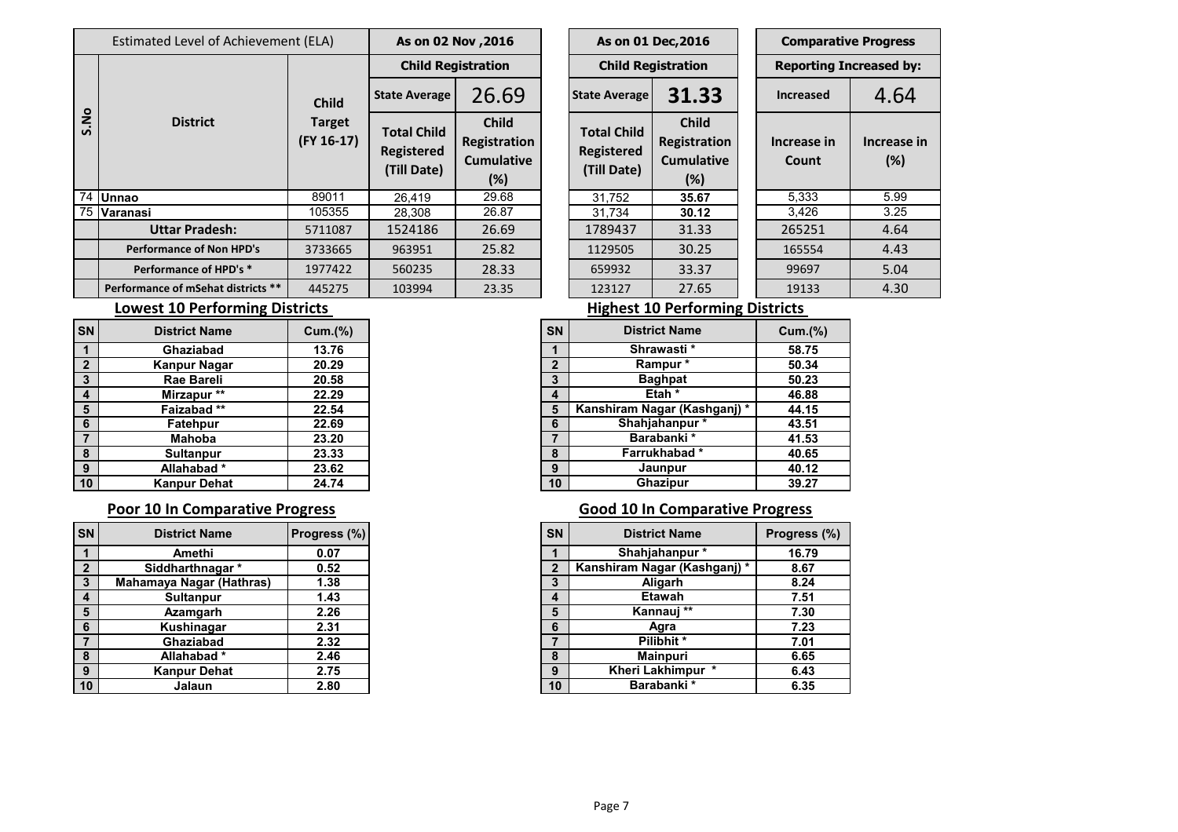|                 | Estimated Level of Achievement (ELA) | As on 02 Nov , 2016               |                                                        |                                                          | As on 01 Dec, 2016 |                                                        |                                                             | <b>Comparative Progress</b> |                               |                        |
|-----------------|--------------------------------------|-----------------------------------|--------------------------------------------------------|----------------------------------------------------------|--------------------|--------------------------------------------------------|-------------------------------------------------------------|-----------------------------|-------------------------------|------------------------|
|                 |                                      |                                   | <b>Child Registration</b>                              |                                                          |                    | <b>Child Registration</b>                              |                                                             |                             | <b>Reporting Increased by</b> |                        |
| ON.<br><u>ທ</u> | <b>District</b>                      | <b>Child</b>                      | <b>State Average</b>                                   | 26.69                                                    |                    | <b>State Average</b>                                   | 31.33                                                       |                             | <b>Increased</b>              | 4.64                   |
|                 |                                      | <b>Target</b><br>$($ FY 16-17 $)$ | <b>Total Child</b><br><b>Registered</b><br>(Till Date) | <b>Child</b><br>Registration<br><b>Cumulative</b><br>(%) |                    | <b>Total Child</b><br><b>Registered</b><br>(Till Date) | <b>Child</b><br>Registration<br><b>Cumulative</b><br>$(\%)$ |                             | Increase in<br><b>Count</b>   | <b>Increase</b><br>(%) |
|                 | 74 Unnao                             | 89011                             | 26,419                                                 | 29.68                                                    |                    | 31,752                                                 | 35.67                                                       |                             | 5,333                         | 5.99                   |
|                 | 75 Varanasi                          | 105355                            | 28,308                                                 | 26.87                                                    |                    | 31,734                                                 | 30.12                                                       |                             | 3,426                         | 3.25                   |
|                 | <b>Uttar Pradesh:</b>                | 5711087                           | 1524186                                                | 26.69                                                    |                    | 1789437                                                | 31.33                                                       |                             | 265251                        | 4.64                   |
|                 | <b>Performance of Non HPD's</b>      | 3733665                           | 963951                                                 | 25.82                                                    |                    | 1129505                                                | 30.25                                                       |                             | 165554                        | 4.43                   |
|                 | Performance of HPD's *               | 1977422                           | 560235                                                 | 28.33                                                    |                    | 659932                                                 | 33.37                                                       |                             | 99697                         | 5.04                   |
|                 | Performance of mSehat districts **   | 445275                            | 103994                                                 | 23.35                                                    |                    | 123127                                                 | 27.65                                                       |                             | 19133                         | 4.30                   |

| As on 02 Nov , 2016                                    |                                                          |                                                                                                                    |                           | As on 01 Dec, 2016 |                      |                                | <b>Comparative Progress</b> |  |  |  |
|--------------------------------------------------------|----------------------------------------------------------|--------------------------------------------------------------------------------------------------------------------|---------------------------|--------------------|----------------------|--------------------------------|-----------------------------|--|--|--|
| <b>Child Registration</b>                              |                                                          |                                                                                                                    | <b>Child Registration</b> |                    |                      | <b>Reporting Increased by:</b> |                             |  |  |  |
| 26.69<br><b>State Average</b>                          |                                                          |                                                                                                                    | <b>State Average</b>      | 31.33              |                      | <b>Increased</b>               | 4.64                        |  |  |  |
| <b>Total Child</b><br><b>Registered</b><br>(Till Date) | <b>Child</b><br>Registration<br><b>Cumulative</b><br>(%) | <b>Child</b><br><b>Total Child</b><br>Registration<br><b>Registered</b><br><b>Cumulative</b><br>(Till Date)<br>(%) |                           |                    | Increase in<br>Count | Increase in<br>(%)             |                             |  |  |  |
| 26,419                                                 | 29.68                                                    |                                                                                                                    | 31,752                    | 35.67              |                      | 5,333                          | 5.99                        |  |  |  |
| 28,308                                                 | 26.87                                                    |                                                                                                                    | 31,734                    | 30.12              |                      | 3,426                          | 3.25                        |  |  |  |
| 1524186                                                | 26.69                                                    |                                                                                                                    | 1789437                   | 31.33              |                      | 265251                         | 4.64                        |  |  |  |
| 963951                                                 | 25.82                                                    |                                                                                                                    | 1129505                   | 30.25              |                      | 165554                         | 4.43                        |  |  |  |
| 560235                                                 | 28.33                                                    |                                                                                                                    | 659932                    | 33.37              |                      | 99697                          | 5.04                        |  |  |  |
| 103994                                                 | 23.35                                                    |                                                                                                                    | 123127                    | 27.65              |                      | 19133                          | 4.30                        |  |  |  |

## **Lowest 10 Performing Districts Lowest 10 Performing Districts**

| <b>District Name</b> | Cum.(% ) | <b>SN</b>         | <b>District Name</b>         |
|----------------------|----------|-------------------|------------------------------|
| Ghaziabad            | 13.76    |                   | Shrawasti*                   |
| <b>Kanpur Nagar</b>  | 20.29    | $\mathbf{\Omega}$ | Rampur*                      |
| <b>Rae Bareli</b>    | 20.58    | 3                 | <b>Baghpat</b>               |
| Mirzapur **          | 22.29    | 4                 | Etah *                       |
| Faizabad**           | 22.54    |                   | Kanshiram Nagar (Kashganj) * |
| Fatehpur             | 22.69    | 6                 | Shahjahanpur*                |
| <b>Mahoba</b>        | 23.20    |                   | Barabanki *                  |
| <b>Sultanpur</b>     | 23.33    | 8                 | Farrukhabad*                 |
| Allahabad*           | 23.62    | 9                 | Jaunpur                      |
| <b>Kanpur Dehat</b>  | 24.74    | 10                | Ghazipur                     |

| <b>District Name</b>            | <b>Progress (%)</b> | <b>SN</b> | <b>District Name</b>         | Progress (%) |
|---------------------------------|---------------------|-----------|------------------------------|--------------|
| Amethi                          | 0.07                |           | Shahjahanpur*                |              |
| Siddharthnagar *                | 0.52                |           | Kanshiram Nagar (Kashganj) * |              |
| <b>Mahamaya Nagar (Hathras)</b> | 1.38                |           | Aligarh                      |              |
| <b>Sultanpur</b>                | 1.43                |           | <b>Etawah</b>                |              |
| Azamgarh                        | 2.26                | 5         | Kannauj **                   |              |
| Kushinagar                      | 2.31                | 6         | Agra                         |              |
| Ghaziabad                       | 2.32                |           | Pilibhit *                   |              |
| Allahabad*                      | 2.46                | 8         | <b>Mainpuri</b>              |              |
| <b>Kanpur Dehat</b>             | 2.75                | 9         | Kheri Lakhimpur *            |              |
| Jalaun                          | 2.80                | 10        | Barabanki *                  |              |

|                | DISUICL NAME        | $U$ ulli $(70)$ | 5N. | PISUIVU INGIIIU              |
|----------------|---------------------|-----------------|-----|------------------------------|
|                | Ghaziabad           | 13.76           |     | Shrawasti*                   |
|                | <b>Kanpur Nagar</b> | 20.29           |     | Rampur *                     |
| $\mathbf{3}$   | Rae Bareli          | 20.58           | 3   | <b>Baghpat</b>               |
| $\blacksquare$ | Mirzapur **         | 22.29           | 4   | Etah *                       |
| 5              | Faizabad**          | 22.54           | 5   | Kanshiram Nagar (Kashganj) * |
| -6             | <b>Fatehpur</b>     | 22.69           |     | Shahjahanpur*                |
|                | <b>Mahoba</b>       | 23.20           |     | Barabanki *                  |
| -8             | <b>Sultanpur</b>    | 23.33           | 8   | Farrukhabad*                 |
| 9              | Allahabad*          | 23.62           | 9   | Jaunpur                      |
| 10             | <b>Kanpur Dehat</b> | 24.74           | 10  | <b>Ghazipur</b>              |

### **Poor 10 In Comparative Progress Comparative Progress Good 10 In Comparative Progress**

| <b>SN</b>    | <b>District Name</b>            | Progress (%) | <b>SN</b> | <b>District Name</b>         | <b>Progress</b> |
|--------------|---------------------------------|--------------|-----------|------------------------------|-----------------|
|              | Amethi                          | 0.07         |           | Shahjahanpur*                | 16.79           |
| 2            | Siddharthnagar *                | 0.52         |           | Kanshiram Nagar (Kashganj) * |                 |
| $\mathbf{3}$ | <b>Mahamaya Nagar (Hathras)</b> | 1.38         |           | <b>Aligarh</b>               |                 |
|              | <b>Sultanpur</b>                | 1.43         | 4         | <b>Etawah</b>                |                 |
| 5            | Azamgarh                        | 2.26         | 5         | Kannauj **                   |                 |
| -6           | Kushinagar                      | 2.31         | 6         | Agra                         |                 |
|              | Ghaziabad                       | 2.32         |           | Pilibhit *                   |                 |
| 8            | Allahabad*                      | 2.46         |           | <b>Mainpuri</b>              |                 |
| -9           | Kanpur Dehat                    | 2.75         | 9         | Kheri Lakhimpur *            |                 |
| 10           | Jalaun                          | 2.80         | 10        | <b>Barabanki</b> *           |                 |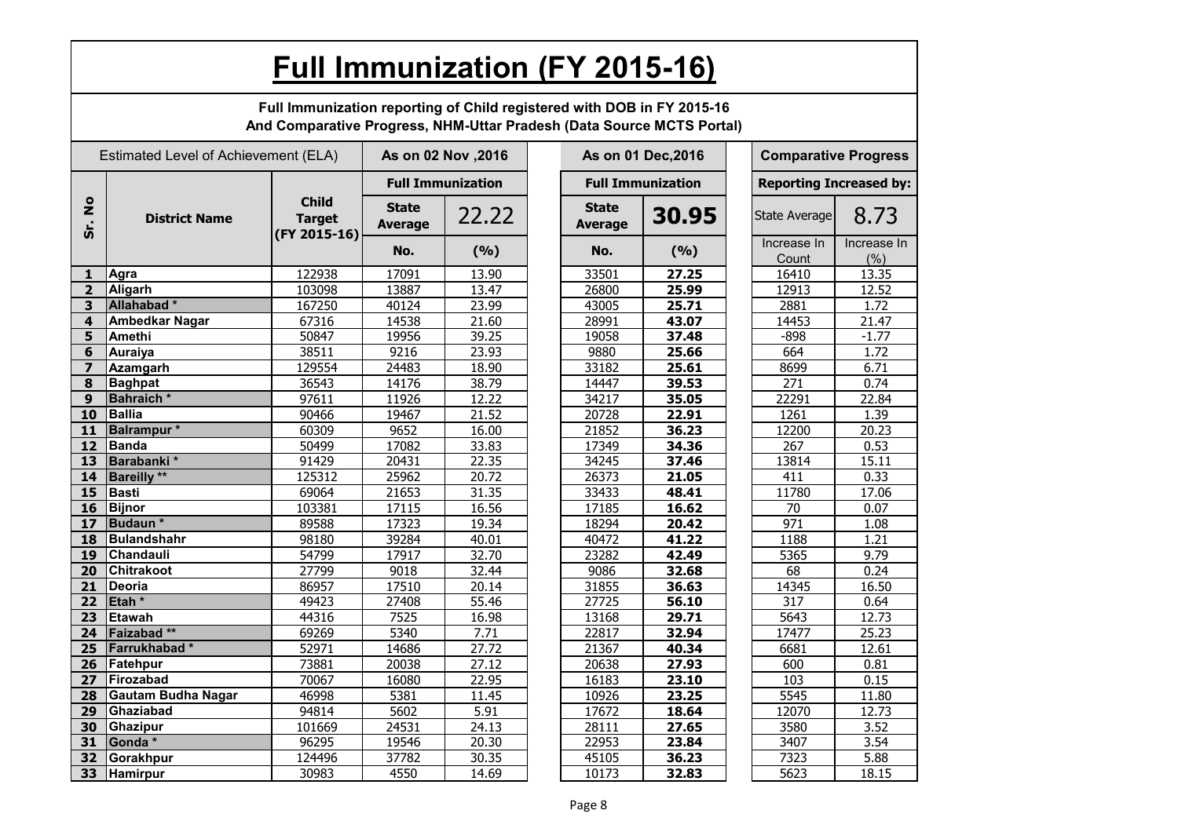|                                | <b>Full Immunization (FY 2015-16)</b>                                                                                                           |                                               |                                |                          |  |                                |                          |  |                                |                     |  |  |
|--------------------------------|-------------------------------------------------------------------------------------------------------------------------------------------------|-----------------------------------------------|--------------------------------|--------------------------|--|--------------------------------|--------------------------|--|--------------------------------|---------------------|--|--|
|                                | Full Immunization reporting of Child registered with DOB in FY 2015-16<br>And Comparative Progress, NHM-Uttar Pradesh (Data Source MCTS Portal) |                                               |                                |                          |  |                                |                          |  |                                |                     |  |  |
|                                | Estimated Level of Achievement (ELA)                                                                                                            |                                               |                                | As on 02 Nov , 2016      |  | As on 01 Dec, 2016             |                          |  | <b>Comparative Progress</b>    |                     |  |  |
|                                |                                                                                                                                                 |                                               |                                | <b>Full Immunization</b> |  |                                | <b>Full Immunization</b> |  | <b>Reporting Increased by:</b> |                     |  |  |
| $\circ$<br>$\mathbf{z}$<br>Sr. | <b>District Name</b>                                                                                                                            | <b>Child</b><br><b>Target</b><br>(FY 2015-16) | <b>State</b><br><b>Average</b> | 22.22                    |  | <b>State</b><br><b>Average</b> | 30.95                    |  | State Average                  | 8.73                |  |  |
|                                |                                                                                                                                                 |                                               | No.                            | (9/6)                    |  | No.                            | (%)                      |  | Increase In<br>Count           | Increase In<br>(% ) |  |  |
| 1                              | Agra                                                                                                                                            | 122938                                        | 17091                          | 13.90                    |  | 33501                          | 27.25                    |  | 16410                          | 13.35               |  |  |
| $\overline{2}$                 | <b>Aligarh</b>                                                                                                                                  | 103098                                        | 13887                          | 13.47                    |  | 26800                          | 25.99                    |  | 12913                          | 12.52               |  |  |
| 3                              | Allahabad <sup>*</sup>                                                                                                                          | 167250                                        | 40124                          | 23.99                    |  | 43005                          | 25.71                    |  | 2881                           | 1.72                |  |  |
| 4                              | <b>Ambedkar Nagar</b>                                                                                                                           | 67316                                         | 14538                          | 21.60                    |  | 28991                          | 43.07                    |  | 14453                          | 21.47               |  |  |
| 5                              | <b>Amethi</b>                                                                                                                                   | 50847                                         | 19956                          | 39.25                    |  | 19058                          | 37.48                    |  | $-898$                         | $-1.77$             |  |  |
| 6                              | <b>Auraiya</b>                                                                                                                                  | 38511                                         | 9216                           | 23.93                    |  | 9880                           | 25.66                    |  | 664                            | 1.72                |  |  |
| $\overline{\mathbf{z}}$        | <b>Azamgarh</b>                                                                                                                                 | 129554                                        | 24483                          | 18.90                    |  | 33182                          | 25.61                    |  | 8699                           | 6.71                |  |  |
| 8                              | <b>Baghpat</b>                                                                                                                                  | 36543                                         | 14176                          | 38.79                    |  | 14447                          | 39.53                    |  | 271                            | 0.74                |  |  |
| 9                              | <b>Bahraich</b> *                                                                                                                               | 97611                                         | 11926                          | 12.22                    |  | 34217                          | 35.05                    |  | 22291                          | 22.84               |  |  |
| 10                             | <b>Ballia</b>                                                                                                                                   | 90466                                         | 19467                          | 21.52                    |  | 20728                          | 22.91                    |  | 1261                           | 1.39                |  |  |
| 11                             | Balrampur*                                                                                                                                      | 60309                                         | 9652                           | 16.00                    |  | 21852                          | 36.23                    |  | 12200                          | 20.23               |  |  |
| 12                             | Banda                                                                                                                                           | 50499                                         | 17082                          | 33.83                    |  | 17349                          | 34.36                    |  | 267                            | 0.53                |  |  |
| 13                             | Barabanki*                                                                                                                                      | 91429                                         | 20431                          | 22.35                    |  | 34245                          | 37.46                    |  | 13814                          | 15.11               |  |  |
| 14                             | <b>Bareilly</b> **                                                                                                                              | 125312                                        | 25962                          | 20.72                    |  | 26373                          | 21.05                    |  | 411                            | 0.33                |  |  |
| 15                             | Basti                                                                                                                                           | 69064                                         | 21653                          | 31.35                    |  | 33433                          | 48.41                    |  | 11780                          | 17.06               |  |  |
| 16                             | Bijnor                                                                                                                                          | 103381                                        | 17115                          | 16.56                    |  | 17185                          | 16.62                    |  | 70                             | 0.07                |  |  |
| 17                             | Budaun <sup>*</sup>                                                                                                                             | 89588                                         | 17323                          | 19.34                    |  | 18294                          | 20.42                    |  | 971                            | 1.08                |  |  |
| 18                             | Bulandshahr                                                                                                                                     | 98180                                         | 39284                          | 40.01                    |  | 40472                          | 41.22                    |  | 1188                           | 1.21                |  |  |
| 19                             | <b>Chandauli</b>                                                                                                                                | 54799                                         | 17917                          | 32.70                    |  | 23282                          | 42.49                    |  | 5365                           | 9.79                |  |  |
| 20                             | <b>Chitrakoot</b>                                                                                                                               | 27799                                         | 9018                           | 32.44                    |  | 9086                           | 32.68                    |  | 68                             | 0.24                |  |  |
| 21                             | Deoria                                                                                                                                          | 86957                                         | 17510                          | 20.14                    |  | 31855                          | 36.63                    |  | 14345                          | 16.50               |  |  |
| 22                             | Etah <sup>*</sup>                                                                                                                               | 49423                                         | 27408                          | 55.46                    |  | 27725                          | 56.10                    |  | 317                            | 0.64                |  |  |
| 23                             | Etawah                                                                                                                                          | 44316                                         | 7525                           | 16.98                    |  | 13168                          | 29.71                    |  | 5643                           | 12.73               |  |  |
| 24                             | Faizabad**                                                                                                                                      | 69269                                         | 5340                           | 7.71                     |  | 22817                          | 32.94                    |  | 17477                          | 25.23               |  |  |
|                                | 25 Farrukhabad *                                                                                                                                | 52971                                         | 14686                          | 27.72                    |  | 21367                          | 40.34                    |  | 6681                           | 12.61               |  |  |
| 26                             | Fatehpur                                                                                                                                        | 73881                                         | 20038                          | 27.12                    |  | 20638                          | 27.93                    |  | 600                            | 0.81                |  |  |
| 27                             | Firozabad                                                                                                                                       | 70067                                         | 16080                          | 22.95                    |  | 16183                          | 23.10                    |  | 103                            | 0.15                |  |  |
| 28                             | Gautam Budha Nagar                                                                                                                              | 46998                                         | 5381                           | 11.45                    |  | 10926                          | 23.25                    |  | 5545                           | 11.80               |  |  |
| 29                             | Ghaziabad                                                                                                                                       | 94814                                         | 5602                           | 5.91                     |  | 17672                          | 18.64                    |  | 12070                          | 12.73               |  |  |
| 30                             | Ghazipur                                                                                                                                        | 101669                                        | 24531                          | 24.13                    |  | 28111                          | 27.65                    |  | 3580                           | 3.52                |  |  |
| 31                             | Gonda *                                                                                                                                         | 96295                                         | 19546                          | 20.30                    |  | 22953                          | 23.84                    |  | 3407                           | 3.54                |  |  |
| 32                             | Gorakhpur                                                                                                                                       | 124496                                        | 37782                          | 30.35                    |  | 45105                          | 36.23                    |  | 7323                           | 5.88                |  |  |
| 33                             | Hamirpur                                                                                                                                        | 30983                                         | 4550                           | 14.69                    |  | 10173                          | 32.83                    |  | 5623                           | 18.15               |  |  |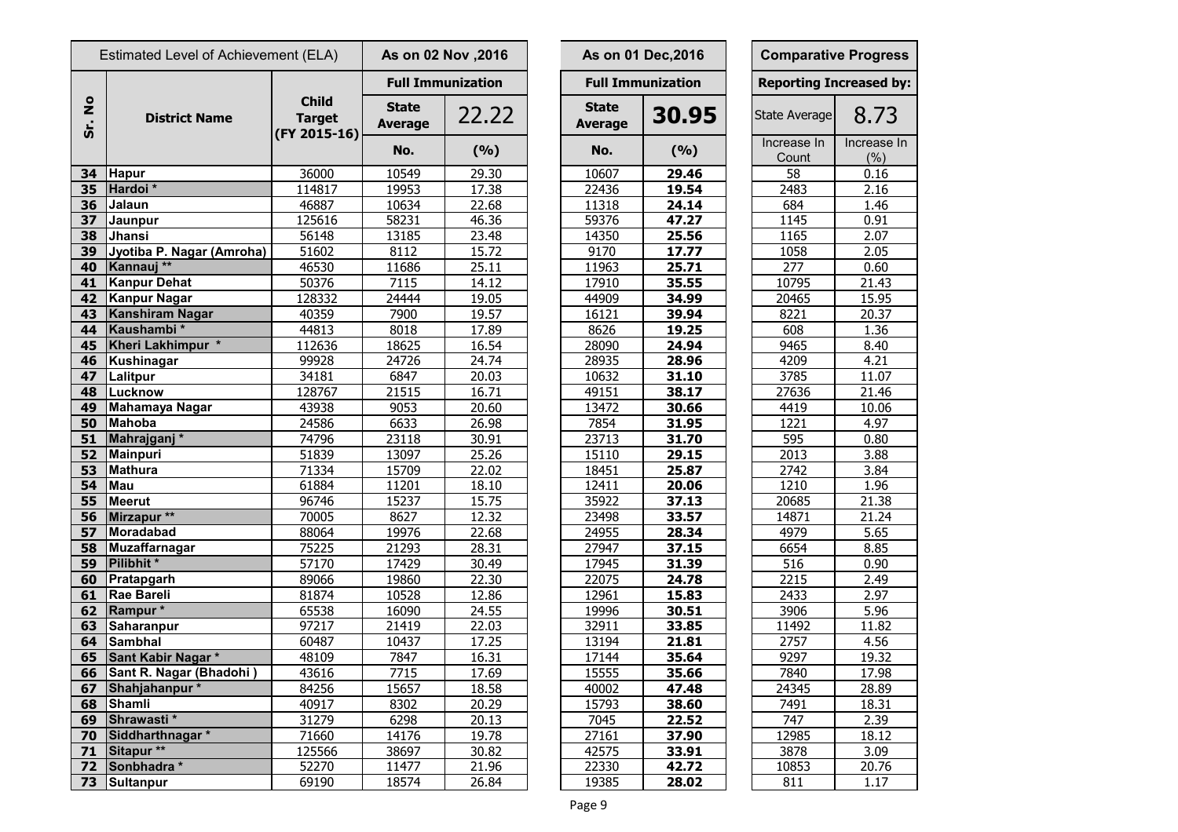| Estimated Level of Achievement (ELA) |                           | As on 02 Nov , 2016                           |                                |                          | As on 01 Dec, 2016             | <b>Comparative Progre</b> |                            |                  |
|--------------------------------------|---------------------------|-----------------------------------------------|--------------------------------|--------------------------|--------------------------------|---------------------------|----------------------------|------------------|
|                                      |                           |                                               |                                | <b>Full Immunization</b> |                                | <b>Full Immunization</b>  | <b>Reporting Increased</b> |                  |
| $\frac{1}{2}$<br>Sr.                 | <b>District Name</b>      | <b>Child</b><br><b>Target</b><br>(FY 2015-16) | <b>State</b><br><b>Average</b> | 22.22                    | <b>State</b><br><b>Average</b> | 30.95                     | State Average              | 8.73             |
|                                      |                           |                                               | No.                            | (%)                      | No.                            | (%)                       | Increase In<br>Count       | Increase<br>(% ) |
| 34                                   | <b>Hapur</b>              | 36000                                         | 10549                          | 29.30                    | 10607                          | 29.46                     | 58                         | 0.16             |
| 35                                   | Hardoi*                   | 114817                                        | 19953                          | 17.38                    | 22436                          | 19.54                     | 2483                       | 2.16             |
| 36                                   | Jalaun                    | 46887                                         | 10634                          | 22.68                    | 11318                          | 24.14                     | 684                        | 1.46             |
| 37                                   | Jaunpur                   | 125616                                        | 58231                          | 46.36                    | 59376                          | 47.27                     | 1145                       | 0.91             |
| 38                                   | Jhansi                    | 56148                                         | 13185                          | 23.48                    | 14350                          | 25.56                     | 1165                       | 2.07             |
| 39                                   | Jyotiba P. Nagar (Amroha) | 51602                                         | 8112                           | 15.72                    | 9170                           | 17.77                     | 1058                       | 2.05             |
| 40                                   | Kannauj **                | 46530                                         | 11686                          | 25.11                    | 11963                          | 25.71                     | 277                        | 0.60             |
| 41                                   | <b>Kanpur Dehat</b>       | 50376                                         | 7115                           | 14.12                    | 17910                          | 35.55                     | 10795                      | 21.43            |
| 42                                   | <b>Kanpur Nagar</b>       | 128332                                        | 24444                          | 19.05                    | 44909                          | 34.99                     | 20465                      | 15.95            |
| 43                                   | Kanshiram Nagar           | 40359                                         | 7900                           | 19.57                    | 16121                          | 39.94                     | 8221                       | 20.37            |
| 44                                   | Kaushambi*                | 44813                                         | 8018                           | 17.89                    | 8626                           | 19.25                     | 608                        | 1.36             |
| 45                                   | Kheri Lakhimpur *         | 112636                                        | 18625                          | 16.54                    | 28090                          | 24.94                     | 9465                       | 8.40             |
| 46                                   | <b>Kushinagar</b>         | 99928                                         | 24726                          | 24.74                    | 28935                          | 28.96                     | 4209                       | 4.21             |
| 47                                   | Lalitpur                  | 34181                                         | 6847                           | 20.03                    | 10632                          | 31.10                     | 3785                       | 11.07            |
| 48                                   | Lucknow                   | 128767                                        | 21515                          | 16.71                    | 49151                          | 38.17                     | 27636                      | 21.46            |
| 49                                   | <b>Mahamaya Nagar</b>     | 43938                                         | 9053                           | 20.60                    | 13472                          | 30.66                     | 4419                       | 10.06            |
| 50                                   | <b>Mahoba</b>             | 24586                                         | 6633                           | 26.98                    | 7854                           | 31.95                     | 1221                       | 4.97             |
| 51                                   | Mahrajganj <sup>*</sup>   | 74796                                         | 23118                          | 30.91                    | 23713                          | 31.70                     | 595                        | 0.80             |
| 52                                   | <b>Mainpuri</b>           | 51839                                         | 13097                          | 25.26                    | 15110                          | 29.15                     | 2013                       | 3.88             |
| 53                                   | <b>Mathura</b>            | 71334                                         | 15709                          | 22.02                    | 18451                          | 25.87                     | 2742                       | 3.84             |
| 54                                   | Mau                       | 61884                                         | 11201                          | 18.10                    | 12411                          | 20.06                     | 1210                       | 1.96             |
| 55                                   | <b>Meerut</b>             | 96746                                         | 15237                          | 15.75                    | 35922                          | 37.13                     | 20685                      | 21.38            |
| 56                                   | Mirzapur **               | 70005                                         | 8627                           | 12.32                    | 23498                          | 33.57                     | 14871                      | 21.24            |
| 57                                   | Moradabad                 | 88064                                         | 19976                          | 22.68                    | 24955                          | 28.34                     | 4979                       | 5.65             |
| 58                                   | <b>Muzaffarnagar</b>      | 75225                                         | 21293                          | 28.31                    | 27947                          | 37.15                     | 6654                       | 8.85             |
| 59                                   | Pilibhit*                 | 57170                                         | 17429                          | 30.49                    | 17945                          | 31.39                     | 516                        | 0.90             |
| 60                                   | Pratapgarh                | 89066                                         | 19860                          | 22.30                    | 22075                          | 24.78                     | 2215                       | 2.49             |
| 61                                   | <b>Rae Bareli</b>         | 81874                                         | 10528                          | 12.86                    | 12961                          | 15.83                     | 2433                       | 2.97             |
|                                      | 62 Rampur*                | 65538                                         | 16090                          | 24.55                    | 19996                          | 30.51                     | 3906                       | 5.96             |
| 63                                   | <b>Saharanpur</b>         | 97217                                         | 21419                          | 22.03                    | 32911                          | 33.85                     | 11492                      | 11.82            |
| 64                                   | Sambhal                   | 60487                                         | 10437                          | 17.25                    | 13194                          | 21.81                     | 2757                       | 4.56             |
| 65                                   | Sant Kabir Nagar*         | 48109                                         | 7847                           | 16.31                    | 17144                          | 35.64                     | 9297                       | 19.32            |
| 66                                   | Sant R. Nagar (Bhadohi)   | 43616                                         | 7715                           | 17.69                    | 15555                          | 35.66                     | 7840                       | 17.98            |
| 67                                   | Shahjahanpur*             | 84256                                         | 15657                          | 18.58                    | 40002                          | 47.48                     | 24345                      | 28.89            |
| 68                                   | <b>Shamli</b>             | 40917                                         | 8302                           | 20.29                    | 15793                          | 38.60                     | 7491                       | 18.31            |
| 69                                   | Shrawasti*                | 31279                                         | 6298                           | 20.13                    | 7045                           | 22.52                     | 747                        | 2.39             |
| 70                                   | Siddharthnagar *          | 71660                                         | 14176                          | 19.78                    | 27161                          | 37.90                     | 12985                      | 18.12            |
| 71                                   | Sitapur <sup>**</sup>     | 125566                                        | 38697                          | 30.82                    | 42575                          | 33.91                     | 3878                       | 3.09             |
| 72                                   | Sonbhadra *               | 52270                                         | 11477                          | 21.96                    | 22330                          | 42.72                     | 10853                      | 20.76            |
| 73                                   | Sultanpur                 | 69190                                         | 18574                          | 26.84                    | 19385                          | 28.02                     | 811                        | 1.17             |

|                                | As on 02 Nov , 2016      |                                | As on 01 Dec, 2016       |                                | <b>Comparative Progress</b> |  |  |  |  |
|--------------------------------|--------------------------|--------------------------------|--------------------------|--------------------------------|-----------------------------|--|--|--|--|
|                                | <b>Full Immunization</b> |                                | <b>Full Immunization</b> | <b>Reporting Increased by:</b> |                             |  |  |  |  |
| <b>State</b><br><b>Average</b> | 22.22                    | <b>State</b><br><b>Average</b> | 30.95                    | State Average                  | 8.73                        |  |  |  |  |
| No.                            | (9/6)                    | No.                            | (%)                      | Increase In<br>Count           | Increase In<br>(% )         |  |  |  |  |
| 10549                          | 29.30                    | 10607                          | 29.46                    | 58                             | 0.16                        |  |  |  |  |
| 19953                          | 17.38                    | 22436                          | 19.54                    | 2483                           | 2.16                        |  |  |  |  |
| 10634                          | 22.68                    | 11318                          | 24.14                    | 684                            | 1.46                        |  |  |  |  |
| 58231                          | 46.36                    | 59376                          | 47.27                    | 1145                           | 0.91                        |  |  |  |  |
| 13185                          | 23.48                    | 14350                          | 25.56                    | 1165                           | 2.07                        |  |  |  |  |
| 8112                           | 15.72                    | 9170                           | 17.77                    | 1058                           | 2.05                        |  |  |  |  |
| 11686                          | 25.11                    | 11963                          | 25.71                    | 277                            | 0.60                        |  |  |  |  |
| 7115                           | 14.12                    | 17910                          | 35.55                    | 10795                          | 21.43                       |  |  |  |  |
| 24444                          | 19.05                    | 44909                          | 34.99                    | 20465                          | 15.95                       |  |  |  |  |
| 7900                           | 19.57                    | 16121                          | 39.94                    | 8221                           | 20.37                       |  |  |  |  |
| 8018                           | 17.89                    | 8626                           | 19.25                    | 608                            | 1.36                        |  |  |  |  |
| 18625                          | 16.54                    | 28090                          | 24.94                    | 9465                           | 8.40                        |  |  |  |  |
| 24726                          | 24.74                    | 28935                          | 28.96                    | 4209                           | 4.21                        |  |  |  |  |
| 6847                           | 20.03                    | 10632                          | 31.10                    | 3785                           | 11.07                       |  |  |  |  |
| 21515                          | 16.71                    | 49151                          | 38.17                    | 27636                          | 21.46                       |  |  |  |  |
| 9053                           | 20.60                    | 13472                          | 30.66                    | 4419                           | 10.06                       |  |  |  |  |
| 6633                           | 26.98                    | 7854                           | 31.95                    | 1221                           | 4.97                        |  |  |  |  |
| 23118                          | 30.91                    | 23713                          | 31.70                    | 595                            | 0.80                        |  |  |  |  |
| 13097                          | 25.26                    | 15110                          | 29.15                    | 2013                           | 3.88                        |  |  |  |  |
| 15709                          | 22.02                    | 18451                          | 25.87                    | 2742                           | 3.84                        |  |  |  |  |
| 11201                          | 18.10                    | 12411                          | 20.06                    | 1210                           | 1.96                        |  |  |  |  |
| 15237                          | 15.75                    | 35922                          | 37.13                    | 20685                          | 21.38                       |  |  |  |  |
| 8627                           | 12.32                    | 23498                          | 33.57                    | 14871                          | 21.24                       |  |  |  |  |
| 19976                          | 22.68                    | 24955                          | 28.34                    | 4979                           | 5.65                        |  |  |  |  |
| 21293                          | 28.31                    | 27947                          | 37.15                    | 6654                           | 8.85                        |  |  |  |  |
| 17429                          | 30.49                    | 17945                          | 31.39                    | 516                            | 0.90                        |  |  |  |  |
| 19860                          | 22.30                    | 22075                          | 24.78                    | 2215                           | 2.49                        |  |  |  |  |
| 10528                          | 12.86                    | 12961                          | 15.83                    | 2433                           | 2.97                        |  |  |  |  |
| 16090                          | 24.55                    | 19996                          | 30.51                    | 3906                           | 5.96                        |  |  |  |  |
| 21419                          | 22.03                    | 32911                          | 33.85                    | 11492                          | 11.82                       |  |  |  |  |
| 10437                          | 17.25                    | 13194                          | 21.81                    | 2757                           | 4.56                        |  |  |  |  |
| 7847                           | 16.31                    | 17144                          | 35.64                    | 9297                           | 19.32                       |  |  |  |  |
| 7715                           | 17.69                    | 15555                          | 35.66                    | 7840                           | 17.98                       |  |  |  |  |
| 15657                          | 18.58                    | 40002                          | 47.48                    | 24345                          | 28.89                       |  |  |  |  |
| 8302                           | 20.29                    | 15793                          | 38.60                    | 7491                           | 18.31                       |  |  |  |  |
| 6298                           | 20.13                    | 7045                           | 22.52                    | 747                            | 2.39                        |  |  |  |  |
| 14176                          | 19.78                    | 27161                          | 37.90                    | 12985                          | 18.12                       |  |  |  |  |
| 38697                          | 30.82                    | 42575                          | 33.91                    | 3878                           | 3.09                        |  |  |  |  |
| 11477                          | 21.96                    | 22330                          | 42.72                    | 10853                          | 20.76                       |  |  |  |  |
| 18574                          | 26.84                    | 19385                          | 28.02                    | 811                            | 1 1 7                       |  |  |  |  |

| <b>Comparative Progress</b> |                                           |  |  |  |  |  |  |  |
|-----------------------------|-------------------------------------------|--|--|--|--|--|--|--|
|                             | <b>Reporting Increased by:</b>            |  |  |  |  |  |  |  |
| <b>State Average</b>        | 8.73                                      |  |  |  |  |  |  |  |
| Increase In                 | Increase In                               |  |  |  |  |  |  |  |
| Count                       | (% )                                      |  |  |  |  |  |  |  |
| 58                          | 0.16                                      |  |  |  |  |  |  |  |
| 2483                        | 2.16                                      |  |  |  |  |  |  |  |
| 684                         | 1.46                                      |  |  |  |  |  |  |  |
| 1145                        | 0.91                                      |  |  |  |  |  |  |  |
| 1165                        | 2.07                                      |  |  |  |  |  |  |  |
| 1058                        | 2.05                                      |  |  |  |  |  |  |  |
| 277                         | 0.60                                      |  |  |  |  |  |  |  |
| 10795                       | 21.43                                     |  |  |  |  |  |  |  |
| 20465                       | <u>15.95</u>                              |  |  |  |  |  |  |  |
| 8221                        | 20.37                                     |  |  |  |  |  |  |  |
| 608                         |                                           |  |  |  |  |  |  |  |
| 9465                        | 1.36<br>8.40                              |  |  |  |  |  |  |  |
|                             |                                           |  |  |  |  |  |  |  |
| 4209                        | 4.21                                      |  |  |  |  |  |  |  |
| 3785                        | 11.07                                     |  |  |  |  |  |  |  |
| 27636                       | 21.46                                     |  |  |  |  |  |  |  |
| 4419                        | 10.06                                     |  |  |  |  |  |  |  |
| 1221                        | 4.97                                      |  |  |  |  |  |  |  |
| 595                         | 0.80                                      |  |  |  |  |  |  |  |
| 2013                        | 3.88                                      |  |  |  |  |  |  |  |
| $\frac{1}{2742}$            | 3.84                                      |  |  |  |  |  |  |  |
| 1210                        | 1.96                                      |  |  |  |  |  |  |  |
| 20685                       | 21.38                                     |  |  |  |  |  |  |  |
| 14871                       | 21.24                                     |  |  |  |  |  |  |  |
| 4979                        | 5.65                                      |  |  |  |  |  |  |  |
| 6654                        | 8.85                                      |  |  |  |  |  |  |  |
| 516                         | 0.90                                      |  |  |  |  |  |  |  |
| 2215                        | <u>2.49</u>                               |  |  |  |  |  |  |  |
| 2433                        | 2.97                                      |  |  |  |  |  |  |  |
| <u>3906</u>                 | 5.96                                      |  |  |  |  |  |  |  |
| 11492                       | 11.82                                     |  |  |  |  |  |  |  |
| $\frac{2757}{ }$            | 4.56                                      |  |  |  |  |  |  |  |
| 9297                        | 19.32                                     |  |  |  |  |  |  |  |
| 7840                        | $\frac{17.98}{17.98}$                     |  |  |  |  |  |  |  |
| 24345                       | 28.89                                     |  |  |  |  |  |  |  |
| 7491                        |                                           |  |  |  |  |  |  |  |
|                             |                                           |  |  |  |  |  |  |  |
| 747                         | $\frac{18.31}{2.39}$ $\frac{2.39}{18.12}$ |  |  |  |  |  |  |  |
| 12985                       |                                           |  |  |  |  |  |  |  |
| 3878                        | 3.09                                      |  |  |  |  |  |  |  |
| 10853                       | 20.76                                     |  |  |  |  |  |  |  |
| 811                         | 1.17                                      |  |  |  |  |  |  |  |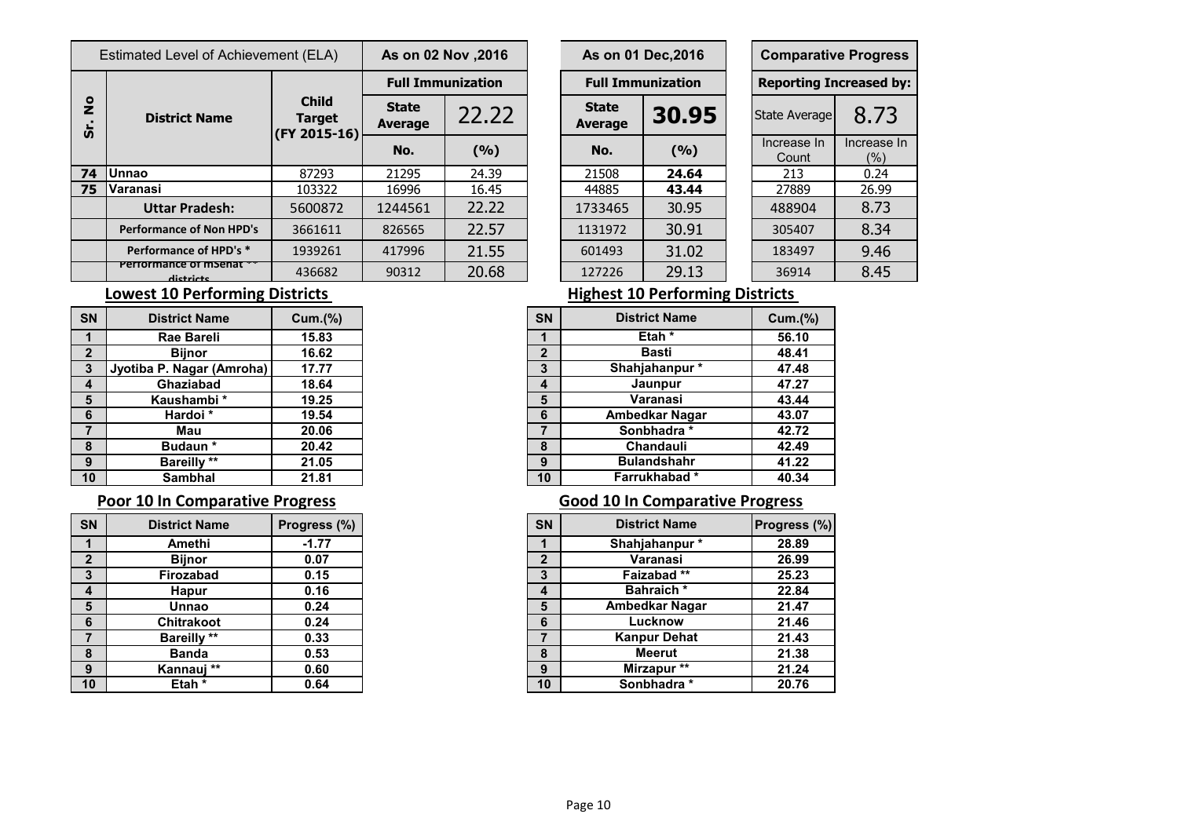| Estimated Level of Achievement (ELA)   |                                 |                                               | As on 02 Nov , 2016            |       | As on 01 Dec, 2016             |                          | <b>Comparative Progre</b> |                            |                    |  |  |
|----------------------------------------|---------------------------------|-----------------------------------------------|--------------------------------|-------|--------------------------------|--------------------------|---------------------------|----------------------------|--------------------|--|--|
|                                        | <b>District Name</b>            | <b>Child</b><br><b>Target</b><br>(FY 2015-16) | <b>Full Immunization</b>       |       |                                | <b>Full Immunization</b> |                           | <b>Reporting Increased</b> |                    |  |  |
| $\frac{1}{2}$<br>$\boldsymbol{\omega}$ |                                 |                                               | <b>State</b><br><b>Average</b> | 22.22 | <b>State</b><br><b>Average</b> | 30.95                    |                           | State Average              | $8.7^{\circ}$      |  |  |
|                                        |                                 |                                               | No.                            | (%)   | No.                            | (9/6)                    |                           | Increase In<br>Count       | Increase<br>$(\%)$ |  |  |
| 74                                     | <b>Unnao</b>                    | 87293                                         | 21295                          | 24.39 | 21508                          | 24.64                    |                           | 213                        | 0.24               |  |  |
| 75                                     | <b>Varanasi</b>                 | 103322                                        | 16996                          | 16.45 | 44885                          | 43.44                    |                           | 27889                      | 26.99              |  |  |
|                                        | <b>Uttar Pradesh:</b>           | 5600872                                       | 1244561                        | 22.22 | 1733465                        | 30.95                    |                           | 488904                     | 8.73               |  |  |
|                                        | <b>Performance of Non HPD's</b> | 3661611                                       | 826565                         | 22.57 | 1131972                        | 30.91                    |                           | 305407                     | 8.34               |  |  |
|                                        | Performance of HPD's *          | 1939261                                       | 417996                         | 21.55 | 601493                         | 31.02                    |                           | 183497                     | 9.46               |  |  |
|                                        | Penomente o mpend<br>dictricts  | 436682                                        | 90312                          | 20.68 | 127226                         | 29.13                    |                           | 36914                      | 8.45               |  |  |

| 2016, s on 02 Nov     |                  |  |                                         | As on 01 Dec, 2016 |  | <b>Comparative Progress</b>    |                    |  |  |  |
|-----------------------|------------------|--|-----------------------------------------|--------------------|--|--------------------------------|--------------------|--|--|--|
|                       | ull Immunization |  | <b>Full Immunization</b>                |                    |  | <b>Reporting Increased by:</b> |                    |  |  |  |
| <b>itate</b><br>erage | 22.22            |  | <b>State</b><br>30.95<br><b>Average</b> |                    |  | <b>State Average</b>           | 8.73               |  |  |  |
| No.                   | (9/0)            |  | No.                                     | (9/6)              |  | Increase In<br>Count           | Increase In<br>(%) |  |  |  |
| 1295                  | 24.39            |  | 21508                                   | 24.64              |  | 213                            | 0.24               |  |  |  |
| 6996                  | 16.45            |  | 44885                                   | 43.44              |  | 27889                          | 26.99              |  |  |  |
| 44561                 | 22.22            |  | 1733465                                 | 30.95              |  | 488904                         | 8.73               |  |  |  |
| 26565                 | 22.57            |  | 1131972                                 | 30.91              |  | 305407                         | 8.34               |  |  |  |
| <b>17996</b>          | 21.55            |  | 601493                                  | 31.02              |  | 183497                         | 9.46               |  |  |  |
| 0312                  | 20.68            |  | 127226                                  | 29.13              |  | 36914                          | 8.45               |  |  |  |

| <b>SN</b>               | <b>District Name</b>      | Cum.(%) |
|-------------------------|---------------------------|---------|
| 1                       | Rae Bareli                | 15.83   |
| $\mathbf{2}$            | <b>Bijnor</b>             | 16.62   |
| $\overline{\mathbf{3}}$ | Jyotiba P. Nagar (Amroha) | 17.77   |
| 4                       | Ghaziabad                 | 18.64   |
| 5                       | Kaushambi *               | 19.25   |
| 6                       | Hardoi *                  | 19.54   |
| $\overline{7}$          | Mau                       | 20.06   |
| 8                       | <b>Budaun</b> *           | 20.42   |
| 9                       | <b>Bareilly</b> **        | 21.05   |
| 10                      | <b>Sambhal</b>            | 21.81   |

### **Poor 10 In Comparative Progress Comparative Progress Good 10 In Comparative Progress**

| <b>SN</b>    | <b>District Name</b> | Progress (%) |
|--------------|----------------------|--------------|
| 1            | Amethi               | $-1.77$      |
| $\mathbf{2}$ | <b>Bijnor</b>        | 0.07         |
| 3            | Firozabad            | 0.15         |
| 4            | <b>Hapur</b>         | 0.16         |
| 5            | Unnao                | 0.24         |
| 6            | <b>Chitrakoot</b>    | 0.24         |
| 7            | <b>Bareilly</b> **   | 0.33         |
| 8            | <b>Banda</b>         | 0.53         |
| 9            | Kannauj **           | 0.60         |
| 10           | Etah *               | 0.64         |

### **Lowest 10 Performing Districts Matter Community Property Performing Districts**

| <b>SN</b>        | <b>District Name</b>      | <b>Cum.(%)</b> |
|------------------|---------------------------|----------------|
| 1                | <b>Rae Bareli</b>         | 15.83          |
| $\overline{2}$   | <b>Bijnor</b>             | 16.62          |
| $\mathbf{3}$     | Jyotiba P. Nagar (Amroha) | 17.77          |
| $\boldsymbol{4}$ | Ghaziabad                 | 18.64          |
| $5\phantom{1}$   | Kaushambi *               | 19.25          |
| 6                | Hardoi *                  | 19.54          |
| $\overline{7}$   | Mau                       | 20.06          |
| 8                | Budaun *                  | 20.42          |
| 9                | <b>Bareilly</b> **        | 21.05          |
| 10 <sup>°</sup>  | <b>Sambhal</b>            | 21.81          |

| <b>SN</b>               | <b>District Name</b> | Progress (%) | <b>SN</b> | <b>District Name</b>  | <b>Progress (%)</b> |
|-------------------------|----------------------|--------------|-----------|-----------------------|---------------------|
| $\overline{1}$          | Amethi               | $-1.77$      |           | Shahjahanpur*         | 28.89               |
| $\overline{2}$          | <b>Bijnor</b>        | 0.07         | າ         | Varanasi              | 26.99               |
| $\mathbf{3}$            | <b>Firozabad</b>     | 0.15         | 3         | Faizabad**            | 25.23               |
| $\overline{\mathbf{4}}$ | <b>Hapur</b>         | 0.16         | 4         | <b>Bahraich*</b>      | 22.84               |
| $5\phantom{1}$          | Unnao                | 0.24         | 5         | <b>Ambedkar Nagar</b> | 21.47               |
| 6                       | <b>Chitrakoot</b>    | 0.24         | 6         | Lucknow               | 21.46               |
| $\overline{7}$          | <b>Bareilly</b> **   | 0.33         |           | <b>Kanpur Dehat</b>   | 21.43               |
| 8                       | <b>Banda</b>         | 0.53         | 8         | <b>Meerut</b>         | 21.38               |
| 9                       | Kannauj **           | 0.60         | 9         | Mirzapur **           | 21.24               |
| 10                      | Etah *               | 0.64         | 10        | Sonbhadra *           | 20.76               |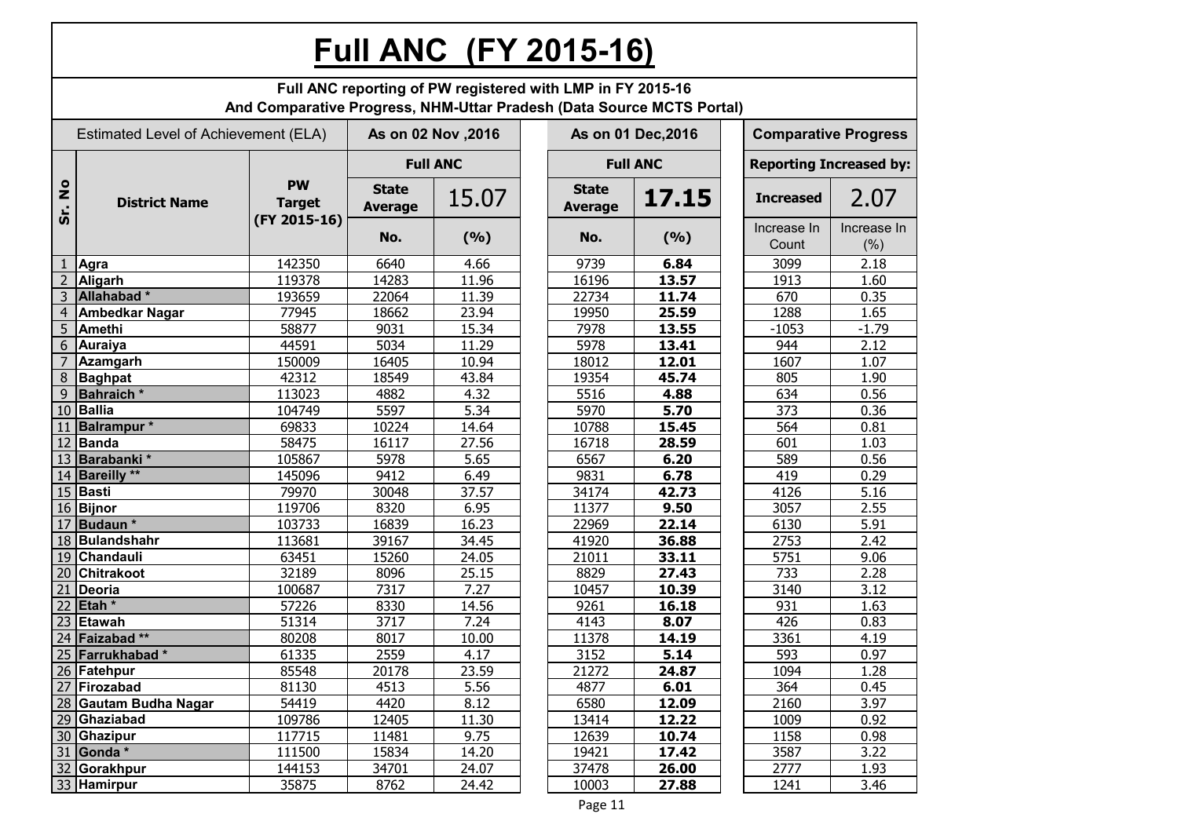# **Full ANC (FY 2015-16)**

|                      |                                      | And Comparative Progress, NHM-Uttar Pradesh (Data Source MCTS Portal) |                                | Full ANC reporting of PW registered with LMP in FY 2015-16 |                                |                    |                      |                                |
|----------------------|--------------------------------------|-----------------------------------------------------------------------|--------------------------------|------------------------------------------------------------|--------------------------------|--------------------|----------------------|--------------------------------|
|                      | Estimated Level of Achievement (ELA) |                                                                       |                                | As on 02 Nov, 2016                                         |                                | As on 01 Dec, 2016 |                      | <b>Comparative Progress</b>    |
|                      |                                      |                                                                       |                                | <b>Full ANC</b>                                            |                                | <b>Full ANC</b>    |                      | <b>Reporting Increased by:</b> |
| $\frac{1}{2}$<br>Śr. | <b>District Name</b>                 | <b>PW</b><br><b>Target</b><br>(FY 2015-16)                            | <b>State</b><br><b>Average</b> | 15.07                                                      | <b>State</b><br><b>Average</b> | 17.15              | <b>Increased</b>     | 2.07                           |
|                      |                                      |                                                                       | No.                            | (9/6)                                                      | No.                            | (9/6)              | Increase In<br>Count | Increase In<br>(% )            |
| 1                    | Agra                                 | 142350                                                                | 6640                           | 4.66                                                       | 9739                           | 6.84               | 3099                 | 2.18                           |
| $\overline{2}$       | Aligarh                              | 119378                                                                | 14283                          | 11.96                                                      | 16196                          | 13.57              | 1913                 | 1.60                           |
| 3                    | Allahabad*                           | 193659                                                                | 22064                          | 11.39                                                      | 22734                          | 11.74              | 670                  | 0.35                           |
| 4                    | <b>Ambedkar Nagar</b>                | 77945                                                                 | 18662                          | 23.94                                                      | 19950                          | 25.59              | 1288                 | 1.65                           |
| 5                    | Amethi                               | 58877                                                                 | 9031                           | 15.34                                                      | 7978                           | 13.55              | $-1053$              | $-1.79$                        |
| 6                    | <b>Auraiya</b>                       | 44591                                                                 | 5034                           | 11.29                                                      | 5978                           | 13.41              | 944                  | 2.12                           |
|                      | <b>Azamgarh</b>                      | 150009                                                                | 16405                          | 10.94                                                      | 18012                          | 12.01              | 1607                 | 1.07                           |
| 8                    | <b>Baghpat</b>                       | 42312                                                                 | 18549                          | 43.84                                                      | 19354                          | 45.74              | 805                  | 1.90                           |
| 9                    | <b>Bahraich</b> *                    | 113023                                                                | 4882                           | 4.32                                                       | 5516                           | 4.88               | 634                  | 0.56                           |
| 10                   | <b>Ballia</b>                        | 104749                                                                | 5597                           | 5.34                                                       | 5970                           | 5.70               | 373                  | 0.36                           |
| 11                   | <b>Balrampur</b> *                   | 69833                                                                 | 10224                          | 14.64                                                      | 10788                          | 15.45              | 564                  | 0.81                           |
|                      | 12 Banda                             | 58475                                                                 | 16117                          | 27.56                                                      | 16718                          | 28.59              | 601                  | 1.03                           |
|                      | 13 Barabanki*                        | 105867                                                                | 5978                           | 5.65                                                       | 6567                           | 6.20               | 589                  | 0.56                           |
|                      | 14 Bareilly **                       | 145096                                                                | 9412                           | 6.49                                                       | 9831                           | 6.78               | 419                  | 0.29                           |
|                      | 15 Basti                             | 79970                                                                 | 30048                          | 37.57                                                      | 34174                          | 42.73              | 4126                 | 5.16                           |
|                      | 16 Bijnor                            | 119706                                                                | 8320                           | 6.95                                                       | 11377                          | 9.50               | 3057                 | 2.55                           |
| 17                   | Budaun <sup>*</sup>                  | 103733                                                                | 16839                          | 16.23                                                      | 22969                          | 22.14              | 6130                 | 5.91                           |
| 18                   | <b>Bulandshahr</b>                   | 113681                                                                | 39167                          | 34.45                                                      | 41920                          | 36.88              | 2753                 | 2.42                           |
| 19                   | Chandauli                            | 63451                                                                 | 15260                          | 24.05                                                      | 21011                          | 33.11              | 5751                 | 9.06                           |
| 20                   | <b>Chitrakoot</b>                    | 32189                                                                 | 8096                           | 25.15                                                      | 8829                           | 27.43              | 733                  | 2.28                           |
| 21                   | <b>Deoria</b>                        | 100687                                                                | 7317                           | 7.27                                                       | 10457                          | 10.39              | 3140                 | 3.12                           |
| 22                   | Etah <sup>*</sup>                    | 57226                                                                 | 8330                           | 14.56                                                      | 9261                           | 16.18              | 931                  | 1.63                           |
| 23                   | Etawah                               | 51314                                                                 | 3717                           | 7.24                                                       | 4143                           | 8.07               | 426                  | 0.83                           |
|                      | 24 Faizabad**                        | 80208                                                                 | 8017                           | 10.00                                                      | 11378                          | 14.19              | 3361                 | 4.19                           |
|                      | 25 Farrukhabad*                      | 61335                                                                 | 2559                           | 4.17                                                       | 3152                           | 5.14               | 593                  | 0.97                           |
|                      | 26 Fatehpur                          | 85548                                                                 | 20178                          | 23.59                                                      | 21272                          | 24.87              | 1094                 | 1.28                           |
|                      | 27 Firozabad                         | 81130                                                                 | 4513                           | 5.56                                                       | 4877                           | 6.01               | 364                  | 0.45                           |
|                      | 28 Gautam Budha Nagar                | 54419                                                                 | 4420                           | 8.12                                                       | 6580                           | 12.09              | 2160                 | 3.97                           |
|                      | 29 Ghaziabad                         | 109786                                                                | 12405                          | 11.30                                                      | 13414                          | 12.22              | 1009                 | 0.92                           |
|                      | 30 Ghazipur                          | 117715                                                                | 11481                          | 9.75                                                       | 12639                          | 10.74              | 1158                 | 0.98                           |
|                      | 31 Gonda $*$                         | 111500                                                                | 15834                          | 14.20                                                      | 19421                          | 17.42              | 3587                 | 3.22                           |
|                      | 32 Gorakhpur                         | 144153                                                                | 34701                          | 24.07                                                      | 37478                          | 26.00              | 2777                 | 1.93                           |
|                      | 33 Hamirpur                          | 35875                                                                 | 8762                           | 24.42                                                      | 10003                          | 27.88              | 1241                 | 3.46                           |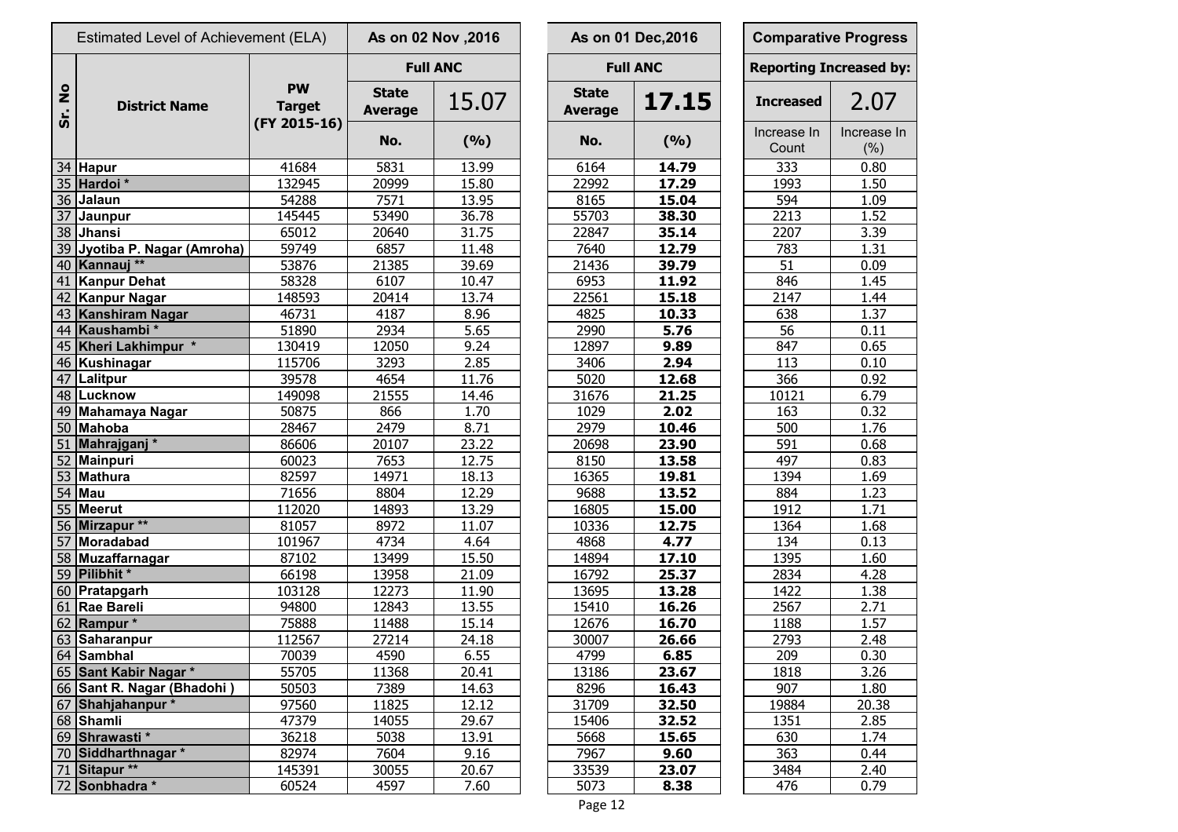|                      | Estimated Level of Achievement (ELA) |                            |                                | As on 02 Nov , 2016 |                                | As on 01 Dec, 2016 | <b>Comparative Progre</b>  |                     |
|----------------------|--------------------------------------|----------------------------|--------------------------------|---------------------|--------------------------------|--------------------|----------------------------|---------------------|
|                      |                                      |                            |                                | <b>Full ANC</b>     |                                | <b>Full ANC</b>    | <b>Reporting Increased</b> |                     |
| $\frac{1}{2}$<br>Sr. | <b>District Name</b>                 | <b>PW</b><br><b>Target</b> | <b>State</b><br><b>Average</b> | 15.07               | <b>State</b><br><b>Average</b> | 17.15              | <b>Increased</b>           | 2.07                |
|                      |                                      | (FY 2015-16)               | No.                            | (9/6)               | No.                            | (9/6)              | Increase In<br>Count       | Increase<br>$(\% )$ |
|                      | 34 Hapur                             | 41684                      | 5831                           | 13.99               | 6164                           | 14.79              | 333                        | 0.80                |
|                      | 35 Hardoi *                          | 132945                     | 20999                          | 15.80               | 22992                          | 17.29              | 1993                       | 1.50                |
|                      | 36 Jalaun                            | 54288                      | 7571                           | 13.95               | 8165                           | 15.04              | 594                        | 1.09                |
|                      | 37 Jaunpur                           | 145445                     | 53490                          | 36.78               | 55703                          | 38.30              | 2213                       | 1.52                |
|                      | 38 Jhansi                            | 65012                      | 20640                          | 31.75               | 22847                          | 35.14              | 2207                       | 3.39                |
|                      | 39 Jyotiba P. Nagar (Amroha)         | 59749                      | 6857                           | 11.48               | 7640                           | 12.79              | 783                        | 1.31                |
|                      | 40 Kannauj **                        | 53876                      | 21385                          | 39.69               | 21436                          | 39.79              | 51                         | 0.09                |
|                      | 41 Kanpur Dehat                      | 58328                      | 6107                           | 10.47               | 6953                           | 11.92              | 846                        | 1.45                |
|                      | 42 Kanpur Nagar                      | 148593                     | 20414                          | 13.74               | 22561                          | 15.18              | 2147                       | 1.44                |
|                      | 43 Kanshiram Nagar                   | 46731                      | 4187                           | 8.96                | 4825                           | 10.33              | 638                        | 1.37                |
|                      | 44 Kaushambi*                        | 51890                      | 2934                           | 5.65                | 2990                           | 5.76               | 56                         | 0.11                |
|                      | 45 Kheri Lakhimpur *                 | 130419                     | 12050                          | 9.24                | 12897                          | 9.89               | 847                        | 0.65                |
|                      | 46 Kushinagar                        | 115706                     | 3293                           | 2.85                | 3406                           | 2.94               | 113                        | 0.10                |
|                      | 47   Lalitpur                        | 39578                      | 4654                           | 11.76               | 5020                           | 12.68              | 366                        | 0.92                |
|                      | 48 Lucknow                           | 149098                     | 21555                          | 14.46               | 31676                          | 21.25              | 10121                      | 6.79                |
|                      | 49 Mahamaya Nagar                    | 50875                      | 866                            | 1.70                | 1029                           | 2.02               | 163                        | 0.32                |
|                      | 50 Mahoba                            | 28467                      | 2479                           | 8.71                | 2979                           | 10.46              | 500                        | 1.76                |
|                      | 51 Mahrajganj*                       | 86606                      | 20107                          | 23.22               | 20698                          | 23.90              | 591                        | 0.68                |
|                      | 52 Mainpuri                          | 60023                      | 7653                           | 12.75               | 8150                           | 13.58              | 497                        | 0.83                |
|                      | 53 Mathura                           | 82597                      | 14971                          | 18.13               | 16365                          | 19.81              | 1394                       | 1.69                |
|                      | $54$ Mau                             | 71656                      | 8804                           | 12.29               | 9688                           | 13.52              | 884                        | 1.23                |
|                      | 55 Meerut                            | 112020                     | 14893                          | 13.29               | 16805                          | 15.00              | 1912                       | 1.71                |
|                      | 56 Mirzapur **                       | 81057                      | 8972                           | 11.07               | 10336                          | 12.75              | 1364                       | 1.68                |
|                      | 57 Moradabad                         | 101967                     | 4734                           | 4.64                | 4868                           | 4.77               | 134                        | 0.13                |
|                      | 58 Muzaffarnagar                     | 87102                      | 13499                          | 15.50               | 14894                          | 17.10              | 1395                       | 1.60                |
|                      | 59 Pilibhit *                        | 66198                      | 13958                          | 21.09               | 16792                          | 25.37              | 2834                       | 4.28                |
|                      | 60 Pratapgarh                        | 103128                     | 12273                          | 11.90               | 13695                          | 13.28              | 1422                       | 1.38                |
|                      | 61 Rae Bareli                        | 94800                      | 12843                          | 13.55               | 15410                          | 16.26              | 2567                       | 2.71                |
|                      | 62 Rampur *                          | 75888                      | 11488                          | 15.14               | 12676                          | 16.70              | 1188                       | 1.57                |
|                      | 63 Saharanpur                        | 112567                     | 27214                          | 24.18               | 30007                          | 26.66              | 2793                       | 2.48                |
|                      | 64 Sambhal                           | 70039                      | 4590                           | 6.55                | 4799                           | 6.85               | 209                        | 0.30                |
|                      | 65 Sant Kabir Nagar *                | 55705                      | 11368                          | 20.41               | 13186                          | 23.67              | 1818                       | 3.26                |
|                      | 66 Sant R. Nagar (Bhadohi)           | 50503                      | 7389                           | 14.63               | 8296                           | 16.43              | 907                        | 1.80                |
|                      | 67 Shahjahanpur*                     | 97560                      | 11825                          | 12.12               | 31709                          | 32.50              | 19884                      | 20.38               |
|                      | 68 Shamli                            | 47379                      | 14055                          | 29.67               | 15406                          | 32.52              | 1351                       | 2.85                |
|                      | 69 Shrawasti*                        | 36218                      | 5038                           | 13.91               | 5668                           | 15.65              | 630                        | 1.74                |
|                      | 70 Siddharthnagar *                  | 82974                      | 7604                           | 9.16                | 7967                           | 9.60               | 363                        | 0.44                |
|                      | 71 Sitapur **                        | 145391                     | 30055                          | 20.67               | 33539                          | 23.07              | 3484                       | 2.40                |
|                      | 72 Sonbhadra *                       | 60524                      | 4597                           | 7.60                | 5073                           | 8.38               | 476                        | 0.79                |

|                                | As on 02 Nov , 2016 |                                | As on 01 Dec, 2016 | <b>Comparative Progress</b>    |                     |
|--------------------------------|---------------------|--------------------------------|--------------------|--------------------------------|---------------------|
|                                | <b>Full ANC</b>     |                                | <b>Full ANC</b>    | <b>Reporting Increased by:</b> |                     |
| <b>State</b><br><b>Average</b> | 15.07               | <b>State</b><br><b>Average</b> | 17.15              | <b>Increased</b>               | 2.07                |
| No.                            | (9/6)               | No.                            | (%)                | Increase In<br>Count           | Increase In<br>(% ) |
| 5831                           | 13.99               | 6164                           | 14.79              | 333                            | 0.80                |
| 20999                          | 15.80               | 22992                          | 17.29              | 1993                           | 1.50                |
| 7571                           | 13.95               | 8165                           | 15.04              | 594                            | 1.09                |
| 53490                          | 36.78               | 55703                          | 38.30              | 2213                           | 1.52                |
| 20640                          | 31.75               | 22847                          | 35.14              | 2207                           | 3.39                |
| 6857                           | 11.48               | 7640                           | 12.79              | 783                            | 1.31                |
| 21385                          | 39.69               | 21436                          | 39.79              | 51                             | 0.09                |
| 6107                           | 10.47               | 6953                           | $11.\overline{92}$ | 846                            | 1.45                |
| 20414                          | 13.74               | 22561                          | 15.18              | 2147                           | 1.44                |
| 4187                           | 8.96                | 4825                           | 10.33              | 638                            | 1.37                |
| 2934                           | 5.65                | 2990                           | 5.76               | 56                             | 0.11                |
| 12050                          | 9.24                | 12897                          | 9.89               | 847                            | 0.65                |
| 3293                           | 2.85                | 3406                           | 2.94               | 113                            | 0.10                |
| 4654                           | 11.76               | 5020                           | 12.68              | 366                            | 0.92                |
| 21555                          | 14.46               | 31676                          | 21.25              | 10121                          | 6.79                |
| 866                            | 1.70                | 1029                           | 2.02               | 163                            | 0.32                |
| 2479                           | 8.71                | 2979                           | 10.46              | 500                            | 1.76                |
| 20107                          | 23.22               | 20698                          | 23.90              | 591                            | 0.68                |
| 7653                           | 12.75               | 8150                           | 13.58              | 497                            | 0.83                |
| 14971                          | 18.13               | 16365                          | 19.81              | 1394                           | 1.69                |
| 8804                           | 12.29               | 9688                           | 13.52              | 884                            | 1.23                |
| 14893                          | 13.29               | 16805                          | 15.00              | 1912                           | 1.71                |
| 8972                           | 11.07               | 10336                          | 12.75              | 1364                           | 1.68                |
| 4734                           | 4.64                | 4868                           | 4.77               | 134                            | 0.13                |
| 13499                          | 15.50               | 14894                          | 17.10              | 1395                           | 1.60                |
| 13958                          | 21.09               | 16792                          | 25.37              | 2834                           | 4.28                |
| 12273                          | 11.90               | 13695                          | 13.28              | 1422                           | 1.38                |
| 12843                          | 13.55               | 15410                          | 16.26              | 2567                           | 2.71                |
| 11488                          | 15.14               | 12676                          | 16.70              | 1188                           | 1.57                |
| 27214                          | 24.18               | 30007                          | 26.66              | 2793                           | 2.48                |
| 4590                           | 6.55                | 4799                           | 6.85               | 209                            | 0.30                |
| 11368                          | 20.41               | 13186                          | 23.67              | 1818                           | 3.26                |
| 7389                           | 14.63               | 8296                           | 16.43              | 907                            | 1.80                |
| 11825                          | 12.12               | 31709                          | 32.50              | 19884                          | 20.38               |
| 14055                          | 29.67               | 15406                          | 32.52              | 1351                           | 2.85                |
| 5038                           | 13.91               | 5668                           | 15.65              | 630                            | 1.74                |
| 7604                           | 9.16                | 7967                           | 9.60               | 363                            | 0.44                |
| 30055                          | 20.67               | 33539                          | 23.07              | 3484                           | 2.40                |
| 4597                           | 7.60                | 5073                           | 8.38               | 476                            | 0.79                |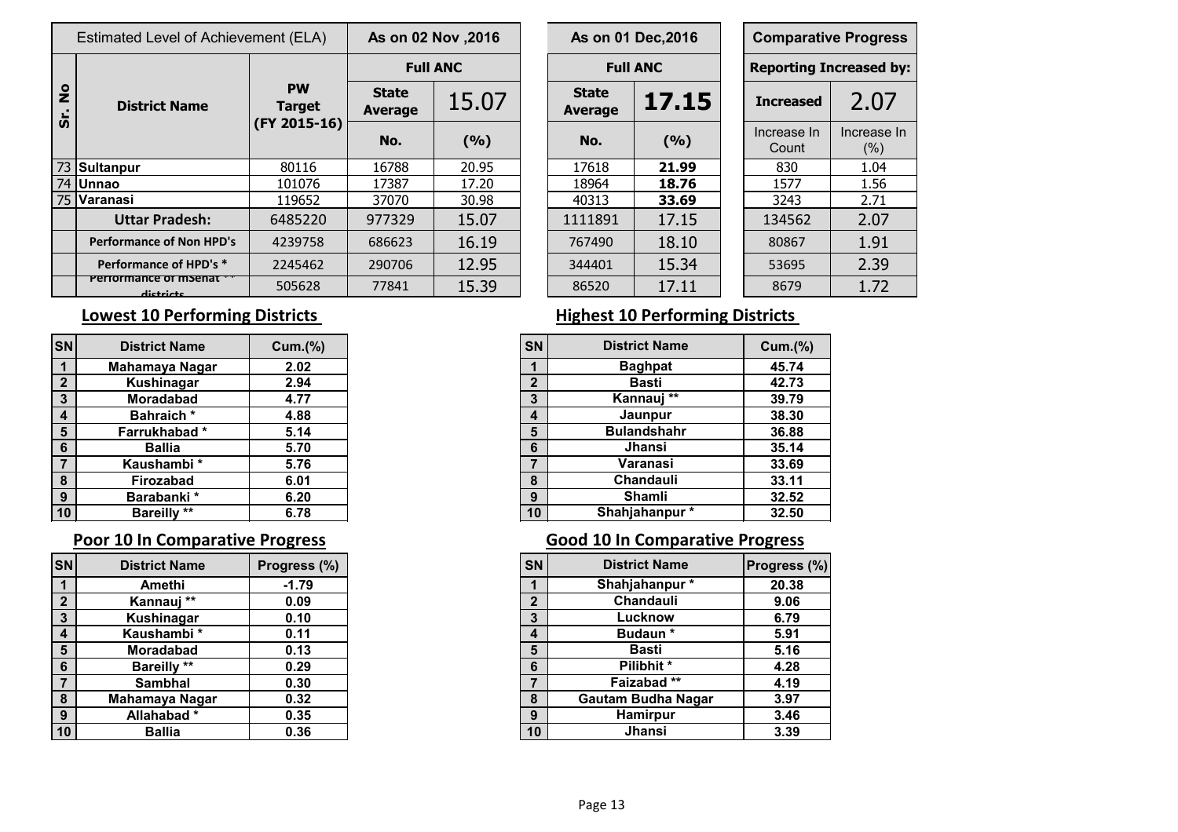|                | Estimated Level of Achievement (ELA) |                            | As on 02 Nov , 2016            |                 |                         | As on 01 Dec, 2016 | <b>Comparative Progre</b>  |                     |
|----------------|--------------------------------------|----------------------------|--------------------------------|-----------------|-------------------------|--------------------|----------------------------|---------------------|
|                |                                      |                            |                                | <b>Full ANC</b> |                         | <b>Full ANC</b>    | <b>Reporting Increased</b> |                     |
| $\frac{1}{2}$  | <b>District Name</b>                 | <b>PW</b><br><b>Target</b> | <b>State</b><br><b>Average</b> | 15.07           | <b>State</b><br>Average | 17.15              | <b>Increased</b>           | 2.0                 |
| $\overline{v}$ |                                      | (FY 2015-16)               | No.                            | (9/6)           | No.                     | (9/0)              | Increase In<br>Count       | Increase<br>$(\% )$ |
|                | 73 Sultanpur                         | 80116                      | 16788                          | 20.95           | 17618                   | 21.99              | 830                        | 1.04                |
|                | 74 Unnao                             | 101076                     | 17387                          | 17.20           | 18964                   | 18.76              | 1577                       | 1.56                |
|                | 75 Varanasi                          | 119652                     | 37070                          | 30.98           | 40313                   | 33.69              | 3243                       | 2.71                |
|                | <b>Uttar Pradesh:</b>                | 6485220                    | 977329                         | 15.07           | 1111891                 | 17.15              | 134562                     | 2.07                |
|                | <b>Performance of Non HPD's</b>      | 4239758                    | 686623                         | 16.19           | 767490                  | 18.10              | 80867                      | 1.91                |
|                | Performance of HPD's *               | 2245462                    | 290706                         | 12.95           | 344401                  | 15.34              | 53695                      | 2.39                |
|                | Performance of msenat<br>dictricts   | 505628                     | 77841                          | 15.39           | 86520                   | 17.11              | 8679                       | 1.72                |

|                | s on 02 Nov ,2016 |                                | As on 01 Dec, 2016 | <b>Comparative Progress</b>    |                     |
|----------------|-------------------|--------------------------------|--------------------|--------------------------------|---------------------|
|                | <b>Full ANC</b>   |                                | <b>Full ANC</b>    | <b>Reporting Increased by:</b> |                     |
| itate<br>erage | 15.07             | <b>State</b><br><b>Average</b> | 17.15              | <b>Increased</b>               | 2.07                |
| No.            | (9/6)             | No.                            | (9/6)              | Increase In<br>Count           | Increase In<br>(% ) |
| 6788           | 20.95             | 17618                          | 21.99              | 830                            | 1.04                |
| 7387           | 17.20             | 18964                          | 18.76              | 1577                           | 1.56                |
| 7070           | 30.98             | 40313                          | 33.69              | 3243                           | 2.71                |
| 7329           | 15.07             | 1111891                        | 17.15              | 134562                         | 2.07                |
| 36623          | 16.19             | 767490                         | 18.10              | 80867                          | 1.91                |
| 90706          | 12.95             | 344401                         | 15.34              | 53695                          | 2.39                |
| 7841           | 15.39             | 86520                          | 17.11              | 8679                           | 1.72                |

| <b>SN</b>       | <b>District Name</b> | Cum.(% ) | <b>SN</b>      | <b>District Name</b> | Cum.( |
|-----------------|----------------------|----------|----------------|----------------------|-------|
|                 | Mahamaya Nagar       | 2.02     |                | <b>Baghpat</b>       | 45.74 |
| $\overline{2}$  | Kushinagar           | 2.94     | $\overline{2}$ | Basti                | 42.73 |
| $\mathbf{3}$    | <b>Moradabad</b>     | 4.77     | 3              | Kannauj **           | 39.79 |
| $\overline{4}$  | Bahraich*            | 4.88     | $\overline{4}$ | Jaunpur              | 38.30 |
| $5\phantom{1}$  | Farrukhabad*         | 5.14     | 5              | <b>Bulandshahr</b>   | 36.88 |
| $6\phantom{1}6$ | <b>Ballia</b>        | 5.70     | 6              | Jhansi               | 35.14 |
| $\overline{7}$  | Kaushambi*           | 5.76     |                | Varanasi             | 33.69 |
| 8               | <b>Firozabad</b>     | 6.01     | 8              | Chandauli            | 33.11 |
| 9               | Barabanki*           | 6.20     | 9              | Shamli               | 32.52 |
| 10              | <b>Bareilly **</b>   | 6.78     | 10             | Shahjahanpur*        | 32.50 |

|                         | <b>District Name</b> | Progress (%) | <b>SN</b>               | <b>District Name</b>      | <b>Progress</b> |
|-------------------------|----------------------|--------------|-------------------------|---------------------------|-----------------|
|                         | Amethi               | $-1.79$      |                         | Shahjahanpur*             |                 |
| $\overline{2}$          | Kannauj **           | 0.09         | C                       | Chandauli                 |                 |
| $\mathbf{3}$            | Kushinagar           | 0.10         | 3                       | Lucknow                   |                 |
| $\overline{\mathbf{4}}$ | Kaushambi*           | 0.11         | $\overline{\mathbf{4}}$ | <b>Budaun</b> *           |                 |
| $5\phantom{1}$          | <b>Moradabad</b>     | 0.13         | 5                       | Basti                     |                 |
| $6\phantom{1}6$         | <b>Bareilly **</b>   | 0.29         | 6                       | Pilibhit*                 |                 |
|                         | <b>Sambhal</b>       | 0.30         |                         | Faizabad **               |                 |
| 8                       | Mahamaya Nagar       | 0.32         | 8                       | <b>Gautam Budha Nagar</b> |                 |
| 9                       | Allahabad*           | 0.35         | 9                       | Hamirpur                  |                 |
| 10                      | <b>Ballia</b>        | 0.36         | 10                      | Jhansi                    |                 |

### **Lowest 10 Performing Districts Highest 10 Performing Districts**

| snl              | <b>District Name</b> | Cum.(%) |
|------------------|----------------------|---------|
| $\mathbf 1$      | Mahamaya Nagar       | 2.02    |
| $\mathbf{2}$     | Kushinagar           | 2.94    |
| $\mathbf{3}$     | Moradabad            | 4.77    |
| $\boldsymbol{4}$ | <b>Bahraich*</b>     | 4.88    |
| 5                | Farrukhabad*         | 5.14    |
| $6\phantom{1}6$  | <b>Ballia</b>        | 5.70    |
| $\overline{7}$   | Kaushambi*           | 5.76    |
| 8                | Firozabad            | 6.01    |
| 9                | Barabanki*           | 6.20    |
| 10 <sub>l</sub>  | <b>Bareilly **</b>   | 6.78    |

## **Poor 10 In Comparative Progress Collection 20 and 10 In Comparative Progress**

| snl             | <b>District Name</b> | Progress (%) | <b>SN</b>      | <b>District Name</b>      | Progress (%) |
|-----------------|----------------------|--------------|----------------|---------------------------|--------------|
|                 | Amethi               | $-1.79$      |                | Shahjahanpur*             | 20.38        |
| $\overline{2}$  | Kannauj **           | 0.09         | $\overline{2}$ | Chandauli                 | 9.06         |
| $\mathbf{3}$    | Kushinagar           | 0.10         | 3              | Lucknow                   | 6.79         |
| $\overline{4}$  | Kaushambi*           | 0.11         | 4              | <b>Budaun</b> *           | 5.91         |
| 5               | <b>Moradabad</b>     | 0.13         | $5\phantom{1}$ | <b>Basti</b>              | 5.16         |
| $6\phantom{1}6$ | <b>Bareilly **</b>   | 0.29         | 6              | Pilibhit *                | 4.28         |
| $\overline{7}$  | <b>Sambhal</b>       | 0.30         |                | Faizabad**                | 4.19         |
| 8               | Mahamaya Nagar       | 0.32         | 8              | <b>Gautam Budha Nagar</b> | 3.97         |
| 9               | Allahabad*           | 0.35         | 9              | <b>Hamirpur</b>           | 3.46         |
| 10 <sub>1</sub> | <b>Ballia</b>        | 0.36         | 10             | Jhansi                    | 3.39         |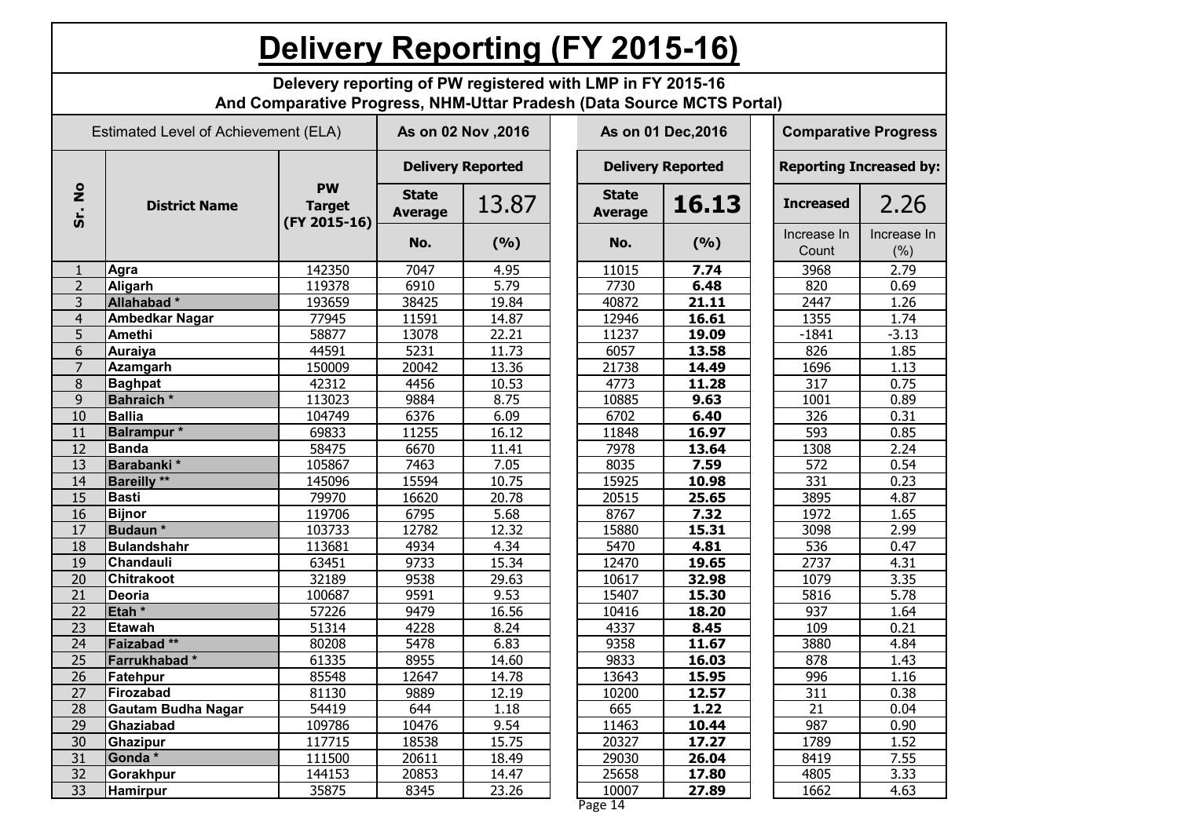|                      | <b>Delivery Reporting (FY 2015-16)</b>                                                                                              |                                            |                                |       |  |                                |       |  |                                |                     |  |  |
|----------------------|-------------------------------------------------------------------------------------------------------------------------------------|--------------------------------------------|--------------------------------|-------|--|--------------------------------|-------|--|--------------------------------|---------------------|--|--|
|                      | Delevery reporting of PW registered with LMP in FY 2015-16<br>And Comparative Progress, NHM-Uttar Pradesh (Data Source MCTS Portal) |                                            |                                |       |  |                                |       |  |                                |                     |  |  |
|                      | Estimated Level of Achievement (ELA)                                                                                                |                                            | As on 02 Nov , 2016            |       |  | As on 01 Dec, 2016             |       |  | <b>Comparative Progress</b>    |                     |  |  |
|                      |                                                                                                                                     |                                            | <b>Delivery Reported</b>       |       |  | <b>Delivery Reported</b>       |       |  | <b>Reporting Increased by:</b> |                     |  |  |
| $\frac{1}{2}$<br>Sr. | <b>District Name</b>                                                                                                                | <b>PW</b><br><b>Target</b><br>(FY 2015-16) | <b>State</b><br><b>Average</b> | 13.87 |  | <b>State</b><br><b>Average</b> | 16.13 |  | <b>Increased</b>               | 2.26                |  |  |
|                      |                                                                                                                                     |                                            | No.                            | (9/6) |  | No.                            | (9/6) |  | Increase In<br>Count           | Increase In<br>(% ) |  |  |
|                      | Agra                                                                                                                                | 142350                                     | 7047                           | 4.95  |  | 11015                          | 7.74  |  | 3968                           | 2.79                |  |  |
| $\overline{2}$       | Aligarh                                                                                                                             | 119378                                     | 6910                           | 5.79  |  | 7730                           | 6.48  |  | 820                            | 0.69                |  |  |
| 3                    | Allahabad*                                                                                                                          | 193659                                     | 38425                          | 19.84 |  | 40872                          | 21.11 |  | 2447                           | 1.26                |  |  |
| $\overline{4}$       | <b>Ambedkar Nagar</b>                                                                                                               | 77945                                      | 11591                          | 14.87 |  | 12946                          | 16.61 |  | 1355                           | 1.74                |  |  |
| 5                    | <b>Amethi</b>                                                                                                                       | 58877                                      | 13078                          | 22.21 |  | 11237                          | 19.09 |  | $-1841$                        | $-3.13$             |  |  |
| 6                    | <b>Auraiya</b>                                                                                                                      | 44591                                      | 5231                           | 11.73 |  | 6057                           | 13.58 |  | 826                            | 1.85                |  |  |
| $\overline{7}$       | <b>Azamgarh</b>                                                                                                                     | 150009                                     | 20042                          | 13.36 |  | 21738                          | 14.49 |  | 1696                           | 1.13                |  |  |
| 8                    | <b>Baghpat</b>                                                                                                                      | 42312                                      | 4456                           | 10.53 |  | 4773                           | 11.28 |  | 317                            | 0.75                |  |  |
| 9                    | <b>Bahraich</b> *                                                                                                                   | 113023                                     | 9884                           | 8.75  |  | 10885                          | 9.63  |  | 1001                           | 0.89                |  |  |
| 10                   | <b>Ballia</b>                                                                                                                       | 104749                                     | 6376                           | 6.09  |  | 6702                           | 6.40  |  | 326                            | 0.31                |  |  |
| 11                   | <b>Balrampur</b> *                                                                                                                  | 69833                                      | 11255                          | 16.12 |  | 11848                          | 16.97 |  | 593                            | 0.85                |  |  |
| 12                   | <b>Banda</b>                                                                                                                        | 58475                                      | 6670                           | 11.41 |  | 7978                           | 13.64 |  | 1308                           | 2.24                |  |  |
| 13                   | Barabanki*                                                                                                                          | 105867                                     | 7463                           | 7.05  |  | 8035                           | 7.59  |  | 572                            | 0.54                |  |  |
| 14                   | <b>Bareilly</b> **                                                                                                                  | 145096                                     | 15594                          | 10.75 |  | 15925                          | 10.98 |  | 331                            | 0.23                |  |  |
| 15                   | <b>Basti</b>                                                                                                                        | 79970                                      | 16620                          | 20.78 |  | 20515                          | 25.65 |  | 3895                           | 4.87                |  |  |
| 16                   | <b>Bijnor</b>                                                                                                                       | 119706                                     | 6795                           | 5.68  |  | 8767                           | 7.32  |  | 1972                           | 1.65                |  |  |
| 17                   | Budaun*                                                                                                                             | 103733                                     | 12782                          | 12.32 |  | 15880                          | 15.31 |  | 3098                           | 2.99                |  |  |
| 18                   | <b>Bulandshahr</b>                                                                                                                  | 113681                                     | 4934                           | 4.34  |  | 5470                           | 4.81  |  | 536                            | 0.47                |  |  |
| 19                   | Chandauli                                                                                                                           | 63451                                      | 9733                           | 15.34 |  | 12470                          | 19.65 |  | 2737                           | 4.31                |  |  |
| 20                   | <b>Chitrakoot</b>                                                                                                                   | 32189                                      | 9538                           | 29.63 |  | 10617                          | 32.98 |  | 1079                           | 3.35                |  |  |
| 21                   | Deoria                                                                                                                              | 100687                                     | 9591                           | 9.53  |  | 15407                          | 15.30 |  | 5816                           | 5.78                |  |  |
| $\overline{22}$      | Etah <sup>*</sup>                                                                                                                   | 57226                                      | 9479                           | 16.56 |  | 10416                          | 18.20 |  | 937                            | 1.64                |  |  |
| $\overline{23}$      | Etawah                                                                                                                              | 51314                                      | 4228                           | 8.24  |  | 4337                           | 8.45  |  | 109                            | 0.21                |  |  |
| 24                   | Faizabad **                                                                                                                         | 80208                                      | 5478                           | 6.83  |  | 9358                           | 11.67 |  | 3880                           | 4.84                |  |  |
| 25                   | Farrukhabad*                                                                                                                        | 61335                                      | 8955                           | 14.60 |  | 9833                           | 16.03 |  | 878                            | 1.43                |  |  |
| 26                   | Fatehpur                                                                                                                            | 85548                                      | 12647                          | 14.78 |  | 13643                          | 15.95 |  | 996                            | 1.16                |  |  |
| 27                   | Firozabad                                                                                                                           | 81130                                      | 9889                           | 12.19 |  | 10200                          | 12.57 |  | 311                            | 0.38                |  |  |
| 28                   | <b>Gautam Budha Nagar</b>                                                                                                           | 54419                                      | 644                            | 1.18  |  | 665                            | 1.22  |  | $\overline{21}$                | 0.04                |  |  |
| 29                   | Ghaziabad                                                                                                                           | 109786                                     | 10476                          | 9.54  |  | 11463                          | 10.44 |  | 987                            | 0.90                |  |  |
| 30                   | <b>Ghazipur</b>                                                                                                                     | 117715                                     | 18538                          | 15.75 |  | 20327                          | 17.27 |  | 1789                           | 1.52                |  |  |
| 31                   | Gonda*                                                                                                                              | 111500                                     | 20611                          | 18.49 |  | 29030                          | 26.04 |  | 8419                           | 7.55                |  |  |
| 32                   | Gorakhpur                                                                                                                           | 144153                                     | 20853                          | 14.47 |  | 25658                          | 17.80 |  | 4805                           | 3.33                |  |  |
| 33                   |                                                                                                                                     |                                            |                                |       |  |                                |       |  |                                |                     |  |  |
|                      | <b>Hamirpur</b>                                                                                                                     | 35875                                      | 8345                           | 23.26 |  | 10007                          | 27.89 |  | 1662                           | 4.63                |  |  |

Page 14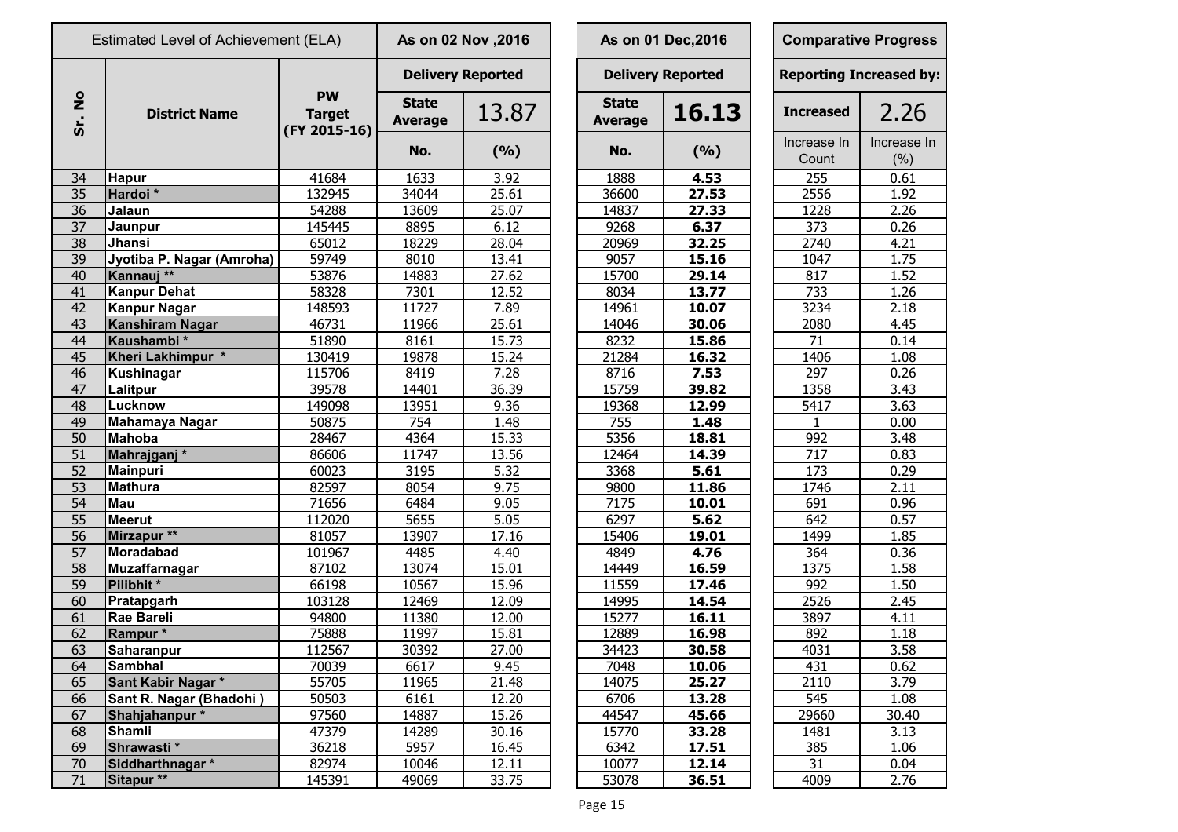|                       | Estimated Level of Achievement (ELA) |                                            |                                | As on 02 Nov , 2016      |  |                                | As on 01 Dec, 2016       | <b>Comparative Progress</b>    |                    |  |  |
|-----------------------|--------------------------------------|--------------------------------------------|--------------------------------|--------------------------|--|--------------------------------|--------------------------|--------------------------------|--------------------|--|--|
|                       | <b>District Name</b>                 | <b>PW</b><br><b>Target</b><br>(FY 2015-16) |                                | <b>Delivery Reported</b> |  |                                | <b>Delivery Reported</b> | <b>Reporting Increased by:</b> |                    |  |  |
| $\bullet$<br>Ž<br>Śr. |                                      |                                            | <b>State</b><br><b>Average</b> | 13.87                    |  | <b>State</b><br><b>Average</b> | 16.13                    | <b>Increased</b>               | 2.26               |  |  |
|                       |                                      |                                            | No.                            | (9/6)                    |  | No.                            | (%)                      | Increase In<br>Count           | Increase In<br>(%) |  |  |
| 34                    | <b>Hapur</b>                         | 41684                                      | 1633                           | 3.92                     |  | 1888                           | 4.53                     | 255                            | 0.61               |  |  |
| 35                    | Hardoi*                              | 132945                                     | 34044                          | 25.61                    |  | 36600                          | 27.53                    | 2556                           | 1.92               |  |  |
| 36                    | Jalaun                               | 54288                                      | 13609                          | 25.07                    |  | 14837                          | 27.33                    | 1228                           | 2.26               |  |  |
| 37                    | Jaunpur                              | 145445                                     | 8895                           | 6.12                     |  | 9268                           | 6.37                     | 373                            | 0.26               |  |  |
| $\overline{38}$       | Jhansi                               | 65012                                      | 18229                          | 28.04                    |  | 20969                          | 32.25                    | 2740                           | 4.21               |  |  |
| 39                    | Jyotiba P. Nagar (Amroha)            | 59749                                      | 8010                           | 13.41                    |  | 9057                           | 15.16                    | 1047                           | 1.75               |  |  |
| 40                    | Kannauj **                           | 53876                                      | 14883                          | 27.62                    |  | 15700                          | 29.14                    | 817                            | 1.52               |  |  |
| 41                    | <b>Kanpur Dehat</b>                  | 58328                                      | 7301                           | 12.52                    |  | 8034                           | 13.77                    | 733                            | 1.26               |  |  |
| 42                    | Kanpur Nagar                         | 148593                                     | 11727                          | 7.89                     |  | 14961                          | 10.07                    | 3234                           | 2.18               |  |  |
| 43                    | Kanshiram Nagar                      | 46731                                      | 11966                          | 25.61                    |  | 14046                          | 30.06                    | 2080                           | 4.45               |  |  |
| 44                    | Kaushambi*                           | 51890                                      | 8161                           | 15.73                    |  | 8232                           | 15.86                    | $\overline{71}$                | 0.14               |  |  |
| 45                    | Kheri Lakhimpur *                    | 130419                                     | 19878                          | 15.24                    |  | 21284                          | 16.32                    | 1406                           | 1.08               |  |  |
| 46                    | Kushinagar                           | 115706                                     | 8419                           | 7.28                     |  | 8716                           | 7.53                     | 297                            | 0.26               |  |  |
| 47                    | Lalitpur                             | 39578                                      | 14401                          | 36.39                    |  | 15759                          | 39.82                    | 1358                           | 3.43               |  |  |
| 48                    | Lucknow                              | 149098                                     | 13951                          | 9.36                     |  | 19368                          | 12.99                    | 5417                           | 3.63               |  |  |
| 49                    | Mahamaya Nagar                       | 50875                                      | 754                            | 1.48                     |  | 755                            | 1.48                     | $\mathbf{1}$                   | 0.00               |  |  |
| 50                    | <b>Mahoba</b>                        | 28467                                      | 4364                           | 15.33                    |  | 5356                           | 18.81                    | 992                            | 3.48               |  |  |
| $\overline{51}$       | Mahrajganj <sup>*</sup>              | 86606                                      | 11747                          | 13.56                    |  | 12464                          | 14.39                    | $\overline{717}$               | 0.83               |  |  |
| 52                    | <b>Mainpuri</b>                      | 60023                                      | 3195                           | 5.32                     |  | 3368                           | 5.61                     | 173                            | 0.29               |  |  |
| 53                    | <b>Mathura</b>                       | 82597                                      | 8054                           | 9.75                     |  | 9800                           | 11.86                    | 1746                           | 2.11               |  |  |
| 54                    | <b>Mau</b>                           | 71656                                      | 6484                           | 9.05                     |  | 7175                           | 10.01                    | 691                            | 0.96               |  |  |
| 55                    | <b>Meerut</b>                        | 112020                                     | 5655                           | 5.05                     |  | 6297                           | 5.62                     | 642                            | 0.57               |  |  |
| 56                    | Mirzapur **                          | 81057                                      | 13907                          | 17.16                    |  | 15406                          | 19.01                    | 1499                           | 1.85               |  |  |
| 57                    | <b>Moradabad</b>                     | 101967                                     | 4485                           | 4.40                     |  | 4849                           | 4.76                     | 364                            | 0.36               |  |  |
| 58                    | <b>Muzaffarnagar</b>                 | 87102                                      | 13074                          | 15.01                    |  | 14449                          | 16.59                    | 1375                           | 1.58               |  |  |
| 59                    | Pilibhit*                            | 66198                                      | 10567                          | 15.96                    |  | 11559                          | 17.46                    | 992                            | 1.50               |  |  |
| 60                    | <b>Pratapgarh</b>                    | 103128                                     | 12469                          | 12.09                    |  | 14995                          | 14.54                    | 2526                           | 2.45               |  |  |
| 61                    | Rae Bareli                           | 94800                                      | 11380                          | 12.00                    |  | 15277                          | 16.11                    | 3897                           | 4.11               |  |  |
| 62                    | Rampur*                              | 75888                                      | 11997                          | 15.81                    |  | 12889                          | 16.98                    | 892                            | 1.18               |  |  |
| 63                    | Saharanpur                           | 112567                                     | 30392                          | 27.00                    |  | 34423                          | 30.58                    | 4031                           | 3.58               |  |  |
| 64                    | <b>Sambhal</b>                       | 70039                                      | 6617                           | 9.45                     |  | 7048                           | 10.06                    | 431                            | 0.62               |  |  |
| 65                    | Sant Kabir Nagar *                   | 55705                                      | 11965                          | 21.48                    |  | 14075                          | 25.27                    | 2110                           | 3.79               |  |  |
| 66                    | Sant R. Nagar (Bhadohi)              | 50503                                      | 6161                           | 12.20                    |  | 6706                           | 13.28                    | 545                            | 1.08               |  |  |
| 67                    | Shahjahanpur*                        | 97560                                      | 14887                          | 15.26                    |  | 44547                          | 45.66                    | 29660                          | 30.40              |  |  |
| 68                    | Shamli                               | 47379                                      | 14289                          | 30.16                    |  | 15770                          | 33.28                    | 1481                           | 3.13               |  |  |
| 69                    | Shrawasti*                           | 36218                                      | 5957                           | 16.45                    |  | 6342                           | 17.51                    | 385                            | 1.06               |  |  |
| 70                    | Siddharthnagar *                     | 82974                                      | 10046                          | 12.11                    |  | 10077                          | 12.14                    | 31                             | 0.04               |  |  |
| 71                    | Sitapur <sup>**</sup>                | 145391                                     | 49069                          | 33.75                    |  | 53078                          | 36.51                    | 4009                           | 2.76               |  |  |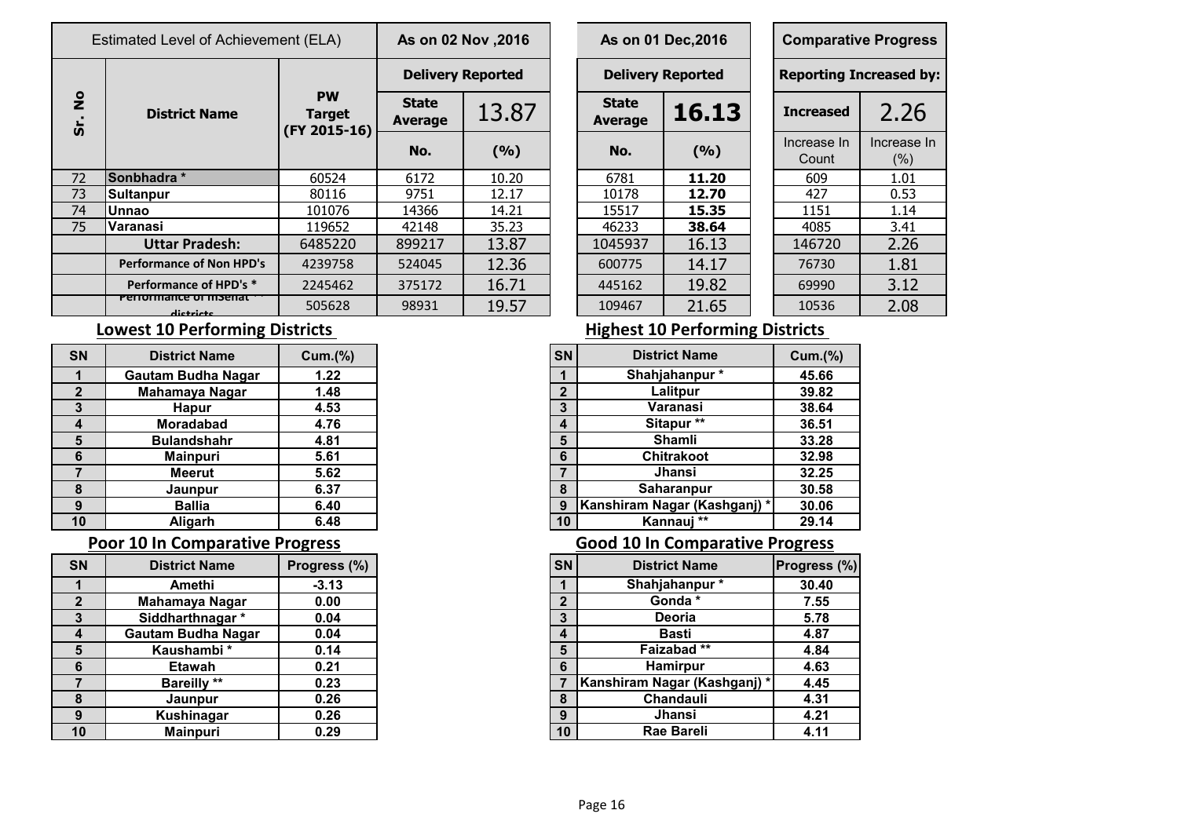|                            | Estimated Level of Achievement (ELA) | As on 02 Nov , 2016                        |                                |       | As on 01 Dec, 2016 |                                |       | <b>Comparative Progress</b> |                               |                     |  |
|----------------------------|--------------------------------------|--------------------------------------------|--------------------------------|-------|--------------------|--------------------------------|-------|-----------------------------|-------------------------------|---------------------|--|
|                            | <b>District Name</b>                 |                                            | <b>Delivery Reported</b>       |       |                    | <b>Delivery Reported</b>       |       |                             | <b>Reporting Increased by</b> |                     |  |
| $\frac{1}{2}$<br><u>ູ່</u> |                                      | <b>PW</b><br><b>Target</b><br>(FY 2015-16) | <b>State</b><br><b>Average</b> | 13.87 |                    | <b>State</b><br><b>Average</b> | 16.13 |                             | <b>Increased</b>              | 2.26                |  |
|                            |                                      |                                            | No.                            | (9/6) |                    | No.                            | (9/6) |                             | Increase In<br>Count          | Increase In<br>(% ) |  |
| 72                         | Sonbhadra *                          | 60524                                      | 6172                           | 10.20 |                    | 6781                           | 11.20 |                             | 609                           | 1.01                |  |
| 73                         | <b>Sultanpur</b>                     | 80116                                      | 9751                           | 12.17 |                    | 10178                          | 12.70 |                             | 427                           | 0.53                |  |
| 74                         | <b>Unnao</b>                         | 101076                                     | 14366                          | 14.21 |                    | 15517                          | 15.35 |                             | 1151                          | 1.14                |  |
| 75                         | lVaranasi                            | 119652                                     | 42148                          | 35.23 |                    | 46233                          | 38.64 |                             | 4085                          | 3.41                |  |
|                            | <b>Uttar Pradesh:</b>                | 6485220                                    | 899217                         | 13.87 |                    | 1045937                        | 16.13 |                             | 146720                        | 2.26                |  |
|                            | <b>Performance of Non HPD's</b>      | 4239758                                    | 524045                         | 12.36 |                    | 600775                         | 14.17 |                             | 76730                         | 1.81                |  |
|                            | Performance of HPD's *               | 2245462                                    | 375172                         | 16.71 |                    | 445162                         | 19.82 |                             | 69990                         | 3.12                |  |
|                            | Pencinance of Instituti<br>dictricts | 505628                                     | 98931                          | 19.57 |                    | 109467                         | 21.65 |                             | 10536                         | 2.08                |  |

|                | s on 02 Nov ,2016 |  |                                | As on 01 Dec, 2016 |  | <b>Comparative Progres</b>   |                  |  |  |  |  |
|----------------|-------------------|--|--------------------------------|--------------------|--|------------------------------|------------------|--|--|--|--|
|                | elivery Reported  |  | <b>Delivery Reported</b>       |                    |  | <b>Reporting Increased b</b> |                  |  |  |  |  |
| itate<br>erage | 13.87             |  | <b>State</b><br><b>Average</b> | 16.13              |  | <b>Increased</b>             | 2.26             |  |  |  |  |
| No.            | (9/6)             |  | No.<br>(9/6)                   |                    |  | Increase In<br>Count         | Increase<br>(% ) |  |  |  |  |
| 5172           | 10.20             |  | 6781                           | 11.20              |  | 609                          | 1.01             |  |  |  |  |
| 9751           | 12.17             |  | 10178                          | 12.70              |  | 427                          | 0.53             |  |  |  |  |
| 4366           | 14.21             |  | 15517                          | 15.35              |  | 1151                         | 1.14             |  |  |  |  |
| 2148           | 35.23             |  | 46233                          | 38.64              |  | 4085                         | 3.41             |  |  |  |  |
| 9217           | 13.87             |  | 1045937                        | 16.13              |  | 146720                       | 2.26             |  |  |  |  |
| 24045          | 12.36             |  | 600775                         | 14.17              |  | 76730                        | 1.81             |  |  |  |  |
| 75172          | 16.71             |  | 445162                         | 19.82              |  | 69990                        | 3.12             |  |  |  |  |
| 8931           | 19.57             |  | 109467                         | 21.65              |  | 10536                        | 2.08             |  |  |  |  |

|                      | <b>Comparative Progress</b>    |  |  |  |  |  |  |  |
|----------------------|--------------------------------|--|--|--|--|--|--|--|
|                      | <b>Reporting Increased by:</b> |  |  |  |  |  |  |  |
| <b>Increased</b>     | 2.26                           |  |  |  |  |  |  |  |
| Increase In<br>Count | Increase In<br>$(\%)$          |  |  |  |  |  |  |  |
| 609                  | 1.01                           |  |  |  |  |  |  |  |
| 427                  | 0.53                           |  |  |  |  |  |  |  |
| 1151                 | 1.14                           |  |  |  |  |  |  |  |
| 4085                 | 3.41                           |  |  |  |  |  |  |  |
| 146720               | 2.26                           |  |  |  |  |  |  |  |
| 76730                | 1.81                           |  |  |  |  |  |  |  |
| 69990                | 3.12                           |  |  |  |  |  |  |  |
| 10536                | 2.08                           |  |  |  |  |  |  |  |

| <b>SN</b> | <b>District Name</b>      | Cum.(% ) |
|-----------|---------------------------|----------|
|           | <b>Gautam Budha Nagar</b> | 1.22     |
|           | Mahamaya Nagar            | 1.48     |
| 3         | <b>Hapur</b>              | 4.53     |
| 4         | <b>Moradabad</b>          | 4.76     |
| 5         | <b>Bulandshahr</b>        | 4.81     |
| 6         | <b>Mainpuri</b>           | 5.61     |
|           | <b>Meerut</b>             | 5.62     |
| 8         | Jaunpur                   | 6.37     |
| 9         | <b>Ballia</b>             | 6.40     |
| 10        | <b>Aligarh</b>            | 6.48     |

### **Poor 10 In Comparative Progress Comparative Progress Good 10 In Comparative Progress**

|              | <b>District Name</b>      | Progress (%) |
|--------------|---------------------------|--------------|
|              | Amethi                    | $-3.13$      |
| $\mathbf{2}$ | Mahamaya Nagar            | 0.00         |
| 3            | Siddharthnagar *          | 0.04         |
| 4            | <b>Gautam Budha Nagar</b> | 0.04         |
| 5            | Kaushambi*                | 0.14         |
| 6            | <b>Etawah</b>             | 0.21         |
|              | <b>Bareilly</b> **        | 0.23         |
| 8            | Jaunpur                   | 0.26         |
| 9            | Kushinagar                | 0.26         |
| 10           | <b>Mainpuri</b>           | 0.29         |

## **Lowest 10 Performing Districts Lowest 10 Performing Districts**

| SN             | <b>District Name</b>        | Cum.(%) |
|----------------|-----------------------------|---------|
|                | Shahjahanpur*               | 45.66   |
| $\overline{2}$ | Lalitpur                    | 39.82   |
| $\mathbf{3}$   | Varanasi                    | 38.64   |
| 4              | Sitapur**                   | 36.51   |
| 5              | <b>Shamli</b>               | 33.28   |
| 6              | <b>Chitrakoot</b>           | 32.98   |
|                | <b>Jhansi</b>               | 32.25   |
| 8              | Saharanpur                  | 30.58   |
| 9              | Kanshiram Nagar (Kashganj)* | 30.06   |
| 10             | Kannauj<br>**               | 29.14   |

| <b>SN</b>       | <b>District Name</b>      | Progress (%) |
|-----------------|---------------------------|--------------|
|                 | Amethi                    | $-3.13$      |
| $\overline{2}$  | Mahamaya Nagar            | 0.00         |
| 3               | Siddharthnagar *          | 0.04         |
| $\overline{4}$  | <b>Gautam Budha Nagar</b> | 0.04         |
| $5\phantom{1}$  | Kaushambi*                | 0.14         |
| $6\phantom{1}6$ | <b>Etawah</b>             | 0.21         |
| $\overline{7}$  | <b>Bareilly</b> **        | 0.23         |
| 8               | Jaunpur                   | 0.26         |
| 9               | Kushinagar                | 0.26         |
| 10              | <b>Mainpuri</b>           | 0.29         |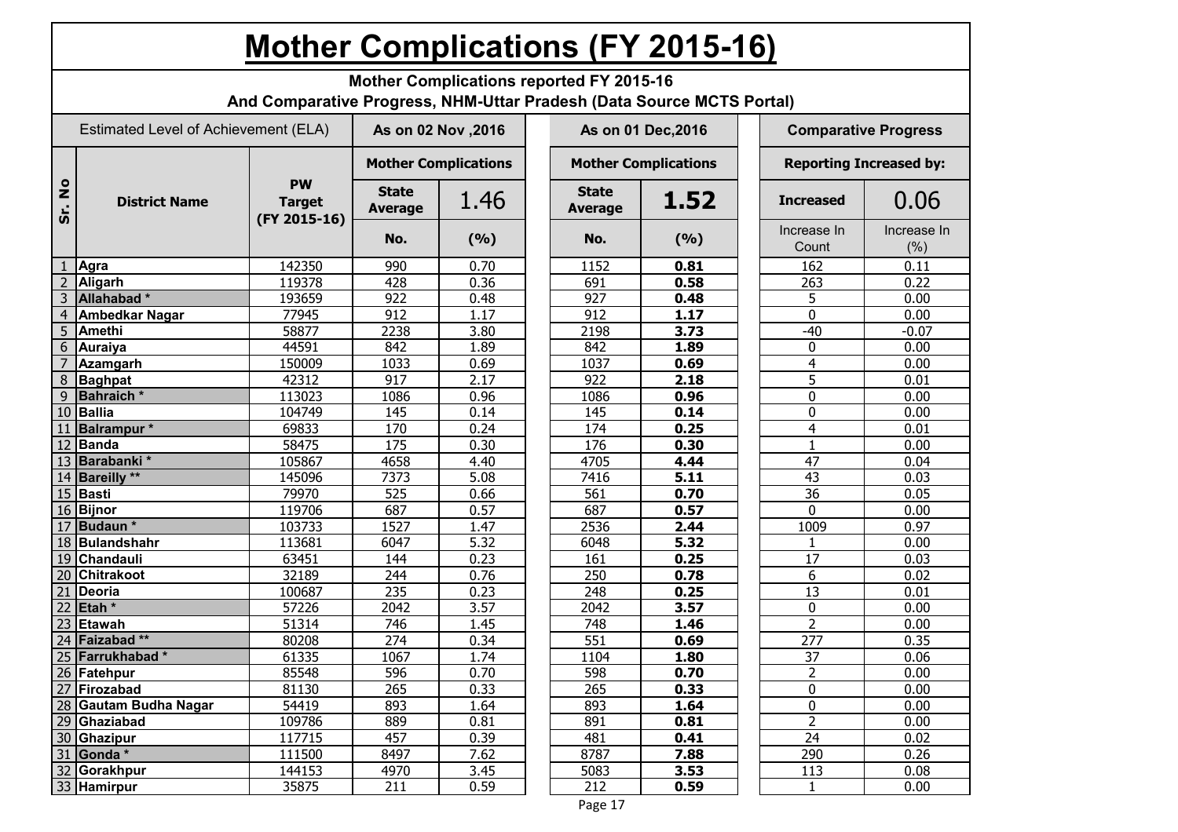# **Mother Complications (FY 2015-16)**

**Mother Complications reported FY 2015-16**

**And Comparative Progress, NHM-Uttar Pradesh (Data Source MCTS Portal)**

|                     | Estimated Level of Achievement (ELA) |                                            | As on 02 Nov , 2016            |                             |  |                                | As on 01 Dec, 2016          | <b>Comparative Progress</b>    |                      |                     |  |
|---------------------|--------------------------------------|--------------------------------------------|--------------------------------|-----------------------------|--|--------------------------------|-----------------------------|--------------------------------|----------------------|---------------------|--|
|                     |                                      | <b>PW</b><br><b>Target</b><br>(FY 2015-16) |                                | <b>Mother Complications</b> |  |                                | <b>Mother Complications</b> | <b>Reporting Increased by:</b> |                      |                     |  |
| $\frac{1}{2}$<br>ູ່ | <b>District Name</b>                 |                                            | <b>State</b><br><b>Average</b> | 1.46                        |  | <b>State</b><br><b>Average</b> | 1.52                        |                                | <b>Increased</b>     | 0.06                |  |
|                     |                                      |                                            | No.                            | (9/6)                       |  | No.                            | (9/6)                       |                                | Increase In<br>Count | Increase In<br>(% ) |  |
|                     | Agra                                 | 142350                                     | 990                            | 0.70                        |  | 1152                           | 0.81                        |                                | 162                  | 0.11                |  |
| $\overline{2}$      | Aligarh                              | 119378                                     | 428                            | 0.36                        |  | 691                            | 0.58                        |                                | 263                  | 0.22                |  |
| 3                   | Allahabad <sup>*</sup>               | 193659                                     | $\overline{922}$               | 0.48                        |  | 927                            | 0.48                        |                                | 5                    | 0.00                |  |
| $\overline{4}$      | <b>Ambedkar Nagar</b>                | 77945                                      | 912                            | 1.17                        |  | 912                            | 1.17                        |                                | $\overline{0}$       | 0.00                |  |
| 5                   | <b>Amethi</b>                        | 58877                                      | 2238                           | 3.80                        |  | 2198                           | 3.73                        |                                | $-40$                | $-0.07$             |  |
| 6                   | <b>Auraiya</b>                       | 44591                                      | 842                            | 1.89                        |  | 842                            | 1.89                        |                                | 0                    | 0.00                |  |
| 7                   | Azamgarh                             | 150009                                     | 1033                           | 0.69                        |  | 1037                           | 0.69                        |                                | $\overline{4}$       | 0.00                |  |
| 8                   | <b>Baghpat</b>                       | 42312                                      | $\overline{917}$               | 2.17                        |  | 922                            | 2.18                        |                                | $\overline{5}$       | 0.01                |  |
| 9                   | <b>Bahraich</b> *                    | 113023                                     | 1086                           | 0.96                        |  | 1086                           | 0.96                        |                                | $\overline{0}$       | 0.00                |  |
| 10                  | <b>Ballia</b>                        | 104749                                     | 145                            | 0.14                        |  | 145                            | 0.14                        |                                | 0                    | 0.00                |  |
| 11                  | <b>Balrampur</b> *                   | 69833                                      | 170                            | 0.24                        |  | 174                            | 0.25                        |                                | 4                    | $\overline{0.01}$   |  |
| 12                  | <b>Banda</b>                         | 58475                                      | 175                            | 0.30                        |  | 176                            | 0.30                        |                                | $\mathbf{1}$         | 0.00                |  |
| 13                  | Barabanki *                          | 105867                                     | 4658                           | 4.40                        |  | 4705                           | 4.44                        |                                | $\overline{47}$      | 0.04                |  |
| 14                  | <b>Bareilly</b> **                   | 145096                                     | 7373                           | 5.08                        |  | 7416                           | 5.11                        |                                | 43                   | 0.03                |  |
| $\overline{15}$     | Basti                                | 79970                                      | 525                            | 0.66                        |  | $\overline{561}$               | 0.70                        |                                | $\overline{36}$      | 0.05                |  |
| 16                  | <b>Bijnor</b>                        | 119706                                     | 687                            | 0.57                        |  | 687                            | 0.57                        |                                | 0                    | 0.00                |  |
| 17                  | Budaun *                             | 103733                                     | 1527                           | 1.47                        |  | 2536                           | 2.44                        |                                | 1009                 | 0.97                |  |
| 18                  | Bulandshahr                          | 113681                                     | 6047                           | $\overline{5.32}$           |  | 6048                           | 5.32                        |                                |                      | 0.00                |  |
| 19                  | Chandauli                            | 63451                                      | 144                            | 0.23                        |  | 161                            | 0.25                        |                                | $\overline{17}$      | 0.03                |  |
| 20                  | <b>Chitrakoot</b>                    | 32189                                      | 244                            | 0.76                        |  | 250                            | 0.78                        |                                | 6                    | 0.02                |  |
| 21                  | <b>Deoria</b>                        | 100687                                     | 235                            | 0.23                        |  | 248                            | 0.25                        |                                | $\overline{13}$      | 0.01                |  |
| 22                  | Etah <sup>*</sup>                    | 57226                                      | 2042                           | 3.57                        |  | 2042                           | 3.57                        |                                | 0                    | 0.00                |  |
| 23                  | Etawah                               | 51314                                      | 746                            | 1.45                        |  | 748                            | 1.46                        |                                | $\overline{2}$       | 0.00                |  |
| 24                  | Faizabad**                           | 80208                                      | $\overline{274}$               | 0.34                        |  | 551                            | 0.69                        |                                | $\overline{277}$     | 0.35                |  |
| 25                  | Farrukhabad*                         | 61335                                      | 1067                           | 1.74                        |  | 1104                           | 1.80                        |                                | $\overline{37}$      | 0.06                |  |
| 26                  | Fatehpur                             | 85548                                      | 596                            | 0.70                        |  | 598                            | 0.70                        |                                | $\overline{2}$       | 0.00                |  |
| 27                  | Firozabad                            | 81130                                      | 265                            | 0.33                        |  | 265                            | 0.33                        |                                | 0                    | 0.00                |  |
| 28                  | Gautam Budha Nagar                   | 54419                                      | 893                            | 1.64                        |  | 893                            | 1.64                        |                                | $\overline{0}$       | 0.00                |  |
| 29                  | Ghaziabad                            | 109786                                     | 889                            | 0.81                        |  | 891                            | 0.81                        |                                | $\overline{2}$       | 0.00                |  |
| 30                  | Ghazipur                             | 117715                                     | 457                            | 0.39                        |  | 481                            | 0.41                        |                                | 24                   | 0.02                |  |
| 31                  | Gonda *                              | 111500                                     | 8497                           | 7.62                        |  | 8787                           | 7.88                        |                                | 290                  | 0.26                |  |
| 32                  | Gorakhpur                            | 144153                                     | 4970                           | 3.45                        |  | 5083                           | 3.53                        |                                | 113                  | 0.08                |  |
|                     | 33 Hamirpur                          | 35875                                      | 211                            | 0.59                        |  | 212                            | 0.59                        |                                | $\mathbf{1}$         | 0.00                |  |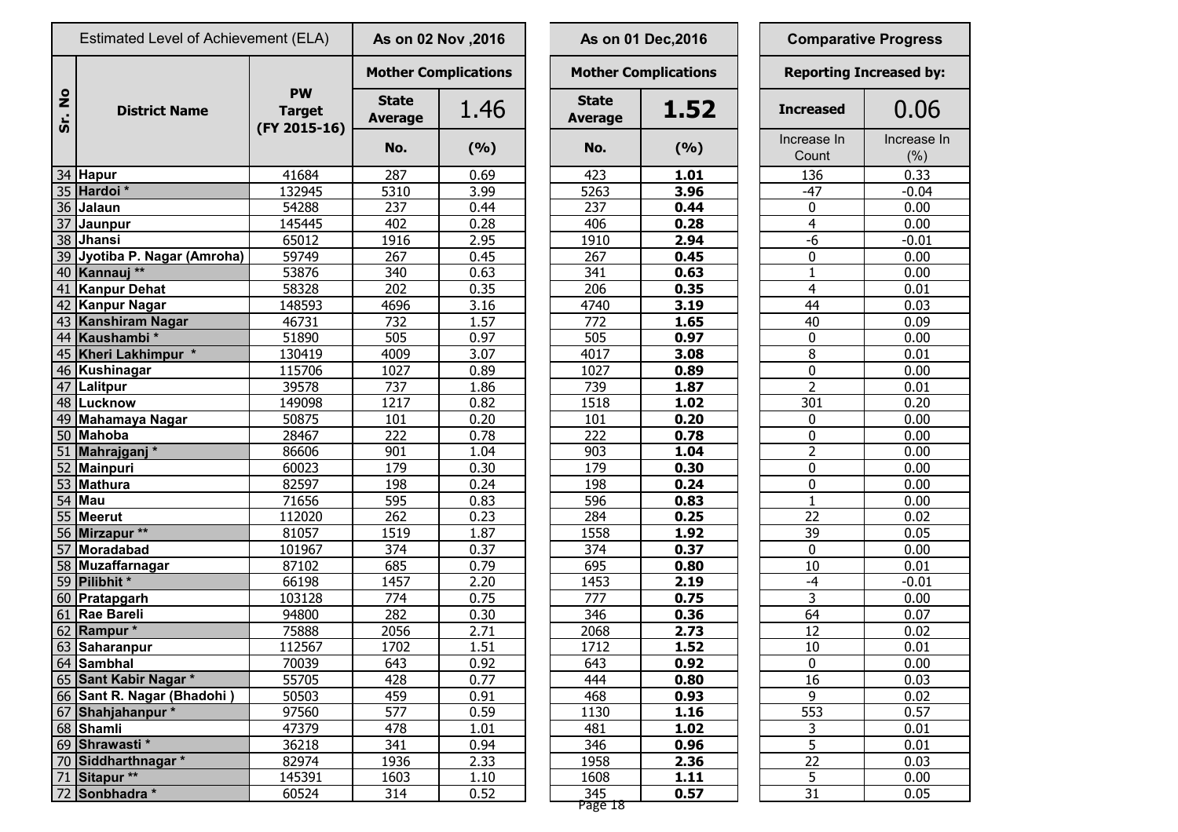|                     | Estimated Level of Achievement (ELA) |                                            | As on 02 Nov , 2016            |       |  |                                | As on 01 Dec, 2016          | <b>Comparative Progress</b> |                               |                    |  |
|---------------------|--------------------------------------|--------------------------------------------|--------------------------------|-------|--|--------------------------------|-----------------------------|-----------------------------|-------------------------------|--------------------|--|
|                     |                                      |                                            | <b>Mother Complications</b>    |       |  |                                | <b>Mother Complications</b> |                             | <b>Reporting Increased by</b> |                    |  |
| $\circ$<br>Ž<br>Sr. | <b>District Name</b>                 | <b>PW</b><br><b>Target</b><br>(FY 2015-16) | <b>State</b><br><b>Average</b> | 1.46  |  | <b>State</b><br><b>Average</b> | 1.52                        |                             | <b>Increased</b>              | 0.06               |  |
|                     |                                      |                                            | No.                            | (9/6) |  | No.                            | (9/6)                       |                             | Increase In<br>Count          | Increase I<br>(% ) |  |
|                     | 34 Hapur                             | 41684                                      | 287                            | 0.69  |  | 423                            | 1.01                        |                             | 136                           | 0.33               |  |
|                     | 35 Hardoi*                           | 132945                                     | 5310                           | 3.99  |  | 5263                           | 3.96                        |                             | $-47$                         | $-0.04$            |  |
|                     | 36 Jalaun                            | 54288                                      | 237                            | 0.44  |  | 237                            | 0.44                        |                             | 0                             | 0.00               |  |
|                     | 37 Jaunpur                           | 145445                                     | 402                            | 0.28  |  | 406                            | 0.28                        |                             | $\overline{4}$                | 0.00               |  |
|                     | 38 Jhansi                            | 65012                                      | 1916                           | 2.95  |  | 1910                           | 2.94                        |                             | $-6$                          | $-0.01$            |  |
|                     | 39 Jyotiba P. Nagar (Amroha)         | 59749                                      | 267                            | 0.45  |  | 267                            | 0.45                        |                             | 0                             | 0.00               |  |
|                     | 40 Kannauj **                        | 53876                                      | 340                            | 0.63  |  | 341                            | 0.63                        |                             | 1                             | 0.00               |  |
|                     | 41 Kanpur Dehat                      | 58328                                      | 202                            | 0.35  |  | 206                            | 0.35                        |                             | $\overline{4}$                | 0.01               |  |
|                     | 42 Kanpur Nagar                      | 148593                                     | 4696                           | 3.16  |  | 4740                           | 3.19                        |                             | $\overline{44}$               | 0.03               |  |
|                     | 43 Kanshiram Nagar                   | 46731                                      | 732                            | 1.57  |  | $\overline{772}$               | 1.65                        |                             | 40                            | 0.09               |  |
|                     | 44 Kaushambi*                        | 51890                                      | 505                            | 0.97  |  | 505                            | 0.97                        |                             | $\mathbf 0$                   | 0.00               |  |
|                     | 45 Kheri Lakhimpur *                 | 130419                                     | 4009                           | 3.07  |  | 4017                           | 3.08                        |                             | 8                             | 0.01               |  |
|                     | 46 Kushinagar                        | 115706                                     | 1027                           | 0.89  |  | 1027                           | 0.89                        |                             | $\mathbf 0$                   | 0.00               |  |
|                     | 47   Lalitpur                        | 39578                                      | 737                            | 1.86  |  | 739                            | 1.87                        |                             | 2                             | 0.01               |  |
|                     | 48 Lucknow                           | 149098                                     | 1217                           | 0.82  |  | 1518                           | 1.02                        |                             | 301                           | 0.20               |  |
|                     | 49 Mahamaya Nagar                    | 50875                                      | 101                            | 0.20  |  | 101                            | 0.20                        |                             | 0                             | 0.00               |  |
|                     | 50 Mahoba                            | 28467                                      | 222                            | 0.78  |  | 222                            | 0.78                        |                             | 0                             | 0.00               |  |
|                     | 51 Mahrajganj *                      | 86606                                      | 901                            | 1.04  |  | 903                            | 1.04                        |                             | $\overline{2}$                | 0.00               |  |
|                     | 52 Mainpuri                          | 60023                                      | 179                            | 0.30  |  | 179                            | 0.30                        |                             | 0                             | 0.00               |  |
|                     | 53 Mathura                           | 82597                                      | 198                            | 0.24  |  | 198                            | 0.24                        |                             | 0                             | 0.00               |  |
|                     | <b>54 Mau</b>                        | 71656                                      | 595                            | 0.83  |  | 596                            | 0.83                        |                             | 1                             | 0.00               |  |
|                     | 55 Meerut                            | 112020                                     | 262                            | 0.23  |  | 284                            | 0.25                        |                             | 22                            | 0.02               |  |
|                     | 56 Mirzapur **                       | 81057                                      | 1519                           | 1.87  |  | 1558                           | 1.92                        |                             | 39                            | 0.05               |  |
|                     | 57 Moradabad                         | 101967                                     | 374                            | 0.37  |  | 374                            | 0.37                        |                             | $\mathbf{0}$                  | 0.00               |  |
|                     | 58 Muzaffarnagar                     | 87102                                      | 685                            | 0.79  |  | 695                            | 0.80                        |                             | 10                            | 0.01               |  |
|                     | 59 Pilibhit *                        | 66198                                      | 1457                           | 2.20  |  | 1453                           | 2.19                        |                             | $-4$                          | $-0.01$            |  |
|                     | 60 Pratapgarh                        | 103128                                     | 774                            | 0.75  |  | 777                            | 0.75                        |                             | 3                             | 0.00               |  |
|                     | 61 Rae Bareli                        | 94800                                      | 282                            | 0.30  |  | 346                            | 0.36                        |                             | 64                            | 0.07               |  |
|                     | 62 Rampur *                          | 75888                                      | 2056                           | 2.71  |  | 2068                           | 2.73                        |                             | $\overline{12}$               | 0.02               |  |
|                     | 63 Saharanpur                        | 112567                                     | 1702                           | 1.51  |  | 1712                           | 1.52                        |                             | $10\,$                        | 0.01               |  |
|                     | 64 Sambhal                           | 70039                                      | 643                            | 0.92  |  | 643                            | 0.92                        |                             | 0                             | 0.00               |  |
|                     | 65 Sant Kabir Nagar *                | 55705                                      | 428                            | 0.77  |  | 444                            | 0.80                        |                             | 16                            | 0.03               |  |
|                     | 66 Sant R. Nagar (Bhadohi)           | 50503                                      | 459                            | 0.91  |  | 468                            | 0.93                        |                             | 9                             | 0.02               |  |
|                     | 67 Shahjahanpur *                    | 97560                                      | 577                            | 0.59  |  | 1130                           | 1.16                        |                             | 553                           | 0.57               |  |
|                     | $\overline{68}$ Shamli               | 47379                                      | 478                            | 1.01  |  | 481                            | 1.02                        |                             | 3                             | 0.01               |  |
|                     | 69 Shrawasti*                        | 36218                                      | 341                            | 0.94  |  | 346                            | 0.96                        |                             | 5                             | 0.01               |  |
|                     | 70 Siddharthnagar *                  | 82974                                      | 1936                           | 2.33  |  | 1958                           | 2.36                        |                             | 22                            | 0.03               |  |
|                     | 71 Sitapur **                        | 145391                                     | 1603                           | 1.10  |  | 1608                           | 1.11                        |                             | $\overline{5}$                | 0.00               |  |
|                     | 72 Sonbhadra *                       | 60524                                      | 314                            | 0.52  |  | 345                            | 0.57                        |                             | $\overline{31}$               | 0.05               |  |
|                     |                                      |                                            |                                |       |  |                                |                             |                             |                               |                    |  |

| As on 02 Nov , 2016            |                             |                                | As on 01 Dec, 2016          | <b>Comparative Progress</b> |                               |  |  |
|--------------------------------|-----------------------------|--------------------------------|-----------------------------|-----------------------------|-------------------------------|--|--|
|                                | <b>Mother Complications</b> |                                | <b>Mother Complications</b> |                             | <b>Reporting Increased by</b> |  |  |
| <b>State</b><br><b>Average</b> | 1.46                        | <b>State</b><br><b>Average</b> | 1.52                        | <b>Increased</b>            | 0.06                          |  |  |
| No.                            | (%)                         | No.                            | (%)                         | Increase In<br>Count        | Increase<br>(% )              |  |  |
| 287                            | 0.69                        | 423                            | 1.01                        | 136                         | 0.33                          |  |  |
| 5310                           | 3.99                        | 5263                           | 3.96                        | $-47$                       | $-0.04$                       |  |  |
| 237                            | 0.44                        | 237                            | 0.44                        | 0                           | 0.00                          |  |  |
| 402                            | 0.28                        | 406                            | 0.28                        | $\overline{4}$              | 0.00                          |  |  |
| 1916                           | 2.95                        | 1910                           | 2.94                        | $-6$                        | $-0.01$                       |  |  |
| 267                            | 0.45                        | 267                            | 0.45                        | 0                           | 0.00                          |  |  |
| 340                            | 0.63                        | 341                            | 0.63                        | 1                           | 0.00                          |  |  |
| 202                            | 0.35                        | 206                            | 0.35                        | $\overline{4}$              | 0.01                          |  |  |
| 4696                           | 3.16                        | 4740                           | 3.19                        | 44                          | 0.03                          |  |  |
| 732                            | 1.57                        | 772                            | 1.65                        | 40                          | 0.09                          |  |  |
| 505                            | 0.97                        | 505                            | 0.97                        | 0                           | 0.00                          |  |  |
| 4009                           | 3.07                        | 4017                           | 3.08                        | 8                           | 0.01                          |  |  |
| 1027                           | 0.89                        | 1027                           | 0.89                        | 0                           | 0.00                          |  |  |
| 737                            | 1.86                        | 739                            | 1.87                        | $\overline{2}$              | 0.01                          |  |  |
| 1217                           | 0.82                        | 1518                           | 1.02                        | 301                         | 0.20                          |  |  |
| 101                            | 0.20                        | 101                            | 0.20                        | 0                           | 0.00                          |  |  |
| 222                            | 0.78                        | 222                            | 0.78                        | 0                           | 0.00                          |  |  |
| 901                            | 1.04                        | 903                            | 1.04                        | $\overline{2}$              | 0.00                          |  |  |
| 179                            | 0.30                        | 179                            | 0.30                        | 0                           | 0.00                          |  |  |
| 198                            | 0.24                        | 198                            | 0.24                        | 0                           | 0.00                          |  |  |
| 595                            | 0.83                        | 596                            | 0.83                        | $\mathbf{1}$                | 0.00                          |  |  |
| 262                            | 0.23                        | 284                            | 0.25                        | 22                          | 0.02                          |  |  |
| 1519                           | 1.87                        | 1558                           | 1.92                        | 39                          | 0.05                          |  |  |
| 374                            | 0.37                        | 374                            | 0.37                        | 0                           | 0.00                          |  |  |
| 685                            | 0.79                        | 695                            | 0.80                        | 10                          | 0.01                          |  |  |
| 1457                           | 2.20                        | 1453                           | 2.19                        | $-4$                        | $-0.01$                       |  |  |
| 774                            | 0.75                        | 777                            | 0.75                        | 3                           | 0.00                          |  |  |
| 282                            | 0.30                        | 346                            | 0.36                        | 64                          | 0.07                          |  |  |
| 2056                           | 2.71                        | 2068                           | 2.73                        | 12                          | 0.02                          |  |  |
| 1702                           | 1.51                        | 1712                           | 1.52                        | 10                          | 0.01                          |  |  |
| 643                            | 0.92                        | 643                            | 0.92                        | 0                           | 0.00                          |  |  |
| 428                            | 0.77                        | 444                            | 0.80                        | 16                          | 0.03                          |  |  |
| 459                            | 0.91                        | 468                            | 0.93                        | 9                           | 0.02                          |  |  |
| 577                            | 0.59                        | 1130                           | 1.16                        | 553                         | 0.57                          |  |  |
| 478                            | 1.01                        | 481                            | 1.02                        | 3                           | 0.01                          |  |  |
| 341                            | 0.94                        | 346                            | 0.96                        | 5                           | 0.01                          |  |  |
| 1936                           | 2.33                        | 1958                           | 2.36                        | 22                          | 0.03                          |  |  |
| 1603                           | 1.10                        | 1608                           | 1.11                        | $\overline{5}$              | 0.00                          |  |  |
| 314                            | 0.52                        | 345                            | 0.57                        | 31                          | 0.05                          |  |  |
|                                |                             | RT Anc <b>y</b>                |                             |                             |                               |  |  |

| <b>Comparative Progress</b>    |             |  |  |  |  |  |
|--------------------------------|-------------|--|--|--|--|--|
| <b>Reporting Increased by:</b> |             |  |  |  |  |  |
| <b>Increased</b>               | 0.06        |  |  |  |  |  |
| Increase In                    | Increase In |  |  |  |  |  |
| Count                          | $(\% )$     |  |  |  |  |  |
| 136                            | 0.33        |  |  |  |  |  |
| $-47$                          | $-0.04$     |  |  |  |  |  |
| 0                              | 0.00        |  |  |  |  |  |
| $\overline{4}$                 | 0.00        |  |  |  |  |  |
| $-6$                           | $-0.01$     |  |  |  |  |  |
| 0                              | 0.00        |  |  |  |  |  |
| $\overline{1}$                 | 0.00        |  |  |  |  |  |
| $\overline{4}$                 | 0.01        |  |  |  |  |  |
| 44                             | 0.03        |  |  |  |  |  |
| 40                             | 0.09        |  |  |  |  |  |
| 0                              | 0.00        |  |  |  |  |  |
| 8                              | 0.01        |  |  |  |  |  |
| 0                              | 0.00        |  |  |  |  |  |
| $\overline{2}$                 | 0.01        |  |  |  |  |  |
| $\overline{301}$               | 0.20        |  |  |  |  |  |
| 0                              | 0.00        |  |  |  |  |  |
| 0                              | 0.00        |  |  |  |  |  |
|                                | 0.00        |  |  |  |  |  |
| $\frac{2}{0}$                  | 0.00        |  |  |  |  |  |
| 0                              | 0.00        |  |  |  |  |  |
| $\overline{1}$                 | 0.00        |  |  |  |  |  |
| 22                             | 0.02        |  |  |  |  |  |
| 3 <u>9</u>                     | 0.05        |  |  |  |  |  |
| 0                              | 0.00        |  |  |  |  |  |
| $\overline{1}0$                | 0.01        |  |  |  |  |  |
| -4                             | $-0.01$     |  |  |  |  |  |
| $\overline{3}$                 | 0.00        |  |  |  |  |  |
| $\overline{64}$                | 0.07        |  |  |  |  |  |
| 12                             | 0.02        |  |  |  |  |  |
| 10                             | 0.01        |  |  |  |  |  |
| $\overline{0}$                 | 0.00        |  |  |  |  |  |
| $\overline{16}$                | 0.03        |  |  |  |  |  |
| 9                              | 0.02        |  |  |  |  |  |
| $\frac{1}{553}$                | 0.57        |  |  |  |  |  |
|                                | 0.01        |  |  |  |  |  |
|                                | 0.01        |  |  |  |  |  |
| $rac{1}{2}$<br>$rac{5}{22}$    | 0.03        |  |  |  |  |  |
| $\overline{5}$                 | 0.00        |  |  |  |  |  |
| 31                             | 0.05        |  |  |  |  |  |

Page 18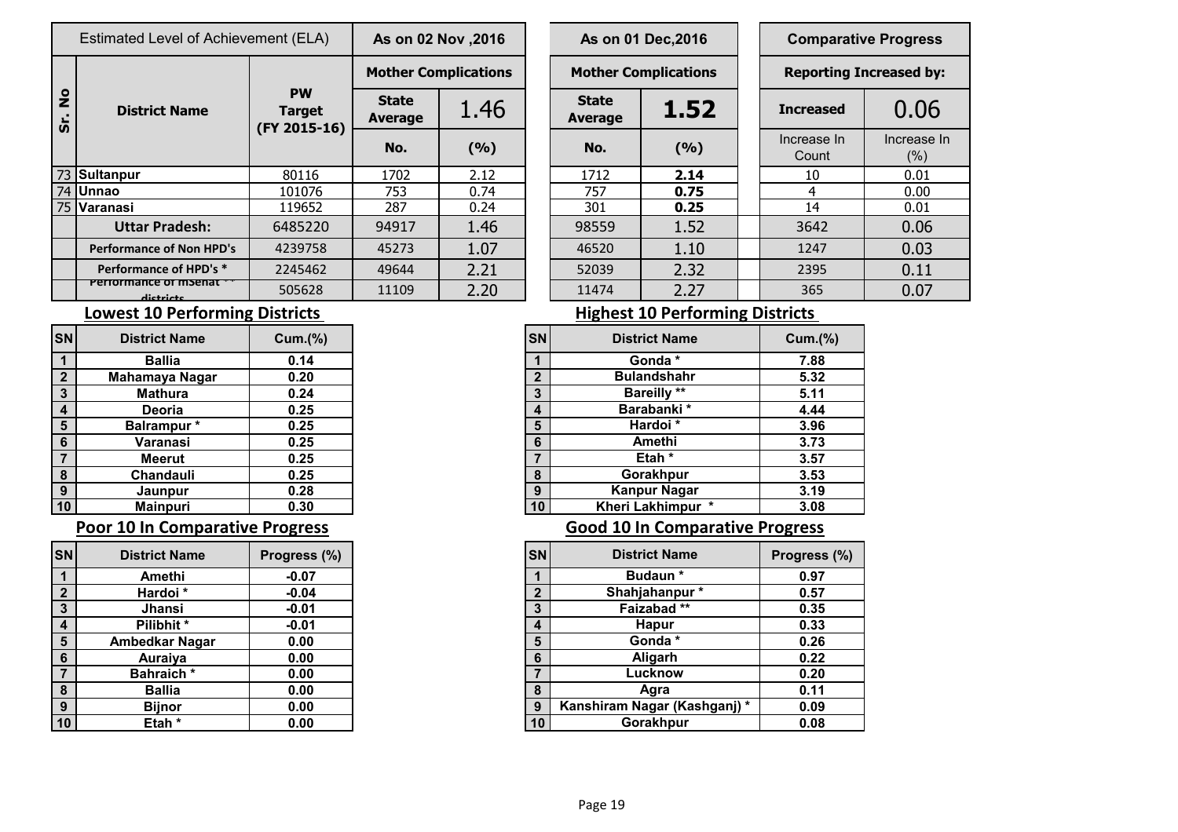|                     | Estimated Level of Achievement (ELA)       |                                            | As on 02 Nov , 2016     |                             |  | As on 01 Dec, 2016             |      |  | <b>Comparative Progress</b>   |                    |  |
|---------------------|--------------------------------------------|--------------------------------------------|-------------------------|-----------------------------|--|--------------------------------|------|--|-------------------------------|--------------------|--|
|                     |                                            |                                            |                         | <b>Mother Complications</b> |  | <b>Mother Complications</b>    |      |  | <b>Reporting Increased by</b> |                    |  |
| $\frac{1}{2}$<br>ທັ | <b>District Name</b>                       | <b>PW</b><br><b>Target</b><br>(FY 2015-16) | <b>State</b><br>Average | 1.46                        |  | <b>State</b><br><b>Average</b> | 1.52 |  | <b>Increased</b>              | 0.06               |  |
|                     |                                            |                                            | No.                     | (9/6)                       |  | No.                            | (%)  |  | Increase In<br>Count          | Increase I<br>(% ) |  |
|                     | 73 Sultanpur                               | 80116                                      | 1702                    | 2.12                        |  | 1712                           | 2.14 |  | 10                            | 0.01               |  |
|                     | 74 Unnao                                   | 101076                                     | 753                     | 0.74                        |  | 757                            | 0.75 |  | 4                             | 0.00               |  |
|                     | 75 Varanasi                                | 119652                                     | 287                     | 0.24                        |  | 301                            | 0.25 |  | 14                            | 0.01               |  |
|                     | <b>Uttar Pradesh:</b>                      | 6485220                                    | 94917                   | 1.46                        |  | 98559                          | 1.52 |  | 3642                          | 0.06               |  |
|                     | <b>Performance of Non HPD's</b>            | 4239758                                    | 45273                   | 1.07                        |  | 46520                          | 1.10 |  | 1247                          | 0.03               |  |
|                     | Performance of HPD's *                     | 2245462                                    | 49644                   | 2.21                        |  | 52039                          | 2.32 |  | 2395                          | 0.11               |  |
|                     | Performance of msenat<br>المشم فسنقم فالمر | 505628                                     | 11109                   | 2.20                        |  | 11474                          | 2.27 |  | 365                           | 0.07               |  |

| I Level of Achievement (ELA) |                                            | As on 02 Nov , 2016     |                             |     | As on 01 Dec, 2016             |       |  | <b>Comparative Progress</b> |                                |  |
|------------------------------|--------------------------------------------|-------------------------|-----------------------------|-----|--------------------------------|-------|--|-----------------------------|--------------------------------|--|
|                              |                                            |                         | <b>Mother Complications</b> |     | <b>Mother Complications</b>    |       |  |                             | <b>Reporting Increased by:</b> |  |
| trict Name                   | <b>PW</b><br><b>Target</b><br>(FY 2015-16) | <b>State</b><br>Average | 1.46                        |     | <b>State</b><br><b>Average</b> | 1.52  |  | <b>Increased</b>            | 0.06                           |  |
|                              |                                            | No.                     | (9/6)                       | No. |                                | (9/6) |  | Increase In<br>Count        | Increase In<br>$(\% )$         |  |
|                              | 80116                                      | 1702                    | 2.12                        |     | 2.14<br>1712                   |       |  | 10                          | 0.01                           |  |
|                              | 101076                                     | 753                     | 0.74                        |     | 757                            | 0.75  |  | 4                           | 0.00                           |  |
|                              | 119652                                     | 287                     | 0.24                        |     | 301                            | 0.25  |  | 14                          | 0.01                           |  |
| ır Pradesh:                  | 6485220                                    | 94917                   | 1.46                        |     | 98559                          | 1.52  |  | 3642                        | 0.06                           |  |
| nce of Non HPD's             | 4239758                                    | 45273                   | 1.07                        |     | 46520                          | 1.10  |  | 1247                        | 0.03                           |  |
| ance of HPD's *              | 2245462                                    | 49644                   | 2.21                        |     | 52039                          | 2.32  |  | 2395                        | 0.11                           |  |
| nce or msenar<br>dictricts   | 505628                                     | 11109                   | 2.20                        |     | 11474                          | 2.27  |  | 365                         | 0.07                           |  |
|                              |                                            |                         |                             |     |                                |       |  |                             |                                |  |

## **Lowest 10 Performing Districts Lowest 10 Performing Districts**

| <b>SN</b>    | <b>District Name</b> | Cum.(%) |
|--------------|----------------------|---------|
|              | <b>Ballia</b>        | 0.14    |
| $\mathbf{2}$ | Mahamaya Nagar       | 0.20    |
| 3            | <b>Mathura</b>       | 0.24    |
| 4            | Deoria               | 0.25    |
| 5            | Balrampur*           | 0.25    |
| 6            | Varanasi             | 0.25    |
| 7            | <b>Meerut</b>        | 0.25    |
| 8            | <b>Chandauli</b>     | 0.25    |
| 9            | Jaunpur              | 0.28    |
| 10           | <b>Mainpuri</b>      | 0.30    |

### **Poor 10 In Comparative Progress Comparative Progress Good 10 In Comparative Progress**

| <b>SN</b>        | <b>District Name</b>  | Progress (%) |
|------------------|-----------------------|--------------|
|                  | Amethi                | $-0.07$      |
| $\overline{2}$   | Hardoi *              | $-0.04$      |
| 3                | <b>Jhansi</b>         | $-0.01$      |
| $\boldsymbol{4}$ | Pilibhit*             | $-0.01$      |
| 5                | <b>Ambedkar Nagar</b> | 0.00         |
| 6                | <b>Auraiya</b>        | 0.00         |
|                  | <b>Bahraich</b> *     | 0.00         |
| 8                | Ballia                | 0.00         |
| 9                | <b>Bijnor</b>         | 0.00         |
|                  | Etah                  | 0.00         |

| <b>District Name</b> | Cum.(%) | <b>SN</b> | <b>District Name</b> |
|----------------------|---------|-----------|----------------------|
| <b>Ballia</b>        | 0.14    |           | Gonda *              |
| Mahamaya Nagar       | 0.20    | າ         | <b>Bulandshahr</b>   |
| <b>Mathura</b>       | 0.24    | 3         | <b>Bareilly</b> **   |
| Deoria               | 0.25    |           | Barabanki*           |
| Balrampur *          | 0.25    | 5         | Hardoi*              |
| Varanasi             | 0.25    | 6         | Amethi               |
| <b>Meerut</b>        | 0.25    |           | Etah *               |
| Chandauli            | 0.25    | 8         | Gorakhpur            |
| Jaunpur              | 0.28    | 9         | <b>Kanpur Nagar</b>  |
| <b>Mainpuri</b>      | 0.30    | 10        | Kheri Lakhimpur *    |

| SN               | <b>District Name</b>  | Progress (%) | <b>SN</b> | <b>District Name</b>        | Progress (%) |
|------------------|-----------------------|--------------|-----------|-----------------------------|--------------|
|                  | Amethi                | $-0.07$      |           | <b>Budaun</b> *             | 0.97         |
| $\overline{2}$   | Hardoi*               | $-0.04$      | C         | Shahjahanpur*               | 0.57         |
| $\mathbf{3}$     | Jhansi                | $-0.01$      | 3         | Faizabad**                  | 0.35         |
| $\overline{4}$   | Pilibhit *            | $-0.01$      | 4         | <b>Hapur</b>                | 0.33         |
| $5\phantom{.0}$  | <b>Ambedkar Nagar</b> | 0.00         | 5         | Gonda *                     | 0.26         |
| 6                | Auraiya               | 0.00         | 6         | Aligarh                     | 0.22         |
| 7                | <b>Bahraich*</b>      | 0.00         |           | Lucknow                     | 0.20         |
| $\boldsymbol{8}$ | <b>Ballia</b>         | 0.00         | 8         | Agra                        | 0.11         |
| 9                | <b>Bijnor</b>         | 0.00         | 9         | Kanshiram Nagar (Kashganj)* | 0.09         |
| 10               | Etah *                | 0.00         | 10        | Gorakhpur                   | 0.08         |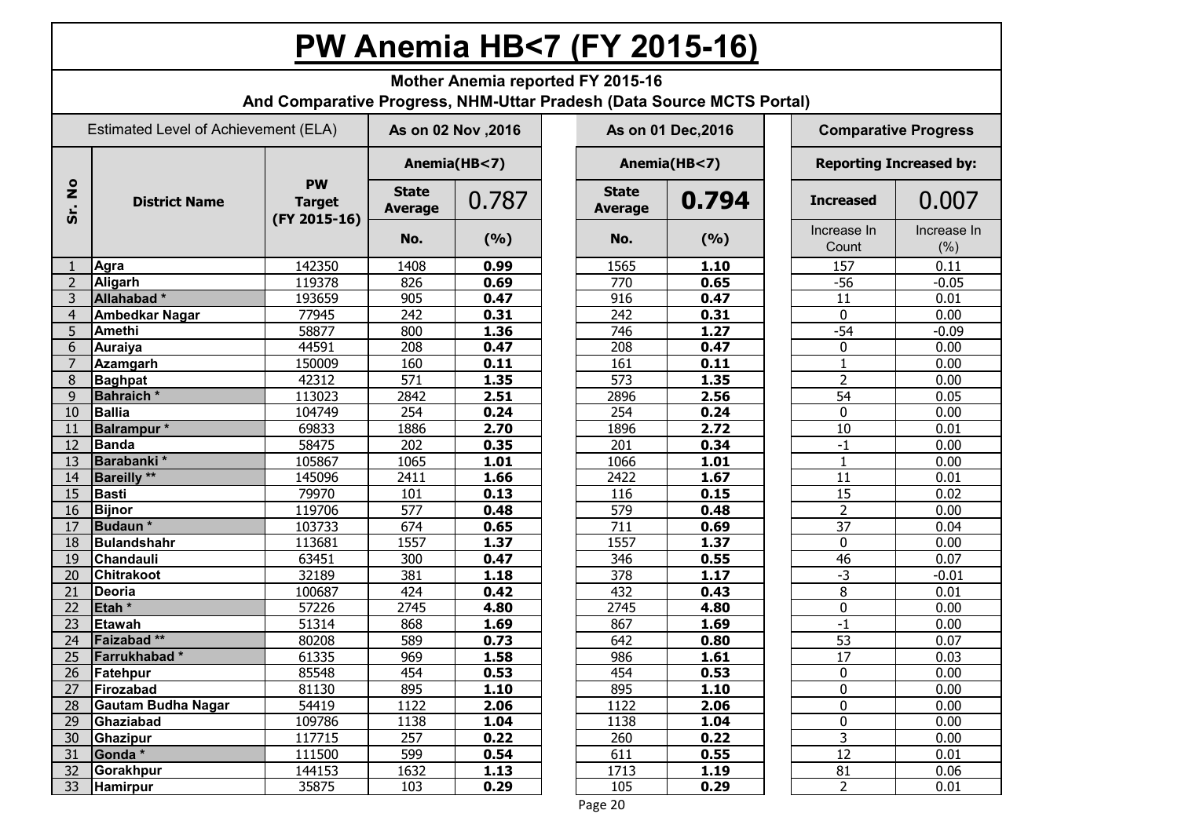# **PW Anemia HB<7 (FY 2015-16)**

|                     | <b>Mother Anemia reported FY 2015-16</b><br>And Comparative Progress, NHM-Uttar Pradesh (Data Source MCTS Portal) |                                            |                                |              |  |                    |        |  |                      |                                |
|---------------------|-------------------------------------------------------------------------------------------------------------------|--------------------------------------------|--------------------------------|--------------|--|--------------------|--------|--|----------------------|--------------------------------|
|                     | Estimated Level of Achievement (ELA)                                                                              |                                            | As on 02 Nov , 2016            |              |  | As on 01 Dec, 2016 |        |  |                      | <b>Comparative Progress</b>    |
|                     |                                                                                                                   |                                            |                                | Anemia(HB<7) |  | Anemia(HB<7)       |        |  |                      | <b>Reporting Increased by:</b> |
| $\circ$<br>Ź<br>Śr. | <b>District Name</b>                                                                                              | <b>PW</b><br><b>Target</b><br>(FY 2015-16) | <b>State</b><br><b>Average</b> | 0.787        |  |                    | 0.794  |  | <b>Increased</b>     | 0.007                          |
|                     |                                                                                                                   |                                            | No.                            | (9/6)        |  | No.                | (9/6)  |  | Increase In<br>Count | Increase In<br>(% )            |
|                     | Agra                                                                                                              | 142350                                     | 1408                           | 0.99         |  | 1565               | 1.10   |  | 157                  | 0.11                           |
| $\overline{2}$      | Aligarh                                                                                                           | 119378                                     | 826                            | 0.69         |  | 770                | 0.65   |  | $-56$                | $-0.05$                        |
| 3                   | Allahabad*                                                                                                        | 193659                                     | 905                            | 0.47         |  | 916                | 0.47   |  | 11                   | 0.01                           |
| $\overline{4}$      | Ambedkar Nagar                                                                                                    | 77945                                      | 242                            | 0.31         |  | 242                | 0.31   |  | $\mathbf 0$          | 0.00                           |
| 5                   | <b>Amethi</b>                                                                                                     | 58877                                      | 800                            | 1.36         |  | 746                | 1.27   |  | $-54$                | $-0.09$                        |
| 6                   | Auraiya                                                                                                           | 44591                                      | 208                            | 0.47         |  | 208                | 0.47   |  | 0                    | 0.00                           |
| $\overline{7}$      | Azamgarh                                                                                                          | 150009                                     | 160                            | 0.11         |  | 161                | 0.11   |  | $\mathbf{1}$         | 0.00                           |
| 8                   | <b>Baghpat</b>                                                                                                    | 42312                                      | 571                            | 1.35         |  | $\overline{573}$   | 1.35   |  | $\overline{2}$       | 0.00                           |
| 9                   | <b>Bahraich</b> *                                                                                                 | 113023                                     | 2842                           | 2.51         |  | 2896               | 2.56   |  | 54                   | 0.05                           |
| 10                  | Ballia                                                                                                            | 104749                                     | 254                            | 0.24         |  | 254                | 0.24   |  | $\mathbf 0$          | 0.00                           |
| 11                  | <b>Balrampur</b> *                                                                                                | 69833                                      | 1886                           | 2.70         |  | 1896               | 2.72   |  | 10                   | 0.01                           |
| 12                  | Banda                                                                                                             | 58475                                      | 202                            | 0.35         |  | 201                | 0.34   |  | $-1$                 | 0.00                           |
| 13                  | Barabanki*                                                                                                        | 105867                                     | 1065                           | 1.01         |  | 1066               | 1.01   |  | $\mathbf{1}$         | 0.00                           |
| 14                  | <b>Bareilly</b> **                                                                                                | 145096                                     | 2411                           | 1.66         |  | 2422               | 1.67   |  | 11                   | 0.01                           |
| 15                  | Basti                                                                                                             | 79970                                      | 101                            | 0.13         |  | 116                | 0.15   |  | 15                   | 0.02                           |
| 16                  | <b>Bijnor</b>                                                                                                     | 119706                                     | 577                            | 0.48         |  | 579                | 0.48   |  | $\overline{2}$       | 0.00                           |
| 17                  | Budaun*                                                                                                           | 103733                                     | 674                            | 0.65         |  | 711                | 0.69   |  | 37                   | 0.04                           |
| 18                  | Bulandshahr                                                                                                       | 113681                                     | 1557                           | 1.37         |  | 1557               | 1.37   |  | 0                    | 0.00                           |
| 19                  | <b>Chandauli</b>                                                                                                  | 63451                                      | 300                            | 0.47         |  | 346                | 0.55   |  | 46                   | 0.07                           |
| 20                  | <b>Chitrakoot</b>                                                                                                 | 32189                                      | 381                            | 1.18         |  | 378                | 1.17   |  | $-3$                 | $-0.01$                        |
| 21                  | <b>Deoria</b>                                                                                                     | 100687                                     | 424                            | 0.42         |  | 432                | 0.43   |  | 8                    | 0.01                           |
| 22                  | Etah <sup>*</sup>                                                                                                 | 57226                                      | 2745                           | 4.80         |  | 2745               | 4.80   |  | 0                    | 0.00                           |
| 23                  | Etawah                                                                                                            | 51314                                      | 868                            | 1.69         |  | 867                | 1.69   |  | $-1$                 | 0.00                           |
| 24                  | Faizabad**                                                                                                        | 80208                                      | 589                            | 0.73         |  | 642                | 0.80   |  | $\overline{53}$      | 0.07                           |
|                     | 25   Farrukhabad *                                                                                                | 61335                                      | 969                            | 1.58         |  | 986                | 1.61   |  | $\overline{17}$      | 0.03                           |
| 26 <sup>2</sup>     | Fatehpur                                                                                                          | 85548                                      | 454                            | 0.53         |  | 454                | 0.53   |  | 0                    | 0.00                           |
| 27                  | Firozabad                                                                                                         | 81130                                      | 895                            | 1.10         |  | 895                | $1.10$ |  | 0                    | 0.00                           |
| 28                  | Gautam Budha Nagar                                                                                                | 54419                                      | 1122                           | 2.06         |  | 1122               | 2.06   |  | 0                    | 0.00                           |
| 29                  | Ghaziabad                                                                                                         | 109786                                     | 1138                           | 1.04         |  | 1138               | 1.04   |  | 0                    | 0.00                           |
|                     | 30 Ghazipur                                                                                                       | 117715                                     | 257                            | 0.22         |  | 260                | 0.22   |  | $\overline{3}$       | 0.00                           |
| 31                  | Gonda *                                                                                                           | 111500                                     | 599                            | 0.54         |  | 611                | 0.55   |  | $\overline{12}$      | 0.01                           |
| 32 <sup>2</sup>     | Gorakhpur                                                                                                         | 144153                                     | 1632                           | 1.13         |  | 1713               | 1.19   |  | 81                   | 0.06                           |
| 33                  | Hamirpur                                                                                                          | 35875                                      | 103                            | 0.29         |  | 105                | 0.29   |  | $\overline{2}$       | 0.01                           |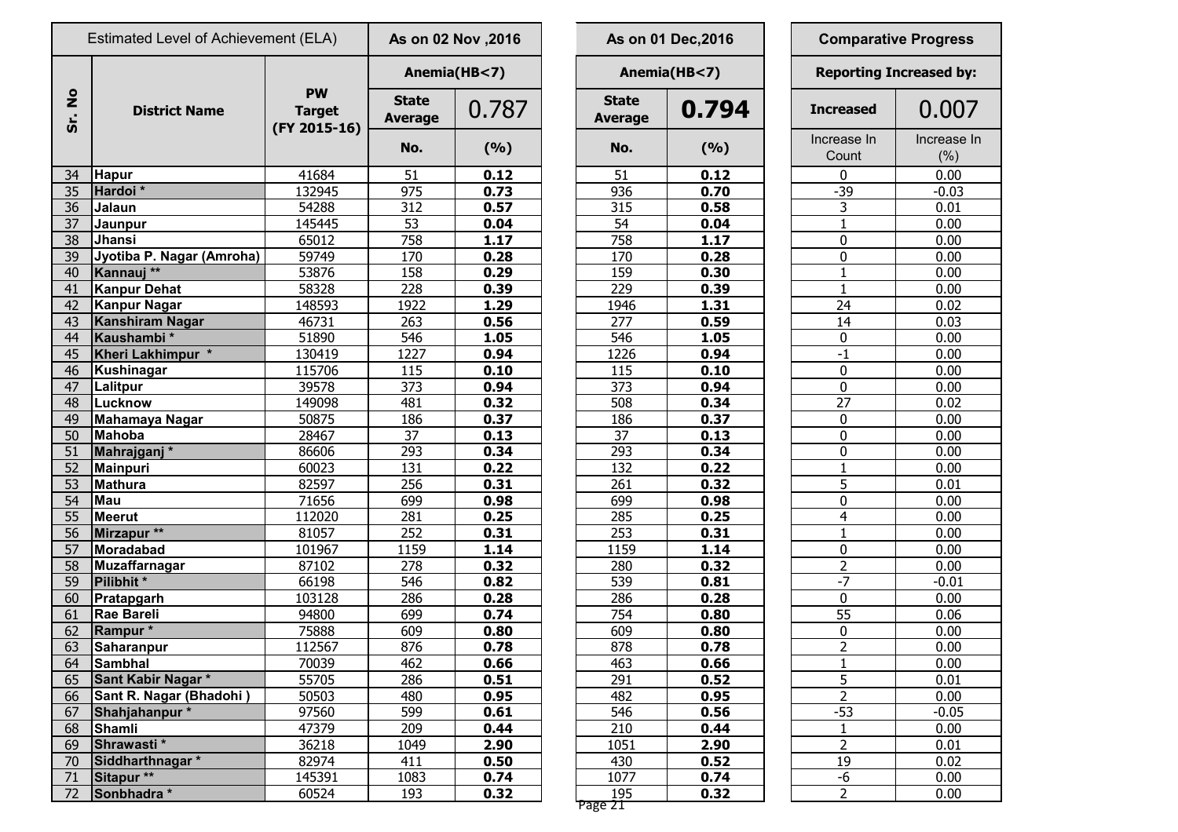| Estimated Level of Achievement (ELA) |                           |                                            | As on 02 Nov , 2016            |              | As on 01 Dec, 2016             |              | <b>Comparative Progress</b>   |                      |                    |
|--------------------------------------|---------------------------|--------------------------------------------|--------------------------------|--------------|--------------------------------|--------------|-------------------------------|----------------------|--------------------|
|                                      |                           |                                            |                                | Anemia(HB<7) |                                | Anemia(HB<7) | <b>Reporting Increased by</b> |                      |                    |
| $rac{1}{2}$<br>Sr.                   | <b>District Name</b>      | <b>PW</b><br><b>Target</b><br>(FY 2015-16) | <b>State</b><br><b>Average</b> | 0.787        | <b>State</b><br><b>Average</b> | 0.794        |                               | <b>Increased</b>     | 0.007              |
|                                      |                           |                                            | No.                            | (%)          | No.                            | (%)          |                               | Increase In<br>Count | Increase I<br>(% ) |
| 34                                   | <b>Hapur</b>              | 41684                                      | 51                             | 0.12         | 51                             | 0.12         |                               | 0                    | 0.00               |
| 35                                   | Hardoi*                   | 132945                                     | 975                            | 0.73         | 936                            | 0.70         |                               | $-39$                | $-0.03$            |
| 36                                   | Jalaun                    | 54288                                      | 312                            | 0.57         | 315                            | 0.58         |                               | 3                    | 0.01               |
| 37                                   | Jaunpur                   | 145445                                     | 53                             | 0.04         | 54                             | 0.04         |                               | $\mathbf{1}$         | 0.00               |
| 38                                   | Jhansi                    | 65012                                      | 758                            | 1.17         | 758                            | 1.17         |                               | $\boldsymbol{0}$     | 0.00               |
| 39                                   | Jyotiba P. Nagar (Amroha) | 59749                                      | 170                            | 0.28         | 170                            | 0.28         |                               | $\mathbf 0$          | 0.00               |
| 40                                   | Kannauj <sup>**</sup>     | 53876                                      | 158                            | 0.29         | 159                            | 0.30         |                               | $\mathbf{1}$         | 0.00               |
| 41                                   | Kanpur Dehat              | 58328                                      | 228                            | 0.39         | 229                            | 0.39         |                               | $\mathbf{1}$         | 0.00               |
| 42                                   | Kanpur Nagar              | 148593                                     | 1922                           | 1.29         | 1946                           | 1.31         |                               | $\overline{24}$      | 0.02               |
| 43                                   | <b>Kanshiram Nagar</b>    | 46731                                      | 263                            | 0.56         | 277                            | 0.59         |                               | 14                   | 0.03               |
| 44                                   | Kaushambi*                | 51890                                      | 546                            | 1.05         | 546                            | 1.05         |                               | $\pmb{0}$            | 0.00               |
| 45                                   | Kheri Lakhimpur *         | 130419                                     | 1227                           | 0.94         | 1226                           | 0.94         |                               | $-1$                 | 0.00               |
| 46                                   | Kushinagar                | 115706                                     | 115                            | 0.10         | 115                            | 0.10         |                               | $\mathbf 0$          | 0.00               |
| 47                                   | Lalitpur                  | 39578                                      | 373                            | 0.94         | 373                            | 0.94         |                               | $\pmb{0}$            | 0.00               |
| 48                                   | Lucknow                   | 149098                                     | 481                            | 0.32         | 508                            | 0.34         |                               | $\overline{27}$      | 0.02               |
| 49                                   | <b>Mahamaya Nagar</b>     | 50875                                      | 186                            | 0.37         | 186                            | 0.37         |                               | $\boldsymbol{0}$     | 0.00               |
| 50                                   | <b>Mahoba</b>             | 28467                                      | 37                             | 0.13         | 37                             | 0.13         |                               | $\bf{0}$             | 0.00               |
| 51                                   | Mahrajganj*               | 86606                                      | 293                            | 0.34         | 293                            | 0.34         |                               | $\pmb{0}$            | 0.00               |
| 52                                   | Mainpuri                  | 60023                                      | 131                            | 0.22         | 132                            | 0.22         |                               | $\mathbf{1}$         | 0.00               |
| 53                                   | Mathura                   | 82597                                      | 256                            | 0.31         | 261                            | 0.32         |                               | 5                    | 0.01               |
| 54                                   | <b>Mau</b>                | 71656                                      | 699                            | 0.98         | 699                            | 0.98         |                               | 0                    | 0.00               |
| 55                                   | Meerut                    | 112020                                     | 281                            | 0.25         | 285                            | 0.25         |                               | $\overline{4}$       | 0.00               |
| 56                                   | Mirzapur **               | 81057                                      | 252                            | 0.31         | 253                            | 0.31         |                               | $\mathbf{1}$         | 0.00               |
| 57                                   | Moradabad                 | 101967                                     | 1159                           | 1.14         | 1159                           | 1.14         |                               | $\pmb{0}$            | 0.00               |
| 58                                   | Muzaffarnagar             | 87102                                      | 278                            | 0.32         | 280                            | 0.32         |                               | $\overline{2}$       | 0.00               |
| 59                                   | Pilibhit *                | 66198                                      | 546                            | 0.82         | 539                            | 0.81         |                               | $-7$                 | $-0.01$            |
| 60                                   | Pratapgarh                | 103128                                     | 286                            | 0.28         | 286                            | 0.28         |                               | $\pmb{0}$            | 0.00               |
| 61                                   | Rae Bareli                | 94800                                      | 699                            | 0.74         | 754                            | 0.80         |                               | 55                   | 0.06               |
| 62                                   | Rampur*                   | 75888                                      | 609                            | 0.80         | 609                            | 0.80         |                               | $\bf{0}$             | 0.00               |
| 63                                   | Saharanpur                | 112567                                     | 876                            | 0.78         | 878                            | 0.78         |                               | $\overline{2}$       | 0.00               |
| 64                                   | Sambhal                   | 70039                                      | 462                            | 0.66         | 463                            | 0.66         |                               | $\mathbf{1}$         | 0.00               |
| 65                                   | Sant Kabir Nagar *        | 55705                                      | 286                            | 0.51         | 291                            | 0.52         |                               | $\overline{5}$       | 0.01               |
| 66                                   | Sant R. Nagar (Bhadohi)   | 50503                                      | 480                            | 0.95         | 482                            | 0.95         |                               | $\overline{2}$       | 0.00               |
| 67                                   | Shahjahanpur*             | 97560                                      | 599                            | 0.61         | 546                            | 0.56         |                               | $-53$                | $-0.05$            |
| 68                                   | Shamli                    | 47379                                      | 209                            | 0.44         | 210                            | 0.44         |                               | $\mathbf{1}$         | 0.00               |
| 69                                   | Shrawasti*                | 36218                                      | 1049                           | 2.90         | 1051                           | 2.90         |                               | $\overline{2}$       | 0.01               |
| 70                                   | Siddharthnagar *          | 82974                                      | 411                            | 0.50         | 430                            | 0.52         |                               | 19                   | 0.02               |
| 71                                   | Sitapur **                | 145391                                     | 1083                           | 0.74         | 1077                           | 0.74         |                               | $-6$                 | 0.00               |
| 72                                   | Sonbhadra *               | 60524                                      | 193                            | 0.32         | 195                            | 0.32         |                               | $\overline{2}$       | 0.00               |
|                                      |                           |                                            |                                |              |                                |              |                               |                      |                    |

| s on 02 Nov ,2016     |              |                                | As on 01 Dec, 2016 | <b>Comparative Progress</b> |                                |  |  |  |
|-----------------------|--------------|--------------------------------|--------------------|-----------------------------|--------------------------------|--|--|--|
|                       | Anemia(HB<7) |                                | Anemia(HB<7)       |                             | <b>Reporting Increased by:</b> |  |  |  |
| <b>itate</b><br>erage | 0.787        | <b>State</b><br><b>Average</b> | 0.794              |                             | 0.007                          |  |  |  |
| No.                   | (%)          | No.                            | (%)                | Increase In<br>Count        | Increase In<br>(%)             |  |  |  |
| 51                    | 0.12         | 51                             | 0.12               | 0                           | 0.00                           |  |  |  |
| 975                   | 0.73         | 936                            | 0.70               | $-39$                       | $-0.03$                        |  |  |  |
| 312                   | 0.57         | 315                            | 0.58               | 3                           | 0.01                           |  |  |  |
| 53                    | 0.04         | 54                             | 0.04               | 1                           | 0.00                           |  |  |  |
| 758                   | 1.17         | 758                            | 1.17               | $\mathbf 0$                 | 0.00                           |  |  |  |
| 170                   | 0.28         | 170                            | 0.28               | 0                           | 0.00                           |  |  |  |
| 158                   | 0.29         | 159                            | 0.30               | 1                           | 0.00                           |  |  |  |
| 228                   | 0.39         | 229                            | 0.39               | 1                           | 0.00                           |  |  |  |
| 1922                  | 1.29         | 1946                           | 1.31               | 24                          | 0.02                           |  |  |  |
| 263                   | 0.56         | 277                            | 0.59               | 14                          | 0.03                           |  |  |  |
| 546                   | 1.05         | 546                            | 1.05               | 0                           | 0.00                           |  |  |  |
| 1227                  | 0.94         | 1226                           | 0.94               | $-1$                        | 0.00                           |  |  |  |
| 115                   | 0.10         | 115                            | 0.10               | 0                           | 0.00                           |  |  |  |
| 373                   | 0.94         | 373                            | 0.94               | 0                           | 0.00                           |  |  |  |
| 481                   | 0.32         | 508                            | 0.34               | 27                          | 0.02                           |  |  |  |
| 186                   | 0.37         | 186                            | 0.37               | 0                           | 0.00                           |  |  |  |
| 37                    | 0.13         | 37                             | 0.13               | $\mathbf 0$                 | 0.00                           |  |  |  |
| <u>293</u>            | 0.34         | 293                            | 0.34               | $\mathbf 0$                 | 0.00                           |  |  |  |
| 131                   | 0.22         | 132                            | 0.22               | $\mathbf{1}$                | 0.00                           |  |  |  |
| 256                   | 0.31         | 261                            | 0.32               | 5                           | 0.01                           |  |  |  |
| <u>699</u>            | 0.98         | 699                            | 0.98               | $\mathbf 0$                 | 0.00                           |  |  |  |
| 281                   | 0.25         | 285                            | 0.25               | $\overline{4}$              | 0.00                           |  |  |  |
| 252                   | 0.31         | 253                            | 0.31               | 1                           | 0.00                           |  |  |  |
| 1159                  | 1.14         | 1159                           | 1.14               | 0                           | 0.00                           |  |  |  |
| 278                   | 0.32         | 280                            | 0.32               | $\overline{2}$              | 0.00                           |  |  |  |
| 546                   | 0.82         | 539                            | 0.81               | -7                          | $-0.01$                        |  |  |  |
| 286                   | 0.28         | 286                            | 0.28               | 0                           | 0.00                           |  |  |  |
| 699                   | 0.74         | 754                            | 0.80               | 55                          | 0.06                           |  |  |  |
| 609                   | 0.80         | 609                            | 0.80               | 0                           | 0.00                           |  |  |  |
| 876                   | 0.78         | 878                            | 0.78               | $\overline{2}$              | 0.00                           |  |  |  |
| 462                   | 0.66         | 463                            | 0.66               | $\mathbf 1$                 | 0.00                           |  |  |  |
| 286                   | 0.51         | 291                            | 0.52               | $\overline{5}$              | 0.01                           |  |  |  |
| 480                   | 0.95         | 482                            | 0.95               | $\overline{2}$              | 0.00                           |  |  |  |
| 599                   | 0.61         | 546                            | 0.56               | $-53$                       | $-0.05$                        |  |  |  |
| 209                   | 0.44         | 210                            | 0.44               | 1                           | 0.00                           |  |  |  |
| 1049                  | 2.90         | 1051                           | 2.90               | $\overline{2}$              | 0.01                           |  |  |  |
| 411                   | 0.50         | 430                            | 0.52               | 19                          | 0.02                           |  |  |  |
| <u> 1083</u>          | 0.74         | 1077                           | 0.74               | -6                          | 0.00                           |  |  |  |
| 193                   | 0.32         | 195<br>Page 21                 | 0.32               | $\overline{2}$              | 0.00                           |  |  |  |

| <b>Comparative Progress</b>    |                    |  |  |  |  |  |
|--------------------------------|--------------------|--|--|--|--|--|
| <b>Reporting Increased by:</b> |                    |  |  |  |  |  |
| <b>Increased</b>               | 0.007              |  |  |  |  |  |
| Increase In<br>Count           | Increase In<br>(%) |  |  |  |  |  |
| 0                              | 0.00               |  |  |  |  |  |
| $-39$                          | $-0.03$            |  |  |  |  |  |
| $\frac{3}{1}$                  | 0.01               |  |  |  |  |  |
|                                | 0.00               |  |  |  |  |  |
| 0                              | 0.00               |  |  |  |  |  |
| 0                              | 0.00               |  |  |  |  |  |
| $\overline{1}$                 | 0.00               |  |  |  |  |  |
| $\overline{1}$                 | 0.00               |  |  |  |  |  |
| $2\overline{4}$                | 0.02               |  |  |  |  |  |
| $\overline{14}$                | 0.03               |  |  |  |  |  |
| 0                              | 0.00               |  |  |  |  |  |
| $\overline{-1}$                | 0.00               |  |  |  |  |  |
| 0                              | 0.00               |  |  |  |  |  |
| 0                              | 0.00               |  |  |  |  |  |
| $\overline{27}$                | 0.02               |  |  |  |  |  |
| 0                              | 0.00               |  |  |  |  |  |
| 0                              | 0.00               |  |  |  |  |  |
| O                              | 0.00               |  |  |  |  |  |
| $\overline{1}$                 | 0.00               |  |  |  |  |  |
| 5                              | 0.01               |  |  |  |  |  |
| $\bar{0}$                      | 0.00               |  |  |  |  |  |
| 4                              | 0.00               |  |  |  |  |  |
| $\overline{1}$                 | 0.00               |  |  |  |  |  |
| 0                              | 0.00               |  |  |  |  |  |
| $\overline{2}$                 | 0.00               |  |  |  |  |  |
| -7                             | $-0.01$            |  |  |  |  |  |
| 0                              | 0.00               |  |  |  |  |  |
|                                | 0.06               |  |  |  |  |  |
|                                | 0.00               |  |  |  |  |  |
|                                | 0.00               |  |  |  |  |  |
|                                | 0.00               |  |  |  |  |  |
| $\frac{150021152231}{2521212}$ | 0.01               |  |  |  |  |  |
|                                | 0.00               |  |  |  |  |  |
|                                | $-0.05$            |  |  |  |  |  |
|                                | 0.00               |  |  |  |  |  |
|                                | 0.01               |  |  |  |  |  |
| <u> 19</u>                     | 0.02               |  |  |  |  |  |
| $-\overline{6}$                | 0.00               |  |  |  |  |  |
| 2                              | 0.00               |  |  |  |  |  |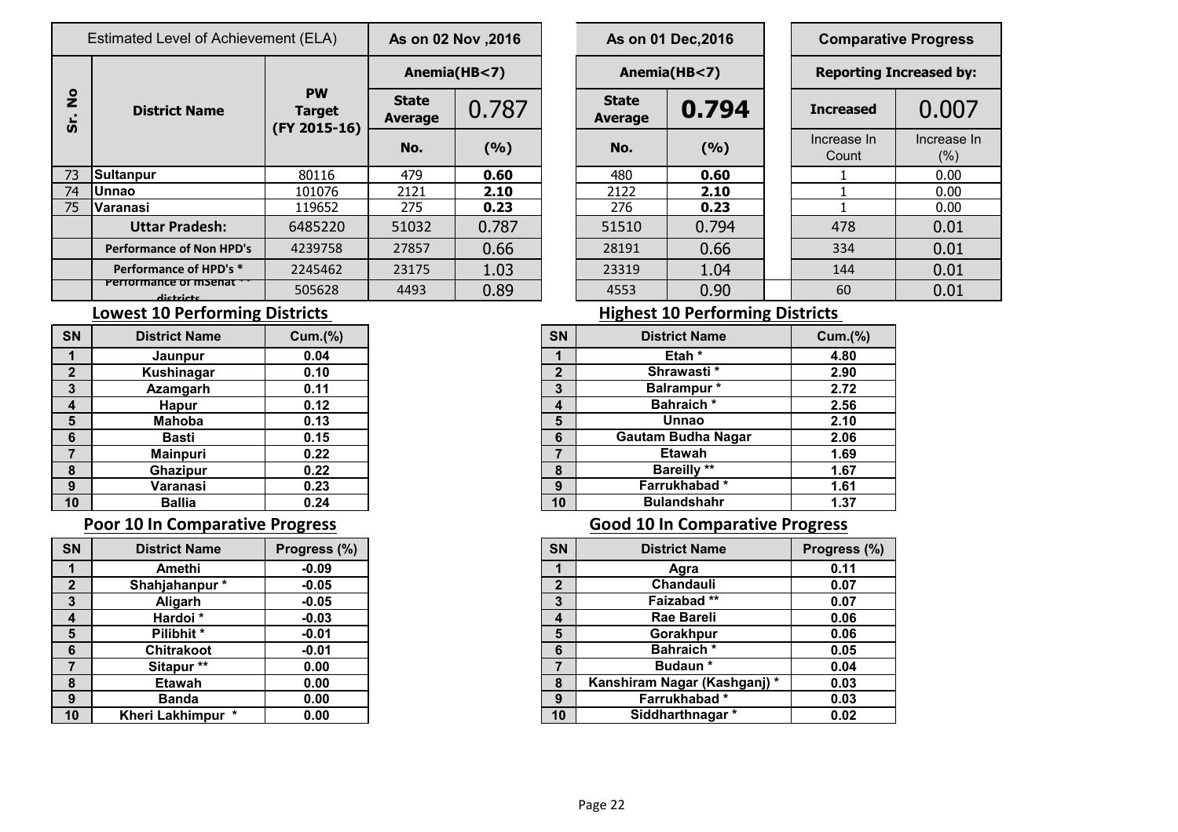|               | Estimated Level of Achievement (ELA) | As on 02 Nov , 2016                        |                                |       | As on 01 Dec, 2016 |                         |              | <b>Comparative Progress</b> |                               |                    |  |
|---------------|--------------------------------------|--------------------------------------------|--------------------------------|-------|--------------------|-------------------------|--------------|-----------------------------|-------------------------------|--------------------|--|
|               | <b>District Name</b>                 |                                            | Anemia(HB<7)                   |       |                    |                         | Anemia(HB<7) |                             | <b>Reporting Increased by</b> |                    |  |
| $\frac{1}{2}$ |                                      | <b>PW</b><br><b>Target</b><br>(FY 2015-16) | <b>State</b><br><b>Average</b> | 0.787 |                    | <b>State</b><br>Average | 0.794        |                             | <b>Increased</b>              | 0.007              |  |
| <b>SD</b>     |                                      |                                            | No.                            | (9/6) |                    | No.                     | (9/6)        |                             | Increase In<br>Count          | Increase I<br>(% ) |  |
| 73            | Sultanpur                            | 80116                                      | 479                            | 0.60  |                    | 480                     | 0.60         |                             |                               | 0.00               |  |
| 74            | <b>Unnao</b>                         | 101076                                     | 2121                           | 2.10  |                    | 2122                    | 2.10         |                             |                               | 0.00               |  |
| 75            | Varanasi                             | 119652                                     | 275                            | 0.23  |                    | 276                     | 0.23         |                             |                               | 0.00               |  |
|               | <b>Uttar Pradesh:</b>                | 6485220                                    | 51032                          | 0.787 |                    | 51510                   | 0.794        |                             | 478                           | 0.01               |  |
|               | <b>Performance of Non HPD's</b>      | 4239758                                    | 27857                          | 0.66  |                    | 28191                   | 0.66         |                             | 334                           | 0.01               |  |
|               | Performance of HPD's *               | 2245462                                    | 23175                          | 1.03  |                    | 23319                   | 1.04         |                             | 144                           | 0.01               |  |
|               | Penomance of msenar<br>dictricts     | 505628                                     | 4493                           | 0.89  |                    | 4553                    | 0.90         |                             | 60                            | 0.01               |  |

|                       | s on 02 Nov ,2016 | As on 01 Dec, 2016             |       |  |                      | <b>Comparative Progress</b>    |
|-----------------------|-------------------|--------------------------------|-------|--|----------------------|--------------------------------|
| Anemia(HB<7)          |                   | Anemia(HB<7)                   |       |  |                      | <b>Reporting Increased by:</b> |
| <b>itate</b><br>erage | 0.787             | <b>State</b><br><b>Average</b> | 0.794 |  | <b>Increased</b>     | 0.007                          |
| No.                   | (9/6)             | No.                            | (9/6) |  | Increase In<br>Count | Increase In<br>(% )            |
| 479                   | 0.60              | 480                            | 0.60  |  |                      | 0.00                           |
| $\overline{2121}$     | 2.10              | 2122                           | 2.10  |  |                      | 0.00                           |
| 275                   | 0.23              | 276                            | 0.23  |  |                      | 0.00                           |
| 1032                  | 0.787             | 51510                          | 0.794 |  | 478                  | 0.01                           |
| 7857                  | 0.66              | 28191                          | 0.66  |  | 334                  | 0.01                           |
| 3175                  | 1.03              | 23319                          | 1.04  |  | 144                  | 0.01                           |
| <b>CON1</b>           | <u>N QN</u>       | A E E 2                        | n on  |  | $\epsilon$           | $\Omega$ $\Omega$ 1            |

| <b>Comparative Progress</b><br><b>Reporting Increased by:</b> |                       |  |  |  |  |  |  |  |  |  |
|---------------------------------------------------------------|-----------------------|--|--|--|--|--|--|--|--|--|
|                                                               |                       |  |  |  |  |  |  |  |  |  |
| Increase In<br>Count                                          | Increase In<br>$(\%)$ |  |  |  |  |  |  |  |  |  |
| ı                                                             | 0.00                  |  |  |  |  |  |  |  |  |  |
|                                                               | 0.00                  |  |  |  |  |  |  |  |  |  |
|                                                               | 0.00                  |  |  |  |  |  |  |  |  |  |
| 478                                                           | 0.01                  |  |  |  |  |  |  |  |  |  |
| 334                                                           | 0.01                  |  |  |  |  |  |  |  |  |  |
| 144                                                           | 0.01                  |  |  |  |  |  |  |  |  |  |
| 6በ                                                            | በ በ1                  |  |  |  |  |  |  |  |  |  |

### **Lowest 10 Performing Districts Lowest 10 Performing Districts**

| <b>SN</b>    | <b>District Name</b> | Cum.(%) |
|--------------|----------------------|---------|
|              | Jaunpur              | 0.04    |
| $\mathbf{2}$ | <b>Kushinagar</b>    | 0.10    |
| 3            | <b>Azamgarh</b>      | 0.11    |
| 4            | <b>Hapur</b>         | 0.12    |
| 5            | <b>Mahoba</b>        | 0.13    |
| 6            | <b>Basti</b>         | 0.15    |
| 7            | <b>Mainpuri</b>      | 0.22    |
| 8            | <b>Ghazipur</b>      | 0.22    |
| 9            | Varanasi             | 0.23    |
| 10           | <b>Ballia</b>        | 0.24    |

| SN             | <b>District Name</b>              | Progress (%) |
|----------------|-----------------------------------|--------------|
| 1              | Amethi                            | $-0.09$      |
| $\overline{2}$ | Shahjahanpur*                     | $-0.05$      |
| 3              | Aligarh                           | $-0.05$      |
| 4              | Hardoi*                           | $-0.03$      |
| 5              | Pilibhit *                        | $-0.01$      |
| 6              | <b>Chitrakoot</b>                 | $-0.01$      |
| 7              | Sitapur**                         | 0.00         |
| 8              | <b>Etawah</b>                     | 0.00         |
| 9              | <b>Banda</b>                      | 0.00         |
| 10             | $\star$<br><b>Kheri Lakhimpur</b> | 0.00         |

| <b>SN</b>               | <b>District Name</b> | <b>Cum.(%)</b> |
|-------------------------|----------------------|----------------|
|                         | Jaunpur              | 0.04           |
| $\overline{2}$          | Kushinagar           | 0.10           |
| $\mathbf{3}$            | Azamgarh             | 0.11           |
| $\overline{\mathbf{4}}$ | <b>Hapur</b>         | 0.12           |
| $5\phantom{1}$          | <b>Mahoba</b>        | 0.13           |
| 6                       | <b>Basti</b>         | 0.15           |
| $\overline{7}$          | <b>Mainpuri</b>      | 0.22           |
| 8                       | <b>Ghazipur</b>      | 0.22           |
| 9                       | Varanasi             | 0.23           |
| 10                      | <b>Ballia</b>        | 0.24           |

## **Poor 10 In Comparative Progress Cool 10 In Comparative Progress**

| <b>District Name</b> | Progress (%) |
|----------------------|--------------|
| Amethi               | $-0.09$      |
| Shahjahanpur*        | $-0.05$      |
| Aligarh              | $-0.05$      |
| Hardoi *             | $-0.03$      |
| Pilibhit*            | $-0.01$      |
| Chitrakoot           | $-0.01$      |
| Sitapur**            | 0.00         |
| Etawah               | 0.00         |
| <b>Banda</b>         | 0.00         |
| Kheri Lakhimpur *    | 0.00         |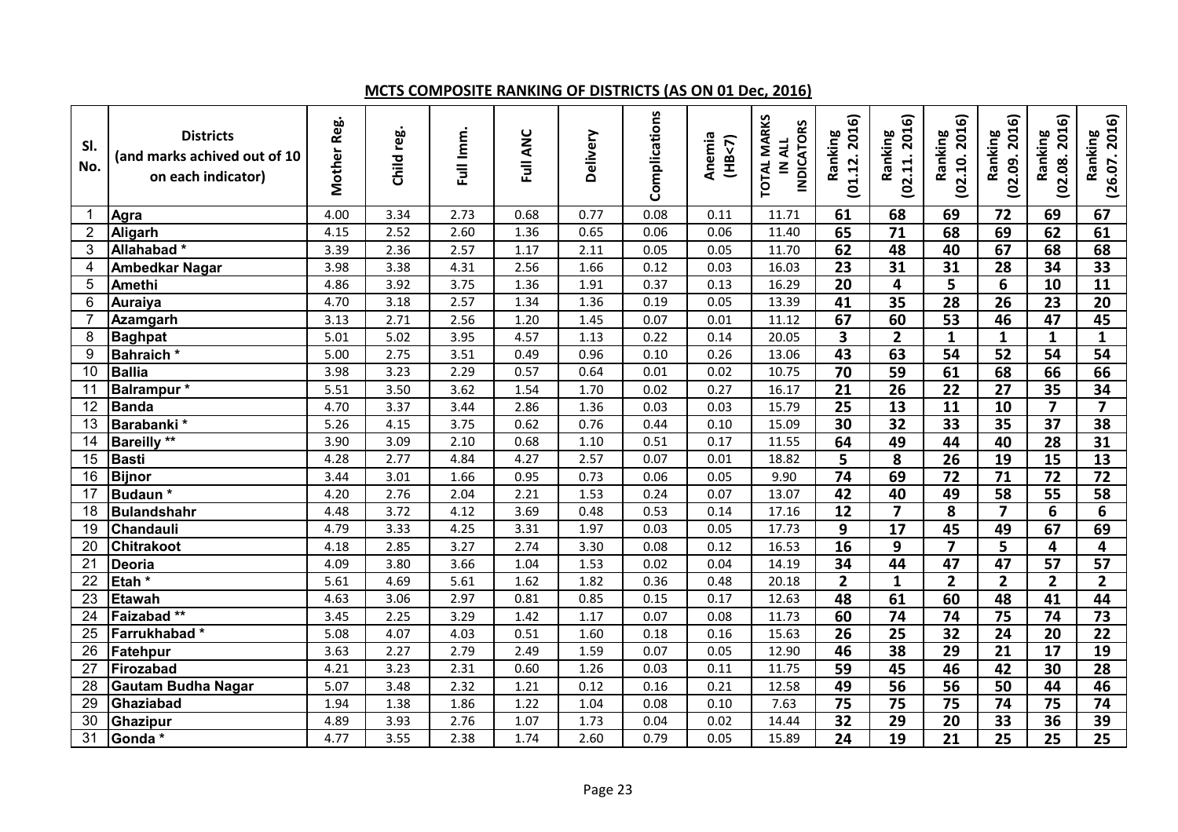### **MCTS COMPOSITE RANKING OF DISTRICTS (AS ON 01 Dec, 2016)**

| SI.<br>No.     | <b>Districts</b><br>(and marks achived out of 10<br>on each indicator) | Mother Reg. | Child reg. | Full Imm. | Full ANC | Delivery | Complications | Anemia<br>(HB< 7) | <b>TOTAL MARKS</b><br><b>INDICATORS</b><br>IN ALL | 2016)<br>Ranking<br>(01.12. | (02.11.2016)<br>Ranking | (02.10.2016)<br>Ranking | 2016)<br>Ranking<br>(02.09. | (02.08.2016)<br>Ranking | (26.07.2016)<br>Ranking |
|----------------|------------------------------------------------------------------------|-------------|------------|-----------|----------|----------|---------------|-------------------|---------------------------------------------------|-----------------------------|-------------------------|-------------------------|-----------------------------|-------------------------|-------------------------|
| -1             | Agra                                                                   | 4.00        | 3.34       | 2.73      | 0.68     | 0.77     | 0.08          | 0.11              | 11.71                                             | 61                          | 68                      | 69                      | 72                          | 69                      | 67                      |
| $\overline{2}$ | Aligarh                                                                | 4.15        | 2.52       | 2.60      | 1.36     | 0.65     | 0.06          | 0.06              | 11.40                                             | 65                          | $\overline{71}$         | 68                      | 69                          | 62                      | 61                      |
| 3              | Allahabad*                                                             | 3.39        | 2.36       | 2.57      | 1.17     | 2.11     | 0.05          | 0.05              | 11.70                                             | 62                          | 48                      | 40                      | 67                          | 68                      | 68                      |
| 4              | <b>Ambedkar Nagar</b>                                                  | 3.98        | 3.38       | 4.31      | 2.56     | 1.66     | 0.12          | 0.03              | 16.03                                             | 23                          | 31                      | 31                      | 28                          | 34                      | 33                      |
| 5              | <b>Amethi</b>                                                          | 4.86        | 3.92       | 3.75      | 1.36     | 1.91     | 0.37          | 0.13              | 16.29                                             | $\overline{20}$             | 4                       | $\overline{\mathbf{5}}$ | 6                           | 10                      | $\overline{11}$         |
| 6              | Auraiya                                                                | 4.70        | 3.18       | 2.57      | 1.34     | 1.36     | 0.19          | 0.05              | 13.39                                             | 41                          | 35                      | $\overline{28}$         | $\overline{26}$             | 23                      | $\overline{20}$         |
| $\overline{7}$ | Azamgarh                                                               | 3.13        | 2.71       | 2.56      | 1.20     | 1.45     | 0.07          | 0.01              | 11.12                                             | 67                          | 60                      | 53                      | 46                          | $\overline{47}$         | $\overline{45}$         |
| 8              | <b>Baghpat</b>                                                         | 5.01        | 5.02       | 3.95      | 4.57     | 1.13     | 0.22          | 0.14              | 20.05                                             | $\overline{\mathbf{3}}$     | $\overline{2}$          | $\mathbf{1}$            | $\mathbf{1}$                | $\mathbf{1}$            | $\mathbf{1}$            |
| 9              | Bahraich*                                                              | 5.00        | 2.75       | 3.51      | 0.49     | 0.96     | 0.10          | 0.26              | 13.06                                             | 43                          | 63                      | 54                      | $\overline{52}$             | 54                      | $\overline{54}$         |
| 10             | <b>Ballia</b>                                                          | 3.98        | 3.23       | 2.29      | 0.57     | 0.64     | 0.01          | 0.02              | 10.75                                             | 70                          | 59                      | 61                      | 68                          | 66                      | 66                      |
| 11             | Balrampur*                                                             | 5.51        | 3.50       | 3.62      | 1.54     | 1.70     | 0.02          | 0.27              | 16.17                                             | 21                          | $\overline{26}$         | $\overline{22}$         | 27                          | 35                      | 34                      |
| 12             | <b>Banda</b>                                                           | 4.70        | 3.37       | 3.44      | 2.86     | 1.36     | 0.03          | 0.03              | 15.79                                             | 25                          | 13                      | 11                      | 10                          | $\overline{7}$          | $\overline{\mathbf{z}}$ |
| 13             | Barabanki*                                                             | 5.26        | 4.15       | 3.75      | 0.62     | 0.76     | 0.44          | 0.10              | 15.09                                             | 30                          | 32                      | 33                      | 35                          | $\overline{37}$         | 38                      |
| 14             | <b>Bareilly</b> **                                                     | 3.90        | 3.09       | 2.10      | 0.68     | 1.10     | 0.51          | 0.17              | 11.55                                             | 64                          | 49                      | 44                      | 40                          | 28                      | 31                      |
| 15             | <b>Basti</b>                                                           | 4.28        | 2.77       | 4.84      | 4.27     | 2.57     | 0.07          | 0.01              | 18.82                                             | 5                           | 8                       | 26                      | 19                          | 15                      | 13                      |
| 16             | <b>Bijnor</b>                                                          | 3.44        | 3.01       | 1.66      | 0.95     | 0.73     | 0.06          | 0.05              | 9.90                                              | 74                          | 69                      | 72                      | 71                          | 72                      | 72                      |
| 17             | Budaun*                                                                | 4.20        | 2.76       | 2.04      | 2.21     | 1.53     | 0.24          | 0.07              | 13.07                                             | 42                          | 40                      | 49                      | 58                          | 55                      | 58                      |
| 18             | <b>Bulandshahr</b>                                                     | 4.48        | 3.72       | 4.12      | 3.69     | 0.48     | 0.53          | 0.14              | 17.16                                             | $\overline{12}$             | $\overline{\mathbf{z}}$ | 8                       | $\overline{7}$              | 6                       | $\overline{6}$          |
| 19             | Chandauli                                                              | 4.79        | 3.33       | 4.25      | 3.31     | 1.97     | 0.03          | 0.05              | 17.73                                             | 9                           | $\overline{17}$         | 45                      | 49                          | 67                      | 69                      |
| 20             | <b>Chitrakoot</b>                                                      | 4.18        | 2.85       | 3.27      | 2.74     | 3.30     | 0.08          | 0.12              | 16.53                                             | $\overline{16}$             | 9                       |                         | $\overline{5}$              | 4                       | 4                       |
| 21             | <b>Deoria</b>                                                          | 4.09        | 3.80       | 3.66      | 1.04     | 1.53     | 0.02          | 0.04              | 14.19                                             | 34                          | 44                      | 47                      | $\overline{47}$             | $\overline{57}$         | $\overline{57}$         |
| 22             | Etah <sup>*</sup>                                                      | 5.61        | 4.69       | 5.61      | 1.62     | 1.82     | 0.36          | 0.48              | 20.18                                             | $\overline{2}$              | $\mathbf{1}$            | $\overline{2}$          | $\overline{2}$              | $\overline{2}$          | $\overline{2}$          |
| 23             | <b>Etawah</b>                                                          | 4.63        | 3.06       | 2.97      | 0.81     | 0.85     | 0.15          | 0.17              | 12.63                                             | 48                          | 61                      | 60                      | 48                          | 41                      | 44                      |
| 24             | Faizabad **                                                            | 3.45        | 2.25       | 3.29      | 1.42     | 1.17     | 0.07          | 0.08              | 11.73                                             | 60                          | 74                      | 74                      | 75                          | 74                      | 73                      |
| 25             | Farrukhabad*                                                           | 5.08        | 4.07       | 4.03      | 0.51     | 1.60     | 0.18          | 0.16              | 15.63                                             | $\overline{26}$             | $\overline{25}$         | $\overline{32}$         | $\overline{24}$             | $\overline{20}$         | $\overline{22}$         |
| 26             | Fatehpur                                                               | 3.63        | 2.27       | 2.79      | 2.49     | 1.59     | 0.07          | 0.05              | 12.90                                             | 46                          | 38                      | 29                      | $\overline{21}$             | $\overline{17}$         | $\overline{19}$         |
| 27             | Firozabad                                                              | 4.21        | 3.23       | 2.31      | 0.60     | 1.26     | 0.03          | 0.11              | 11.75                                             | 59                          | 45                      | 46                      | $\overline{42}$             | 30                      | $\overline{28}$         |
| 28             | <b>Gautam Budha Nagar</b>                                              | 5.07        | 3.48       | 2.32      | 1.21     | 0.12     | 0.16          | 0.21              | 12.58                                             | 49                          | 56                      | 56                      | 50                          | 44                      | 46                      |
| 29             | Ghaziabad                                                              | 1.94        | 1.38       | 1.86      | 1.22     | 1.04     | 0.08          | 0.10              | 7.63                                              | 75                          | $\overline{75}$         | $\overline{75}$         | $\overline{74}$             | $\overline{75}$         | 74                      |
| 30             | Ghazipur                                                               | 4.89        | 3.93       | 2.76      | 1.07     | 1.73     | 0.04          | 0.02              | 14.44                                             | 32                          | 29                      | $\overline{20}$         | 33                          | 36                      | 39                      |
| 31             | Gonda*                                                                 | 4.77        | 3.55       | 2.38      | 1.74     | 2.60     | 0.79          | 0.05              | 15.89                                             | 24                          | $\overline{19}$         | $\overline{21}$         | $\overline{25}$             | $\overline{25}$         | $\overline{25}$         |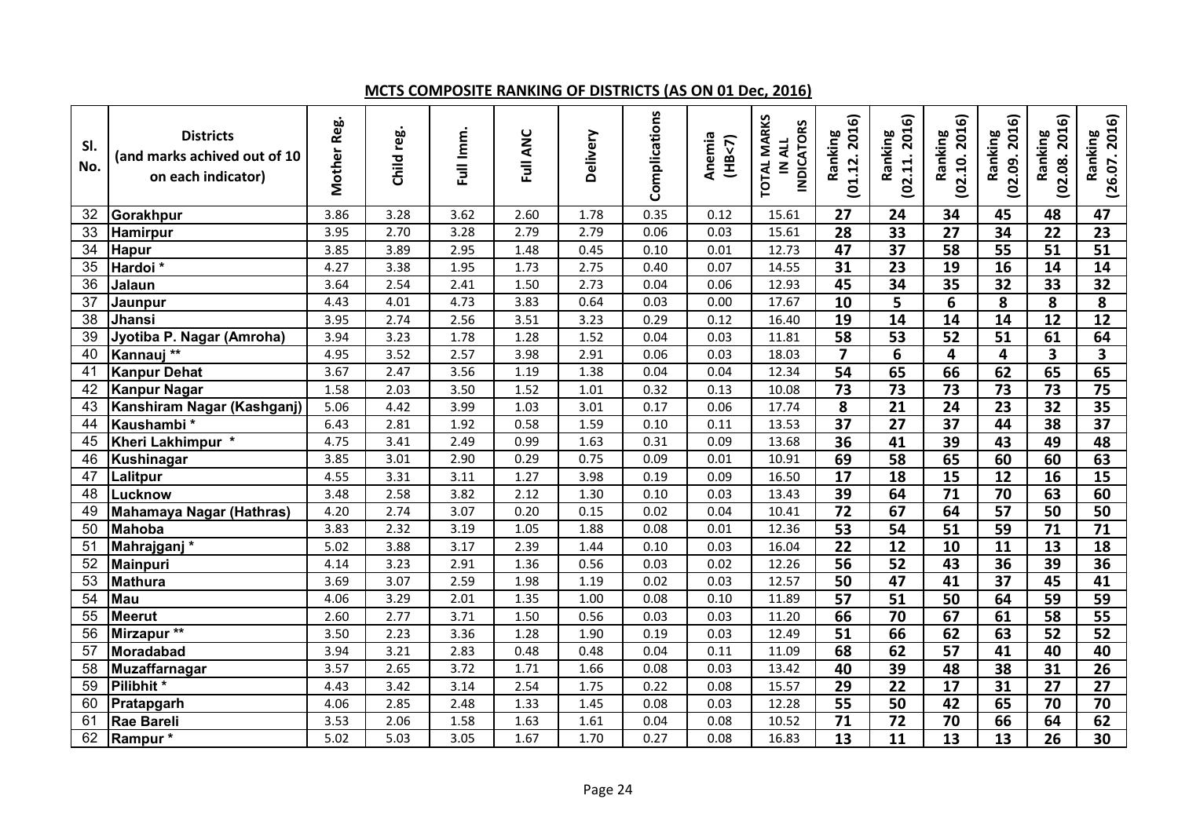### **MCTS COMPOSITE RANKING OF DISTRICTS (AS ON 01 Dec, 2016)**

| SI.<br>No.      | <b>Districts</b><br>(and marks achived out of 10<br>on each indicator) | Mother Reg. | Child reg. | Full Imm. | Full ANC | Delivery | Complications | Anemia<br>(HB< 7) | <b>TOTAL MARKS</b><br><b>INDICATORS</b><br>IN ALL | 2016)<br>Ranking<br>(01.12. | 2016)<br>Ranking<br>(02.11. | (02.10.2016)<br>Ranking | 2016)<br>Ranking<br>(02.09. | (02.08.2016)<br>Ranking | (26.07.2016)<br>Ranking |
|-----------------|------------------------------------------------------------------------|-------------|------------|-----------|----------|----------|---------------|-------------------|---------------------------------------------------|-----------------------------|-----------------------------|-------------------------|-----------------------------|-------------------------|-------------------------|
| 32              | Gorakhpur                                                              | 3.86        | 3.28       | 3.62      | 2.60     | 1.78     | 0.35          | 0.12              | 15.61                                             | 27                          | 24                          | 34                      | 45                          | 48                      | $\overline{47}$         |
| 33              | <b>Hamirpur</b>                                                        | 3.95        | 2.70       | 3.28      | 2.79     | 2.79     | 0.06          | 0.03              | 15.61                                             | $\overline{28}$             | $\overline{33}$             | $\overline{27}$         | $\overline{34}$             | $\overline{22}$         | $\overline{23}$         |
| 34              | <b>Hapur</b>                                                           | 3.85        | 3.89       | 2.95      | 1.48     | 0.45     | 0.10          | 0.01              | 12.73                                             | 47                          | $\overline{37}$             | 58                      | $\overline{55}$             | $\overline{51}$         | $\overline{51}$         |
| 35              | Hardoi <sup>*</sup>                                                    | 4.27        | 3.38       | 1.95      | 1.73     | 2.75     | 0.40          | 0.07              | 14.55                                             | 31                          | $\overline{23}$             | $\overline{19}$         | $\overline{16}$             | 14                      | 14                      |
| $\overline{36}$ | Jalaun                                                                 | 3.64        | 2.54       | 2.41      | 1.50     | 2.73     | 0.04          | 0.06              | 12.93                                             | 45                          | 34                          | $\overline{35}$         | $\overline{32}$             | $\overline{33}$         | $\overline{32}$         |
| 37              | Jaunpur                                                                | 4.43        | 4.01       | 4.73      | 3.83     | 0.64     | 0.03          | 0.00              | 17.67                                             | $\overline{10}$             | $\overline{5}$              | $\overline{6}$          | $\overline{\mathbf{8}}$     | $\overline{\mathbf{8}}$ | $\overline{\mathbf{8}}$ |
| 38              | Jhansi                                                                 | 3.95        | 2.74       | 2.56      | 3.51     | 3.23     | 0.29          | 0.12              | 16.40                                             | $\overline{19}$             | $\overline{14}$             | $\overline{14}$         | $\overline{14}$             | $\overline{12}$         | $\overline{12}$         |
| 39              | Jyotiba P. Nagar (Amroha)                                              | 3.94        | 3.23       | 1.78      | 1.28     | 1.52     | 0.04          | 0.03              | 11.81                                             | $\overline{58}$             | $\overline{53}$             | 52                      | $\overline{51}$             | 61                      | 64                      |
| 40              | Kannauj **                                                             | 4.95        | 3.52       | 2.57      | 3.98     | 2.91     | 0.06          | 0.03              | 18.03                                             | $\overline{7}$              | 6                           | $\overline{\mathbf{4}}$ | 4                           | 3                       | $\overline{\mathbf{3}}$ |
| 41              | <b>Kanpur Dehat</b>                                                    | 3.67        | 2.47       | 3.56      | 1.19     | 1.38     | 0.04          | 0.04              | 12.34                                             | $\overline{54}$             | 65                          | 66                      | 62                          | 65                      | 65                      |
| 42              | <b>Kanpur Nagar</b>                                                    | 1.58        | 2.03       | 3.50      | 1.52     | 1.01     | 0.32          | 0.13              | 10.08                                             | $\overline{73}$             | $\overline{73}$             | $\overline{73}$         | $\overline{73}$             | $\overline{73}$         | $\overline{75}$         |
| 43              | Kanshiram Nagar (Kashganj)                                             | 5.06        | 4.42       | 3.99      | 1.03     | 3.01     | 0.17          | 0.06              | 17.74                                             | 8                           | $\overline{21}$             | $\overline{24}$         | $\overline{23}$             | $\overline{32}$         | $\overline{35}$         |
| 44              | Kaushambi*                                                             | 6.43        | 2.81       | 1.92      | 0.58     | 1.59     | 0.10          | 0.11              | 13.53                                             | $\overline{37}$             | $\overline{27}$             | $\overline{37}$         | 44                          | $\overline{38}$         | $\overline{37}$         |
| 45              | Kheri Lakhimpur *                                                      | 4.75        | 3.41       | 2.49      | 0.99     | 1.63     | 0.31          | 0.09              | 13.68                                             | 36                          | 41                          | 39                      | 43                          | 49                      | 48                      |
| 46              | <b>Kushinagar</b>                                                      | 3.85        | 3.01       | 2.90      | 0.29     | 0.75     | 0.09          | 0.01              | 10.91                                             | 69                          | 58                          | 65                      | 60                          | 60                      | 63                      |
| 47              | Lalitpur                                                               | 4.55        | 3.31       | 3.11      | 1.27     | 3.98     | 0.19          | 0.09              | 16.50                                             | 17                          | 18                          | 15                      | 12                          | 16                      | 15                      |
| 48              | Lucknow                                                                | 3.48        | 2.58       | 3.82      | 2.12     | 1.30     | 0.10          | 0.03              | 13.43                                             | $\overline{39}$             | 64                          | $\overline{71}$         | 70                          | 63                      | 60                      |
| 49              | Mahamaya Nagar (Hathras)                                               | 4.20        | 2.74       | 3.07      | 0.20     | 0.15     | 0.02          | 0.04              | 10.41                                             | $\overline{72}$             | 67                          | 64                      | $\overline{57}$             | 50                      | 50                      |
| 50              | <b>Mahoba</b>                                                          | 3.83        | 2.32       | 3.19      | 1.05     | 1.88     | 0.08          | 0.01              | 12.36                                             | 53                          | 54                          | $\overline{51}$         | 59                          | 71                      | 71                      |
| 51              | Mahrajganj*                                                            | 5.02        | 3.88       | 3.17      | 2.39     | 1.44     | 0.10          | 0.03              | 16.04                                             | 22                          | $\overline{12}$             | 10                      | 11                          | 13                      | 18                      |
| 52              | Mainpuri                                                               | 4.14        | 3.23       | 2.91      | 1.36     | 0.56     | 0.03          | 0.02              | 12.26                                             | 56                          | $\overline{52}$             | $\overline{43}$         | $\overline{36}$             | 39                      | $\overline{36}$         |
| 53              | <b>Mathura</b>                                                         | 3.69        | 3.07       | 2.59      | 1.98     | 1.19     | 0.02          | 0.03              | 12.57                                             | 50                          | 47                          | $\overline{41}$         | $\overline{37}$             | $\overline{45}$         | 41                      |
| 54              | Mau                                                                    | 4.06        | 3.29       | 2.01      | 1.35     | 1.00     | 0.08          | 0.10              | 11.89                                             | 57                          | $\overline{51}$             | $\overline{50}$         | 64                          | $\overline{59}$         | 59                      |
| 55              | <b>Meerut</b>                                                          | 2.60        | 2.77       | 3.71      | 1.50     | 0.56     | 0.03          | 0.03              | 11.20                                             | 66                          | 70                          | 67                      | 61                          | $\overline{58}$         | 55                      |
| 56              | Mirzapur <sup>**</sup>                                                 | 3.50        | 2.23       | 3.36      | 1.28     | 1.90     | 0.19          | 0.03              | 12.49                                             | 51                          | 66                          | 62                      | 63                          | $\overline{52}$         | $\overline{52}$         |
| 57              | Moradabad                                                              | 3.94        | 3.21       | 2.83      | 0.48     | 0.48     | 0.04          | 0.11              | 11.09                                             | 68                          | 62                          | $\overline{57}$         | 41                          | 40                      | 40                      |
| 58              | <b>Muzaffarnagar</b>                                                   | 3.57        | 2.65       | 3.72      | 1.71     | 1.66     | 0.08          | 0.03              | 13.42                                             | 40                          | 39                          | 48                      | 38                          | 31                      | $\overline{26}$         |
| 59              | Pilibhit*                                                              | 4.43        | 3.42       | 3.14      | 2.54     | 1.75     | 0.22          | 0.08              | 15.57                                             | 29                          | $\overline{22}$             | $\overline{17}$         | $\overline{31}$             | $\overline{27}$         | 27                      |
| 60              | Pratapgarh                                                             | 4.06        | 2.85       | 2.48      | 1.33     | 1.45     | 0.08          | 0.03              | 12.28                                             | 55                          | 50                          | $\overline{42}$         | 65                          | 70                      | 70                      |
| 61              | <b>Rae Bareli</b>                                                      | 3.53        | 2.06       | 1.58      | 1.63     | 1.61     | 0.04          | 0.08              | 10.52                                             | $\overline{71}$             | $\overline{72}$             | $\overline{70}$         | 66                          | 64                      | 62                      |
| 62              | Rampur*                                                                | 5.02        | 5.03       | 3.05      | 1.67     | 1.70     | 0.27          | 0.08              | 16.83                                             | 13                          | 11                          | 13                      | 13                          | 26                      | 30                      |